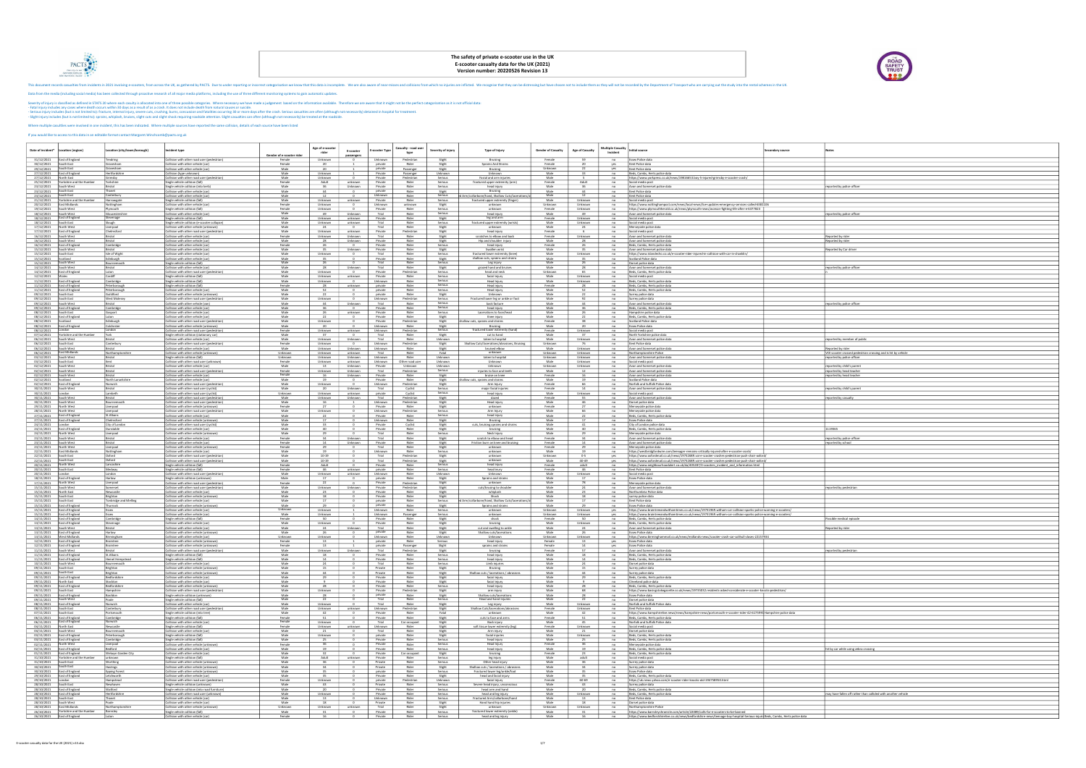

## The safety of private e-scooter use in the UK<br>E-scooter casualty data for the UK (2021)<br>Version number: 20220526 Revision 13

|                                                              |                                                                     |                                                                                                         |                                                                                                                                                                                                                                                                                                                                                                                                                                                                                                                                                                                                                                                                                                                                                                                                                                                                                                                                                                                                                                                                                                                                                                                                                                                                                                                                                                                                                                                                                                  | The safety of private e-scooter use in the UK<br>E-scooter casualty data for the UK (2021)<br>Version number: 20220526 Revision 13 |                               |                               |                               |                                    |                               |                                                                                |                             |                               |                                                                                                                     |                                                                                                                                                                                                                                                                                              |                | ROAD<br>SAFETY<br>TRUST                                                            |
|--------------------------------------------------------------|---------------------------------------------------------------------|---------------------------------------------------------------------------------------------------------|--------------------------------------------------------------------------------------------------------------------------------------------------------------------------------------------------------------------------------------------------------------------------------------------------------------------------------------------------------------------------------------------------------------------------------------------------------------------------------------------------------------------------------------------------------------------------------------------------------------------------------------------------------------------------------------------------------------------------------------------------------------------------------------------------------------------------------------------------------------------------------------------------------------------------------------------------------------------------------------------------------------------------------------------------------------------------------------------------------------------------------------------------------------------------------------------------------------------------------------------------------------------------------------------------------------------------------------------------------------------------------------------------------------------------------------------------------------------------------------------------|------------------------------------------------------------------------------------------------------------------------------------|-------------------------------|-------------------------------|-------------------------------|------------------------------------|-------------------------------|--------------------------------------------------------------------------------|-----------------------------|-------------------------------|---------------------------------------------------------------------------------------------------------------------|----------------------------------------------------------------------------------------------------------------------------------------------------------------------------------------------------------------------------------------------------------------------------------------------|----------------|------------------------------------------------------------------------------------|
|                                                              |                                                                     | If you would like to access to this data in an editable format contact Margaret. Winchcomb@pacts.org.uk | This document records casualties from incidents in 2021 involving e-scooters, from across the UK, as gathered by PACTS. Due to under reporting or incomet categorisation we know that this data is incomplete. We are also awa<br>Data from the media (including social media) has been collected through proactive research of all major media platforms, including the use of three different monitoring systems to gain automatic updates.<br>Severity of injury is classified as defined in STATS 20 where each casulty is allocated into one of three possible categories. Where necessary we have made a judgement based on the information available. Therefore we are a<br>- Eatal injury includes any cases where death occurs within 30 days as a result of as a crash. It does not include death from natural causes or suicide.<br>Serious injury includes (but is not limited to): fracture, internal injury, severe cuts, crushing, burns, concussion and fatalities occurring 30 or more days after the crash. Serious casualties are often (although not nece<br>Slight injury includes (but is not limited to): sprains, whiplash, bruises, slight cuts and slight shock requiring roadside attention. Slight casualties can often (although not necessarily) be treated at the roadside.<br>Where multiple casultlies were involved in one incident, this has been indicated. Where multiple sources have reported the same collision, details of each source have been listed |                                                                                                                                    |                               |                               |                               |                                    |                               |                                                                                |                             |                               |                                                                                                                     |                                                                                                                                                                                                                                                                                              |                |                                                                                    |
| Date of incident <sup>®</sup>                                | Location (region)                                                   | ocation (city/town/borough)                                                                             | Incident type                                                                                                                                                                                                                                                                                                                                                                                                                                                                                                                                                                                                                                                                                                                                                                                                                                                                                                                                                                                                                                                                                                                                                                                                                                                                                                                                                                                                                                                                                    | Gender of e-scooter ride                                                                                                           | Age of e-scoote<br>rider      | E-scooter                     | -scooter Typ                  | Casualty - road use<br>type        | Severity of injury            | Type of Injury                                                                 | <b>Gender of Casualty</b>   | <b>Age of Casualty</b>        | <b>Multiple Casualty</b><br>nitial source<br>Incident                                                               |                                                                                                                                                                                                                                                                                              | condary source |                                                                                    |
| 30/12/2021<br>29/12/2021                                     | 31/12/2021 East of England<br>South Fast<br>South East              | Tendring<br>Gravesham<br>Gravesham                                                                      | Collision with other road user (pedestrian)<br>Collision with other vehicle (car)<br>Collision with other vehicle (car)                                                                                                                                                                                                                                                                                                                                                                                                                                                                                                                                                                                                                                                                                                                                                                                                                                                                                                                                                                                                                                                                                                                                                                                                                                                                                                                                                                          | Female<br>Female<br>Male                                                                                                           | Unknown<br>20                 | passengers                    | Unknown<br>private<br>private | Pedestrian<br>Rider<br>Passenger   | Slight<br>Slight<br>Slight    | Bruising<br>Sprains And Strains<br>Bruising                                    | Female<br>Female<br>Unknown | 59<br>20 <sup>°</sup><br>22   | Essex Police data<br>yes<br>Kent Police data<br>yes<br>Kent Police data                                             |                                                                                                                                                                                                                                                                                              |                |                                                                                    |
| 27/12/2021<br>27/12/2021<br>25/12/2021                       | East of England<br>North East<br>Yorkshire and the Humber           | Hertfordshire<br>Grimsby<br>Yorkshire                                                                   | Collision (type unknown)<br>Collision with other road user (pedestrian)<br>Single vehicle collision (fall)                                                                                                                                                                                                                                                                                                                                                                                                                                                                                                                                                                                                                                                                                                                                                                                                                                                                                                                                                                                                                                                                                                                                                                                                                                                                                                                                                                                       | Male<br>Male<br>Female                                                                                                             | Unknown<br>Unknown<br>Adult   | unknown                       | Private<br>Private<br>Private | Passenger<br>Pedestrian<br>Rider   | Unknown<br>Serious<br>Serious | Unknown<br>Facial and arm injuries<br>fractured upper extremity (arm           | Male<br>Male<br>Female      | 33<br>Adult                   | Beds, Cambs, Herts police data<br>no<br>no<br>no<br>Social media post                                               | https://www.yorkpress.co.uk/news/19816653.boy-5-injured-grimsby-e-scooter-crash/                                                                                                                                                                                                             |                |                                                                                    |
| 23/12/2021<br>23/12/2021 South East<br>23/12/2021            | South West<br>South East                                            | Bristol<br>Thanet<br>Canterbury                                                                         | Single vehicle collision (into kerb)<br>Collision with other vehicle (car)<br>Collision with other vehicle (car)                                                                                                                                                                                                                                                                                                                                                                                                                                                                                                                                                                                                                                                                                                                                                                                                                                                                                                                                                                                                                                                                                                                                                                                                                                                                                                                                                                                 | Male<br>Male<br>Male                                                                                                               | 36<br>44<br>12                | Unknown<br>$\mathbf{u}$       | Private<br>private<br>Unknown | Rider<br>Rider<br>Rider            | Serious<br>Slight<br>Serious  | head injury<br>Bruising<br>d Arm/collarbone/hand, Shallow Cuts/laceration:     | Male<br>Male<br>Male        | 36<br>44<br>12                | no<br>Avon and Somerset police data<br>no<br>Kent Police data<br>Kent Police data<br>no                             |                                                                                                                                                                                                                                                                                              |                | reported by police officer                                                         |
| 21/12/2021<br>19/12/2021                                     | Yorkshire and the Humbe<br>20/12/2021 East Midlands<br>South West   | Harrowgate<br>Nottingham<br>Plymouth                                                                    | Single vehicle collision (fall)<br>Collision with other vehicle (car)<br>Single vehicle collision (fall)                                                                                                                                                                                                                                                                                                                                                                                                                                                                                                                                                                                                                                                                                                                                                                                                                                                                                                                                                                                                                                                                                                                                                                                                                                                                                                                                                                                         | Male<br>Female<br>Female                                                                                                           | Unknown<br>Unknown<br>Unknown | unknown<br>$\mathbf{u}$       | Private<br>Unknown<br>Private | Rider<br>unknown<br>Rider          | Serious<br>Slight<br>Serious  | fractured upper extremity (finger)<br>unknown<br>unknown                       | Male<br>Unknown<br>Female   | Unknown<br>Unknown<br>Unknown | no<br>Social media post<br>no<br>no                                                                                 | https://www.nottinghampost.com/news/local-news/live-updates-emergency-services-called-6381106<br>https://www.plymouthherald.co.uk/news/plymouth-news/woman-fighting-life-after-e-6377823                                                                                                     |                |                                                                                    |
| 18/12/2021<br>18/12/2021<br>18/12/2021                       | South West<br>East of England<br>South East                         | Gloucestershir<br>Stevenage<br><u>Slough</u>                                                            | Collision with other vehicle (car)<br>Single vehicle collision (fall)<br>Single vehicle collision (e-scooter collapse)                                                                                                                                                                                                                                                                                                                                                                                                                                                                                                                                                                                                                                                                                                                                                                                                                                                                                                                                                                                                                                                                                                                                                                                                                                                                                                                                                                           | Male<br>Male<br>Male                                                                                                               | 49<br>Unknown<br>Unknown      | Unknown<br>unknown<br>unknown | Trial<br>Private<br>Trial     | Ride<br>Rider<br>Rider             | Serious<br>Slight<br>Serious  | head injury<br>leg and arm<br>fractured upper extremity (wrists)               | Male<br>Female<br>Male      | 49<br>Unknown<br>Unknown      | Avon and Somerset police data<br>no<br>Social media post<br>no<br>Social media post<br>no                           |                                                                                                                                                                                                                                                                                              |                | reported by police officer                                                         |
| 17/12/2021<br>17/12/2021<br>16/12/2021                       | North West<br>East of England<br>South West                         | Liverpool<br>Chelmsford<br>Bristol                                                                      | Collision with other vehicle (unknown)<br>Collision with other road user (pedestrian)<br>Collision with other vehicle (car)                                                                                                                                                                                                                                                                                                                                                                                                                                                                                                                                                                                                                                                                                                                                                                                                                                                                                                                                                                                                                                                                                                                                                                                                                                                                                                                                                                      | Male<br>Male<br>Female                                                                                                             | 24<br>Unknown<br>Unknown      | unknown<br>Unknown            | Trial<br>Private<br>Trial     | Rider<br>Pedestrian<br>Rider       | Slight<br>Slight<br>Slight    | unknowr<br>head injury<br>scratches to elbow and back                          | Male<br>Female<br>Female    | 24<br>6<br>Unknown            | no<br>Merseyside police data<br>no<br>Social media post<br>no<br>Avon and Somerset police data                      |                                                                                                                                                                                                                                                                                              |                | Reported by rider                                                                  |
| 16/12/2021<br>16/12/2021<br>15/12/2021                       | South West<br>East of England<br>South West                         | Bristol<br>Cambridge<br>Bristol                                                                         | Collision with other vehicle (car)<br>Collision with other vehicle (car)<br>Collision with other vehicle (car)                                                                                                                                                                                                                                                                                                                                                                                                                                                                                                                                                                                                                                                                                                                                                                                                                                                                                                                                                                                                                                                                                                                                                                                                                                                                                                                                                                                   | Male<br>Female<br>Male                                                                                                             | 28<br>26<br>35                | Unknown<br>Unknown            | Private<br>Private<br>Private | Rider<br>Rider<br>Rider            | Slight<br>Serious<br>Slight   | Hip and shoulder injury<br>head injury<br>Swollen wrist                        | Male<br>Female<br>Male      | 28<br>26<br>35                | Avon and Somerset police data<br>no<br>Beds, Cambs, Herts police data<br>no<br>Avon and Somerset police data<br>no  |                                                                                                                                                                                                                                                                                              |                | Reported by rider<br>Reported by Car driver                                        |
| 15/12/2021 South East<br>15/12/2021                          | Scotland<br>ith West                                                | Isle of Wigh<br><b>Edinburgh</b>                                                                        | Collision with other vehicle (car)<br>Collision with other vehicle (car)<br>ngie venicie coll                                                                                                                                                                                                                                                                                                                                                                                                                                                                                                                                                                                                                                                                                                                                                                                                                                                                                                                                                                                                                                                                                                                                                                                                                                                                                                                                                                                                    | Male<br>Male                                                                                                                       | Unknown                       | $\mathbf{u}$                  | Trial<br>Private              | Rider<br>Rider                     | Serious<br>Slight             | fractured lower extremity (knee)<br>shallow cuts, sprains and strains          | Male<br>Male                | Unknown                       | no<br>Scotland Police data<br>no                                                                                    | https://www.islandecho.co.uk/e-scooter-rider-injured-in-collision-with-car-in-shanklin/                                                                                                                                                                                                      |                |                                                                                    |
| 14/12/2021<br>14/12/2021                                     | South West<br>East of England                                       | Bristol<br>Luton<br>Cardiff                                                                             | Collision with other vehicle (car)<br>Collision with other road user (pedestrian)                                                                                                                                                                                                                                                                                                                                                                                                                                                                                                                                                                                                                                                                                                                                                                                                                                                                                                                                                                                                                                                                                                                                                                                                                                                                                                                                                                                                                | Male<br>Male                                                                                                                       | - 28<br>Unknown               | Unknown                       | Trial<br>Private              | Rider<br>Pedestrian                | Slight<br>Serious<br>Serious  | grazed hand and bruise<br>head and neck<br>facial injury                       | Male<br>Unknow              | 65                            | Avon and Somerset police data<br>Beds, Cambs, Herts police data                                                     |                                                                                                                                                                                                                                                                                              |                | reported by police officer                                                         |
| 12/12/2021<br>11/12/2021<br>11/12/2021                       | East of England<br>East of England                                  | Cambridge<br>Peterborough                                                                               | Single vehicle collision (fall)<br>Single vehicle collision (fall)<br>Single vehicle collision (fall)                                                                                                                                                                                                                                                                                                                                                                                                                                                                                                                                                                                                                                                                                                                                                                                                                                                                                                                                                                                                                                                                                                                                                                                                                                                                                                                                                                                            | Male<br>Male<br>Female                                                                                                             | Unknown<br>Unknown<br>28      | unknown<br>unknown            | Private<br>Unknown<br>private | Rider<br>Rider<br>Rider            | Serious<br>Serious            | Head Injury<br>Head injury                                                     | Male<br>Male<br>Female      | Unknown<br>Unknown<br>- 28    | no<br>Social media post<br>no<br>Beds, Cambs, Herts police data<br>Beds, Cambs, Herts police data<br>no             |                                                                                                                                                                                                                                                                                              |                |                                                                                    |
| 11/12/2021<br>09/12/2021<br>09/12/2021                       | East of England<br>South East<br>South East                         | Peterborough<br>Guildford<br>West Molesey                                                               | Collision with other vehicle (car)<br>Collision with other vehicle (unknown)<br>Collision with other road user (pedestrian)                                                                                                                                                                                                                                                                                                                                                                                                                                                                                                                                                                                                                                                                                                                                                                                                                                                                                                                                                                                                                                                                                                                                                                                                                                                                                                                                                                      | Male<br>Male<br>Male                                                                                                               | 52<br>22<br>Unknown           |                               | private<br>private<br>Unknown | Rider<br>Rider<br>Pedestrian       | Serious<br>Slight<br>Serious  | Head injury<br>Unknown<br>Fractured lower leg or ankle or foot                 | Male<br>Male<br>Male        | 52<br>22<br>92                | no<br>Beds, Cambs, Herts police data<br>no<br>Surrey police data<br>no<br>Surrey police data                        |                                                                                                                                                                                                                                                                                              |                |                                                                                    |
| 09/12/2021<br>09/12/2021<br>08/12/2021                       | South West<br>East of England<br>South East                         | Bristol<br>Cambridge<br>Gosport                                                                         | Collision with other vehicle (var<br>Collision with other vehicle (car)<br>Collision with other vehicle (car                                                                                                                                                                                                                                                                                                                                                                                                                                                                                                                                                                                                                                                                                                                                                                                                                                                                                                                                                                                                                                                                                                                                                                                                                                                                                                                                                                                     | Male<br>Male<br>Male                                                                                                               | 44                            | Unknown<br>unknown            | Trial<br>Private<br>Private   | Rider<br>Rider<br>Rider            | Serious<br>Serious<br>Serious | back facture<br>head injury<br>Lacerations to face/hear                        | Male<br>Male<br>Male        | 44                            | no<br>Avon and Somerset police data<br>Beds, Cambs, Herts police data<br>no<br>no<br>Hampshire police data          |                                                                                                                                                                                                                                                                                              |                | reported by police officer                                                         |
| 08/12/2021<br>08/12/2021<br>08/12/2021                       | East of England<br>Scotland<br><b>East of England</b>               | Luton<br>Edinburgh<br>Colchester                                                                        | Collision with other vehicle (car)<br>Collision with other road user (pedestrian)<br>Collision with other vehicle (unknown)                                                                                                                                                                                                                                                                                                                                                                                                                                                                                                                                                                                                                                                                                                                                                                                                                                                                                                                                                                                                                                                                                                                                                                                                                                                                                                                                                                      | Male<br>Male<br>Male                                                                                                               | 22<br>Unknown<br>- 20         |                               | Private<br>Private<br>Unknown | Rider<br>Pedestrian<br>Rider       | Slight<br>Slight<br>Slight    | Knee injury<br>hallow cuts, sprains and strains<br>Bruising                    | Male<br>Female<br>Male      |                               | no<br>Beds, Cambs, Herts police data<br>Scotland Police data<br>no<br>no<br>Essex Police data                       |                                                                                                                                                                                                                                                                                              |                |                                                                                    |
| 08/12/2021<br>07/12/2021<br>06/12/2021                       | London<br>Yorkshire and the Humber<br>South West                    | London<br>York<br>Bristol                                                                               | Collision with other road user (pedestrian)<br>Single vehicle collision (stationary car)<br>Collision with other vehicle (car)                                                                                                                                                                                                                                                                                                                                                                                                                                                                                                                                                                                                                                                                                                                                                                                                                                                                                                                                                                                                                                                                                                                                                                                                                                                                                                                                                                   | Female<br>Male<br>Male                                                                                                             | Unknown<br>37<br>Unknown      | unknown<br>Unknown            | Unknown<br>Trial<br>Trial     | Pedestrian<br>Rider<br>Rider       | Serious<br>Slight<br>Unknown  | fractured lower extremity (hand)<br>cut to hand<br>taken to hospital           | Female<br>Male<br>Male      | Unknown<br>37<br>Unknown      | no<br>Social media post<br>no<br>North Yorkshire police data<br>Avon and Somerset police data<br>no                 |                                                                                                                                                                                                                                                                                              |                | reported by member of public                                                       |
| 06/12/2021<br>06/12/2021<br>06/12/2021                       | South East<br>South West<br>East Midlands                           | Canterbury<br>Bristol<br>Northamptonshire                                                               | Collision with other road user (pedestrian)<br>Collision with other vehicle (car)<br>Collision with other vehicle (unknown                                                                                                                                                                                                                                                                                                                                                                                                                                                                                                                                                                                                                                                                                                                                                                                                                                                                                                                                                                                                                                                                                                                                                                                                                                                                                                                                                                       | Female<br>Male<br>Unknown                                                                                                          | Unknown<br>Unknown<br>Unknown | Unknown<br>unknown            | Unknown<br>Unknown<br>Trial   | Pedestrian<br>Rider<br>Rider       | Slight<br>Slight<br>Fatal     | Shallow Cuts/lacerations/abrasions, Bruising<br>bruised elbow<br>unknown       | Unknown<br>Male<br>Unknown  | 76<br>Unknown<br>Unknown      | Kent Police data<br>no<br>no<br>Avon and Somerset police data<br>no<br>Northamptonshire Police                      |                                                                                                                                                                                                                                                                                              |                | Reported by rider<br>VOI scooter crossed pedestrian crossing and is hit by vehicle |
| 03/12/2021<br>03/12/2021<br>02/12/2021                       | South West<br>South East<br>South West                              | Bristol<br>Kent<br>Bristol                                                                              | Single vehicle collision (fall)<br>collision with other road user (unknown)<br>Collision with other vehicle (car)                                                                                                                                                                                                                                                                                                                                                                                                                                                                                                                                                                                                                                                                                                                                                                                                                                                                                                                                                                                                                                                                                                                                                                                                                                                                                                                                                                                | Unknown<br>Female<br>Male                                                                                                          | Unknown<br>Unknown<br>13      | Unknown<br>unknown<br>Unknown | Unknown<br>Unknown<br>Private | Rider<br>Other road use<br>Unknown | Unknown<br>Unknown<br>Unknown | taken to hospital<br>Unknown<br>Unknown                                        | Unknown<br>Male<br>Unknown  | Unknown<br>Unknown<br>Unknown | Avon and Somerset police data<br>no<br>no<br>Social media post<br>Avon and Somerset police data<br>no               |                                                                                                                                                                                                                                                                                              |                | reported by police officer<br>reported by child's parent                           |
| 02/12/2021<br>02/12/2021<br>02/12/2021                       | South West<br>South West<br>Scotland                                | Bristol<br>Bristol<br>North Lanarkshire                                                                 | Collision with other road user (pedestrian)<br>Collision with other vehicle (car)<br>Collision with other vehicle (car)                                                                                                                                                                                                                                                                                                                                                                                                                                                                                                                                                                                                                                                                                                                                                                                                                                                                                                                                                                                                                                                                                                                                                                                                                                                                                                                                                                          | Female<br>Female<br>Male                                                                                                           | Unknown<br>16<br>19           | Unknown<br>Unknown            | Trial<br>Private<br>Private   | Pedestrian<br>Rider<br>Rider       | Serious<br>Slight<br>Slight   | injuries to face and tee<br>bruise on knee<br>hallow cuts, sprains and strains | Male<br>Female<br>Male      | 16<br>19                      | Avon and Somerset police data<br>no<br>no<br>Avon and Somerset police data<br>no<br>Scotland Police data            |                                                                                                                                                                                                                                                                                              |                | reported by head teache<br>reported by head teacher                                |
| 02/12/2021<br>30/11/2021<br>30/11/2021                       | East of England<br>South West<br>London                             | Norwich<br>Bristol<br>Lambeth                                                                           | Collision with other road user (pedestrian)<br>Collision with other road user (cyclist)<br>Collision with other road user (cyclist)                                                                                                                                                                                                                                                                                                                                                                                                                                                                                                                                                                                                                                                                                                                                                                                                                                                                                                                                                                                                                                                                                                                                                                                                                                                                                                                                                              | Male<br>Male<br>Unknown                                                                                                            | Unknown<br>20<br>Unknown      | Unknown<br>unknown            | Unknown<br>Trial<br>private   | Pedestrian<br>Cyclist<br>Cyclist   | Slight<br>Serious<br>Serious  | Arm Injury<br>major facial injurie<br>head injury                              | Female<br>Female<br>Male    | 66<br>14<br>Unknown           | no<br>Norfolk and Suffolk Police data<br>no<br>Avon and Somerset police data<br>Social media post<br>no             |                                                                                                                                                                                                                                                                                              |                | reported by child's parent                                                         |
| 30/11/2021<br>30/11/2021<br>29/11/2021                       | South West<br>South West<br>North West                              | Bristol<br>Bournemouth<br>Liverpool                                                                     | Collision with other road user (pedestrian)<br>Collision with other road user (pedestrian)<br>Collision with other vehicle (unknown)                                                                                                                                                                                                                                                                                                                                                                                                                                                                                                                                                                                                                                                                                                                                                                                                                                                                                                                                                                                                                                                                                                                                                                                                                                                                                                                                                             | Male<br>Male<br>Female                                                                                                             | Unknown<br>16<br>27           | Unknown                       | Trial<br>Unknown<br>Private   | Pedestrian<br>Pedestrian<br>Rider  | Slight<br>Slight<br>Slight    | dazed<br>Head injury<br>unknown                                                | Female<br>Male<br>Female    | 55<br>46                      | no<br>Avon and Somerset police data<br>Dorset police data<br>no<br>Merseyside police data<br>no                     |                                                                                                                                                                                                                                                                                              |                | reported by casualty                                                               |
| 28/11/2021<br>27/11/2021<br>27/11/2021                       | North West<br>East of England<br>East of England                    | iverpool<br>St.Albans<br>Chelmsford                                                                     | Collision with other road user (pedestrian)<br>Collision with other vehicle (car)<br>Collision with other vehicle (unknown)                                                                                                                                                                                                                                                                                                                                                                                                                                                                                                                                                                                                                                                                                                                                                                                                                                                                                                                                                                                                                                                                                                                                                                                                                                                                                                                                                                      | Male<br>Male<br>Male                                                                                                               | Unknown<br>17                 |                               | Unknown<br>Private<br>Unknown | Pedestrian<br>Rider<br>Rider       | Serious<br>Serious<br>Slight  | Arm Injury<br>head injury<br>Bruising                                          | Male<br>Male<br>Male        | 66                            | Merseyside police data<br>no<br>Beds, Cambs, Herts police data<br>Essex Police data<br>no                           |                                                                                                                                                                                                                                                                                              |                |                                                                                    |
| 24/11/2021<br>24/11/2021<br>24/11/2021                       | London<br>East of England<br>North West                             | City of London<br>Dunstable<br>Liverpool                                                                | Collision with other road user (cyclist)<br>Collision with other vehicle (car)<br>Collision with other vehicle (unknown                                                                                                                                                                                                                                                                                                                                                                                                                                                                                                                                                                                                                                                                                                                                                                                                                                                                                                                                                                                                                                                                                                                                                                                                                                                                                                                                                                          | Male<br>Male<br>Male                                                                                                               | 33<br>40<br>29                |                               | Private<br>Private<br>Trial   | Cyclist<br>Rider<br>Rider          | Slight<br>Slight<br>Serious   | cuts, bruising sprains and strains<br>bruising<br>Neck Injury                  | Male<br>Male<br>Male        | 41<br>40<br>29                | no<br>City of London police data<br>no<br>Beds, Cambs, Herts police data<br>Merseyside police data<br>no            |                                                                                                                                                                                                                                                                                              |                | 1119365                                                                            |
| 23/11/2021<br>23/11/2021<br>23/11/2021                       | South West<br>South West<br>North West                              | Bristol<br>Bristol<br>Liverpool                                                                         | Collision with other vehicle (car)<br>Collision with other vehicle (car)<br>Collision with other vehicle (unknown)                                                                                                                                                                                                                                                                                                                                                                                                                                                                                                                                                                                                                                                                                                                                                                                                                                                                                                                                                                                                                                                                                                                                                                                                                                                                                                                                                                               | Female<br>Female<br>Female                                                                                                         | 14<br>29                      | Unknown<br>Unknown            | Trial<br>Private<br>Trial     | Rider<br>Rider<br>Rider            | Slight<br>Slight<br>Slight    | scratch to elbow and head<br>Friction burn on knee and bruising<br>unknown     | Female<br>Female<br>Female  | 14<br>29                      | no<br>Avon and Somerset police data<br>Avon and Somerset police data<br>no<br>no<br>Merseyside police data          |                                                                                                                                                                                                                                                                                              |                | reported by police officer<br>reported by school                                   |
| 22/11/2021<br>22/11/2021<br>22/11/2021                       | East Midland<br>South East<br>South East                            | Nottingham<br>Oxford<br>Oxford                                                                          | Collision with other vehicle (car)<br>Collision with other road user (pedestrian)<br>Collision with other road user (pedestrian)                                                                                                                                                                                                                                                                                                                                                                                                                                                                                                                                                                                                                                                                                                                                                                                                                                                                                                                                                                                                                                                                                                                                                                                                                                                                                                                                                                 | Male<br>Male<br>Male                                                                                                               | 19<br>10-19<br>10-19          |                               | Unknown<br>Trial<br>Trial     | Rider<br>Pedestrian<br>Pedestrian  | Serious<br>Slight<br>Slight   | unknowr<br>unknown<br>unknown                                                  | Male<br>Unknown<br>Male     | 19<br>$0 - 5$<br>40-49        | no<br>yes<br>yes                                                                                                    | https://westbridgfordwire.com/teenager-remains-critically-injured-after-e-scooter-crash/<br>https://www.oxfordmail.co.uk/news/19732689.voi-e-scooter-crashes-pedestrian-push-chair-oxford/<br>https://www.oxfordmail.co.uk/news/19732689.voi-e-scooter-crashes-pedestrian-push-chair-oxford/ |                |                                                                                    |
| 20/11/2021<br>20/11/2021<br>20/11/2021                       | North West<br>South East<br>London                                  | Lancashire<br>Medway<br>London                                                                          | Single vehicle collision (fall)<br>Single vehicle collision (fall)<br>Collision with other road user (pedestrian)                                                                                                                                                                                                                                                                                                                                                                                                                                                                                                                                                                                                                                                                                                                                                                                                                                                                                                                                                                                                                                                                                                                                                                                                                                                                                                                                                                                | Female<br>Female<br>Male                                                                                                           | Adult<br>46<br>Unknown        | unknown<br>unknown            | Private<br>private<br>Unknown | Rider<br>Rider<br>Rider            | Serious<br>Serious<br>Unknown | head injury<br>head inury<br>Unknown                                           | Female<br>Female<br>Male    | adult<br>46<br>Unknown        | no<br>no<br>Kent Police data<br>no<br>Social media post                                                             | https://www.neighbourhoodalert.co.uk/da/405287/E-scooters_incident_and_information.html                                                                                                                                                                                                      |                |                                                                                    |
| 18/11/2021<br>17/11/2021<br>15/11/2021                       | East of England<br>North West<br>South West                         | Harlow<br>Liverpool<br>Somerset                                                                         | Single vehicle collision (unknown)<br>Collision with other road user (pedestrian)<br>Collision with other road user (pedestrian)                                                                                                                                                                                                                                                                                                                                                                                                                                                                                                                                                                                                                                                                                                                                                                                                                                                                                                                                                                                                                                                                                                                                                                                                                                                                                                                                                                 | Male<br>Female<br>Male                                                                                                             | 17<br>22<br>Unknown           | Unknown                       | private<br>Private<br>Private | Rider<br>Pedestrian<br>Pedestriar  | Slight<br>Slight<br>Slight    | Sprains and strains<br>unknown<br>cuts/brusing to shoulde                      | Male<br>Male<br>Male        | 17<br>78<br>24                | no<br><b>Essex Police data</b><br>Merseyside police data<br>no<br>no<br>Avon and Somerset police data               |                                                                                                                                                                                                                                                                                              |                | reported by pedestriar                                                             |
| 15/11/2021<br>15/11/2021<br>15/11/2021                       | North East<br>South East<br>South East                              | Newcastle<br>Brighton<br>Tonbridge and Melling                                                          | Collision with other vehicle (car)<br>Collision with other vehicle (unknown<br>Collision with other vehicle (car)                                                                                                                                                                                                                                                                                                                                                                                                                                                                                                                                                                                                                                                                                                                                                                                                                                                                                                                                                                                                                                                                                                                                                                                                                                                                                                                                                                                | Male<br>Male<br>Male                                                                                                               | 23<br>18<br>17                |                               | Private<br>Private<br>private | Rider<br>Rider<br>Rider            | Slight<br>Slight<br>Serious   | whiplash<br>Shock<br>Arm/collarbone/hand, Shallow Cuts/lacera                  | Male<br>Male<br>Male        | 23<br>18<br>17                | no<br>Northumbria Police data<br>no<br>surrey police data<br>no<br>Kent Police data                                 |                                                                                                                                                                                                                                                                                              |                |                                                                                    |
| 15/11/2021<br>15/11/2021<br>15/11/2021                       | East of England<br><b>East of England</b><br><b>East of England</b> | Thurrock<br>Essex<br>Essex                                                                              | Collision with other vehicle (unknown)<br>Collision with other vehicle (car)<br>ollision with other vehicle (car)                                                                                                                                                                                                                                                                                                                                                                                                                                                                                                                                                                                                                                                                                                                                                                                                                                                                                                                                                                                                                                                                                                                                                                                                                                                                                                                                                                                | Male<br>Unknown<br>Male                                                                                                            | 29<br>Unknown<br>Unknown      |                               | private<br>Unknown<br>Unknown | Rider<br>Rider<br>Passenger        | Slight<br>Serious<br>Serious  | Sprains and strains<br>unknown<br>unknowr                                      | Male<br>Unknown<br>Unknow   | 29<br>Unknown<br>Unknowr      | no<br><b>Essex Police data</b><br>yes<br>yes                                                                        | https://www.braintreeandwithamtimes.co.uk/news/19731969.witham-car-collision-sparks-police-warning-e-scooters/<br>https://www.braintreeandwithamtimes.co.uk/news/19731969.witham-car-collision-sparks-police-warning-e-scooters/                                                             |                |                                                                                    |
| 14/11/2021<br>13/11/2021<br>13/11/2021                       | East of England<br>East of England<br>South West                    | Cambridge<br>Stevenage<br>Bristol                                                                       | Single vehicle collision (fall)<br>Collision with other vehicle (car)<br>Collision with other vehicle (car)                                                                                                                                                                                                                                                                                                                                                                                                                                                                                                                                                                                                                                                                                                                                                                                                                                                                                                                                                                                                                                                                                                                                                                                                                                                                                                                                                                                      | Female<br>Male<br>Male                                                                                                             | 50<br>Unknown<br>24           | Unknown                       | Private<br>Private<br>Trial   | Rider<br>Rider<br>Rider            | Slight<br>Slight<br>Slight    | shock<br>bruising<br>cut and swelling to ankle                                 | Female<br>Male<br>Male      | 50<br>Unknown<br>24           | no<br>Beds, Cambs, Herts police data<br>Beds, Cambs, Herts police data<br>no<br>no<br>Avon and Somerset police data |                                                                                                                                                                                                                                                                                              |                | Possible medical episode<br>Reported by rider                                      |
| 13/11/2021<br>13/11/2021<br>12/11/2021                       | East of England<br>West Midlands<br>East of England                 | Harlow<br>Birmingham<br>Braintree                                                                       | Collision with other vehicle (unknown)<br>Collision with other vehicle (car)<br>Collision with other vehicle (unknown)                                                                                                                                                                                                                                                                                                                                                                                                                                                                                                                                                                                                                                                                                                                                                                                                                                                                                                                                                                                                                                                                                                                                                                                                                                                                                                                                                                           | Male<br>Unknown<br>Female                                                                                                          | -26<br>Unknown<br><b>13</b>   |                               | private<br>Unknown<br>private | Rider<br>Rider<br>Rider            | Slight<br>Unknown<br>Serious  | Shallow cuts/lacerations<br>Unknown<br>head injury                             | Male<br>Unknown<br>Female   | 26<br>Unknown<br><b>13</b>    | Essex Police data<br>no<br>no<br>Essex Police data<br>yes                                                           | https://www.birminghammail.co.uk/news/midlands-news/scooter-crash-car-solihull-closes-22157934                                                                                                                                                                                               |                |                                                                                    |
| 12/11/2021<br>11/11/2021<br>11/11/2021                       | East of England<br>South West                                       | Braintree<br>Bristol<br>St.Albans                                                                       | Collision with other vehicle (unknown)<br>Collision with other road user (pedestrian)                                                                                                                                                                                                                                                                                                                                                                                                                                                                                                                                                                                                                                                                                                                                                                                                                                                                                                                                                                                                                                                                                                                                                                                                                                                                                                                                                                                                            | Female<br>Male<br>Male                                                                                                             | 13<br>Unknown                 | Unknowi                       | private<br>Trial<br>Private   | Passenger<br>Pedestrian<br>Rider   | Slight<br>Slight<br>Serious   | sprains and strain<br>bruising                                                 | Female<br>Female<br>Male    | 14<br>57<br>18                | Essex Police data<br>yes<br>Avon and Somerset police data<br>no<br>no                                               |                                                                                                                                                                                                                                                                                              |                | reported by pedestrian                                                             |
| 11/11/2021<br>10/11/2021                                     | East of England<br>East of England<br>outh Wes<br>South East        | <b>Hemel Hempstea</b><br>Bournemouth                                                                    | Single vehicle collision (fall)<br>Single vehicle collision (fall)<br>Collision with other vehicle (car)                                                                                                                                                                                                                                                                                                                                                                                                                                                                                                                                                                                                                                                                                                                                                                                                                                                                                                                                                                                                                                                                                                                                                                                                                                                                                                                                                                                         | Male<br>Male                                                                                                                       | 24                            |                               | Private<br>Trial              | Ride<br>Rider                      | Serious<br>Serious            | head injury<br>head injury<br>Limb injuri                                      | Male<br>Male                |                               | Beds, Cambs, Herts police data<br>Beds, Cambs, Herts police data<br>no<br>Dorset police data                        |                                                                                                                                                                                                                                                                                              |                |                                                                                    |
| 09/11/2021<br>09/11/2021<br>09/11/2021                       | South East<br><b>East of England</b>                                | Brighton<br>Brighton<br>Bedfordshire                                                                    | Collision with other vehicle (unknown)<br>Collision with other vehicle (unknown)<br>Collision with other vehicle (car)                                                                                                                                                                                                                                                                                                                                                                                                                                                                                                                                                                                                                                                                                                                                                                                                                                                                                                                                                                                                                                                                                                                                                                                                                                                                                                                                                                           | Male<br>Male<br>Male                                                                                                               | 15<br>44<br>29                |                               | Private<br>Private<br>Private | Rider<br>Rider<br>Rider            | Slight<br>Slight<br>Slight    | Bruising<br>Shallow cuts / lacerations / abrasions<br>facial injury            | Male<br>Male<br>Male        | 15<br>44<br>29                | no<br>Surrey police data<br>no<br>Surrey police data<br>no<br>Beds, Cambs, Herts police data                        |                                                                                                                                                                                                                                                                                              |                |                                                                                    |
| 09/11/2021<br>09/11/2021<br>09/11/2021                       | North East<br><b>East of England</b><br>South East                  | Stockton<br>Bedfordshire<br>Hampshire                                                                   | Collision with other vehicle (car)<br>Collision with other vehicle (unknown)<br>Collision with other road user (pedestrian)                                                                                                                                                                                                                                                                                                                                                                                                                                                                                                                                                                                                                                                                                                                                                                                                                                                                                                                                                                                                                                                                                                                                                                                                                                                                                                                                                                      | Male<br>Male<br>Male                                                                                                               | 28<br>Unknown                 |                               | Private<br>Private<br>Private | Rider<br>Rider<br>Pedestrian       | Slight<br>Serious<br>Slight   | facial injury<br>head injury<br>arm injury                                     | Male<br>Male<br>Male        | 28<br>68                      | Cleveland police data<br>no<br>no<br>Beds, Cambs, Herts police data<br>no                                           | https://www.basingstokegazette.co.uk/news/19735032.residents-asked-considerate-e-scooter-knocks-pedestrian/                                                                                                                                                                                  |                |                                                                                    |
| 09/11/2021<br>09/11/2021<br>08/11/2021                       | East of England<br>South West<br>East of England                    | Basildon<br>Poole<br>Norwich                                                                            | Single vehicle collision (unknown<br>Single vehicle collision (fall)<br>Collision with other vehicle (car)                                                                                                                                                                                                                                                                                                                                                                                                                                                                                                                                                                                                                                                                                                                                                                                                                                                                                                                                                                                                                                                                                                                                                                                                                                                                                                                                                                                       | Male<br>Male<br>Male                                                                                                               | 28<br>22<br>Unknown           |                               | private<br>Trial<br>Trial     | Rider<br>Rider<br>Rider            | Slight<br>Serious<br>Slight   | Shallow cuts/lacerations<br><b>Head and hand injuries</b><br>Leg injury        | Male<br>Male<br>Male        | Unknown                       | Essex Police data<br>no<br>no<br>Dorset police data<br>no<br>Norfolk and Suffolk Police da                          |                                                                                                                                                                                                                                                                                              |                |                                                                                    |
| 08/11/2021<br>37/11/2021<br>06/11/2021                       | South East<br>South East<br>East of England                         | Canterbury<br>ortsmouth<br>Cambridge                                                                    | Collision with other road user (pedestrian)<br>Single vehicle collision (into tree<br>Single vehicle collision (fall)                                                                                                                                                                                                                                                                                                                                                                                                                                                                                                                                                                                                                                                                                                                                                                                                                                                                                                                                                                                                                                                                                                                                                                                                                                                                                                                                                                            | Male<br>Male<br>Female                                                                                                             | Unknown<br>- 51               | unknown                       | Unknown<br>Private<br>Private | Pedestriar<br>Ride<br>Rider        | Slight<br>Fatal<br>Slight     | Shallow Cuts/lacerations/abrasions<br>unknow<br>cuts to face and arms          | Female<br>Male<br>Female    | Unknown<br>51                 | Kent Police data<br>no<br>no<br>Beds, Cambs, Herts police data                                                      | https://www.hampshirelive.news/news/hampshire-news/portsmouth-e-scooter-rider-42-6175991 Hampshire police data                                                                                                                                                                               |                |                                                                                    |
| 06/11/2021<br>04/11/2021<br>04/11/2021                       | East of England<br>North East<br>South West                         | Norwich<br>Newcastle<br>Bournemouth                                                                     | Collision with other vehicle (car)<br>Single vehicle collision (fall)<br>Collision with other vehicle (car)                                                                                                                                                                                                                                                                                                                                                                                                                                                                                                                                                                                                                                                                                                                                                                                                                                                                                                                                                                                                                                                                                                                                                                                                                                                                                                                                                                                      | Female<br>Female<br>Male                                                                                                           | Unknown<br>Unknown<br>21      | unknown                       | Trial<br>Unknown<br>Trial     | Car occupant<br>Rider<br>Rider     | Slight<br>Slight<br>Slight    | Back injury<br>soft tissue lower extremity (leg)<br>Arm injury                 | Male<br>Female<br>Male      | 45<br>Unknown<br>21           | no<br>Norfolk and Suffolk Police data<br>no<br>Social media post<br>no<br>Dorset police data                        |                                                                                                                                                                                                                                                                                              |                |                                                                                    |
| 03/11/2021<br>03/11/2021<br>02/11/2021                       | East of England<br>East of England<br>North West                    | Peterborough<br>Cambridge<br>Liverpoo                                                                   | Single vehicle collision (fall)<br>Single vehicle collision (fall)<br>Collision with other vehicle (unknown)                                                                                                                                                                                                                                                                                                                                                                                                                                                                                                                                                                                                                                                                                                                                                                                                                                                                                                                                                                                                                                                                                                                                                                                                                                                                                                                                                                                     | Male<br>Male<br>Female                                                                                                             | Unknown<br>36                 |                               | private<br>Private<br>Private | Rider<br>Rider<br>Rider            | Slight<br>Serious<br>Serious  | facial injuries<br>head injury<br>Head Injury                                  | Male<br>Male<br>Female      | Unknown<br>36                 | no<br>Beds, Cambs, Herts police data<br>no<br>Beds, Cambs, Herts police data<br>Merseyside police data<br>no        |                                                                                                                                                                                                                                                                                              |                |                                                                                    |
| 02/11/2021<br>01/11/2021                                     | East of England<br>East of England                                  | Bedford<br>Welwyn Garden Ci                                                                             | Collision with other vehicle (car)<br>Collision with other vehicle (car)                                                                                                                                                                                                                                                                                                                                                                                                                                                                                                                                                                                                                                                                                                                                                                                                                                                                                                                                                                                                                                                                                                                                                                                                                                                                                                                                                                                                                         | Male<br>Male                                                                                                                       | 19                            |                               | Private<br>Private            | Rider<br>Car occupant<br>Ride      | Serious<br>Slight             | head injury<br>bruising                                                        | Male<br>Female<br>Male      | 19<br>23                      | Beds, Cambs, Herts police data<br>no<br>no<br>Beds, Cambs, Herts police data                                        |                                                                                                                                                                                                                                                                                              |                | hit by car while using zebra crossing                                              |
| 31/10/2021<br>31/10/2021<br>30/10/2021                       | Yorkshire and the Hu<br>South East<br>South East                    | unknowr<br>Worthing<br>Hastings                                                                         | Single vehicle collision (fall)<br>Collision with other vehicle (unknown)<br>Collision with other vehicle (unknown)                                                                                                                                                                                                                                                                                                                                                                                                                                                                                                                                                                                                                                                                                                                                                                                                                                                                                                                                                                                                                                                                                                                                                                                                                                                                                                                                                                              | Male<br>Male<br>Male                                                                                                               | Adult<br>34                   | unknown                       | Private<br>Private<br>Private | Rider<br>Rider                     | Serious<br>Serious<br>Slight  | leg injury<br>Other head injury<br>Shallow cuts / lacerations / abrasions      | Male<br>Male                | adult<br>34                   | Social media pos<br>no<br>Surrey police data<br>no<br>Surrey police data                                            |                                                                                                                                                                                                                                                                                              |                |                                                                                    |
| 30/10/2021<br>29/10/2021 London                              | East of England<br>29/10/2021 East of England                       | <b>Epping Forest</b><br>Letchworth<br>Hampstead                                                         | Collision with other vehicle (unknown)<br>Collision with other vehicle (car)<br>Collision with other road user (pedestrian)                                                                                                                                                                                                                                                                                                                                                                                                                                                                                                                                                                                                                                                                                                                                                                                                                                                                                                                                                                                                                                                                                                                                                                                                                                                                                                                                                                      | Male<br>Male<br>Female                                                                                                             | 35<br>Unknown                 |                               | private<br>Private<br>private | Rider<br>Rider<br>Pedestrian       | Serious<br>Slight<br>Unknown  | Fractured lower leg/ankle/foot<br>head and facial injury<br>facial injury      | Male<br>Male<br>Female      | 35<br>35<br>60-69             | Essex Police data<br>no<br>no<br>Beds, Cambs, Herts police data<br>no                                               | https://uk.news.yahoo.com/e-scooter-rider-knocks-old-194758950.html                                                                                                                                                                                                                          |                |                                                                                    |
| 28/10/2021 South East                                        | 28/10/2021 East of England<br>28/10/2021 East of England            | Newhaven<br>Watford<br>Hertfordshire                                                                    | Single vehicle collision (unknown)<br>Single vehicle collision (into road furniture)<br>Collision with other road user (unknown)                                                                                                                                                                                                                                                                                                                                                                                                                                                                                                                                                                                                                                                                                                                                                                                                                                                                                                                                                                                                                                                                                                                                                                                                                                                                                                                                                                 | Male<br>Male<br>Male                                                                                                               | 43<br>20<br>Unknown           | $\mathbf{r}$<br>$\mathbf{0}$  | Private<br>Private<br>Private | Rider<br>Rider<br>Rider            | Serious<br>Serious<br>Serious | Severe head injury, unconscious<br>head arm and hand<br>head and leg injury    | Male<br>Male<br>Male        | 43<br>20<br>Unknown           | no<br>Surrey police data<br>Beds, Cambs, Herts police data<br>no<br>Beds, Cambs, Herts police data<br>no            |                                                                                                                                                                                                                                                                                              |                | may have fallen off rather than collided with another vehicle                      |
|                                                              |                                                                     | Thanet                                                                                                  | Collision with other vehicle (car)                                                                                                                                                                                                                                                                                                                                                                                                                                                                                                                                                                                                                                                                                                                                                                                                                                                                                                                                                                                                                                                                                                                                                                                                                                                                                                                                                                                                                                                               | Male                                                                                                                               | 13<br>18                      |                               | Unknown                       | Rider                              | Serious                       | Fractured Arm/collarbone/hand                                                  | Male<br>Male                | 13<br>18                      | no<br>Kent Police data<br>Dorset police data<br>no                                                                  |                                                                                                                                                                                                                                                                                              |                |                                                                                    |
| 28/10/2021 South East<br>28/10/2021 South West<br>28/10/2021 | East Midlands                                                       | Poole<br>Northamptonshire                                                                               | Collision with other vehicle (car)<br>Collision with other vehicle (unknown)                                                                                                                                                                                                                                                                                                                                                                                                                                                                                                                                                                                                                                                                                                                                                                                                                                                                                                                                                                                                                                                                                                                                                                                                                                                                                                                                                                                                                     | Male<br>Unknown                                                                                                                    | Unknown                       | unknown                       | Private<br>Trial              | Rider<br>Rider                     | Slight<br>Slight              | Hand hand hip injuries<br>unknown                                              | Unknown                     | Unknown                       | Northamptonshire Police<br>no                                                                                       |                                                                                                                                                                                                                                                                                              |                |                                                                                    |



| Notes                                                                              |  |
|------------------------------------------------------------------------------------|--|
|                                                                                    |  |
|                                                                                    |  |
|                                                                                    |  |
| reported by police officer                                                         |  |
|                                                                                    |  |
|                                                                                    |  |
| reported by police officer                                                         |  |
|                                                                                    |  |
|                                                                                    |  |
| Reported by rider<br>Reported by rider                                             |  |
| Reported by Car driver<br>i                                                        |  |
|                                                                                    |  |
| i<br>reported by police officer<br>n                                               |  |
|                                                                                    |  |
|                                                                                    |  |
|                                                                                    |  |
| reported by police officer                                                         |  |
|                                                                                    |  |
|                                                                                    |  |
|                                                                                    |  |
| reported by member of public                                                       |  |
| Reported by rider<br>VOI scooter crossed pedestrian crossing and is hit by vehicle |  |
| reported by police officer                                                         |  |
| reported by child's parent<br>reported by head teacher                             |  |
| reported by head teacher<br>í                                                      |  |
| reported by child's parent                                                         |  |
| reported by casualty                                                               |  |
|                                                                                    |  |
|                                                                                    |  |
|                                                                                    |  |
| 1119365                                                                            |  |
| reported by police officer<br>reported by school                                   |  |
|                                                                                    |  |
|                                                                                    |  |
|                                                                                    |  |
|                                                                                    |  |
| reported by pedestrian                                                             |  |
|                                                                                    |  |
|                                                                                    |  |
|                                                                                    |  |
| Possible medical episode                                                           |  |
| Reported by rider                                                                  |  |
|                                                                                    |  |
| reported by pedestrian                                                             |  |
|                                                                                    |  |
| $\overline{a}$                                                                     |  |
|                                                                                    |  |
|                                                                                    |  |
|                                                                                    |  |
| ٦                                                                                  |  |
| j                                                                                  |  |
| ֖֖֖֖ׅ֚֚֚֚֚֚֚֚֚֚֚֚֚֚֚֚֚֚֚֚֚֚֬֘֝֡֡֡֡֬֝֬֝֓֡֞֝֬֝֓֬֝֓֬                                  |  |
| $\overline{a}$                                                                     |  |
|                                                                                    |  |
| hit by car while using zebra crossing                                              |  |
|                                                                                    |  |
| f                                                                                  |  |
|                                                                                    |  |
|                                                                                    |  |
| may have fallen off rather than collided with another vehicle                      |  |
|                                                                                    |  |
|                                                                                    |  |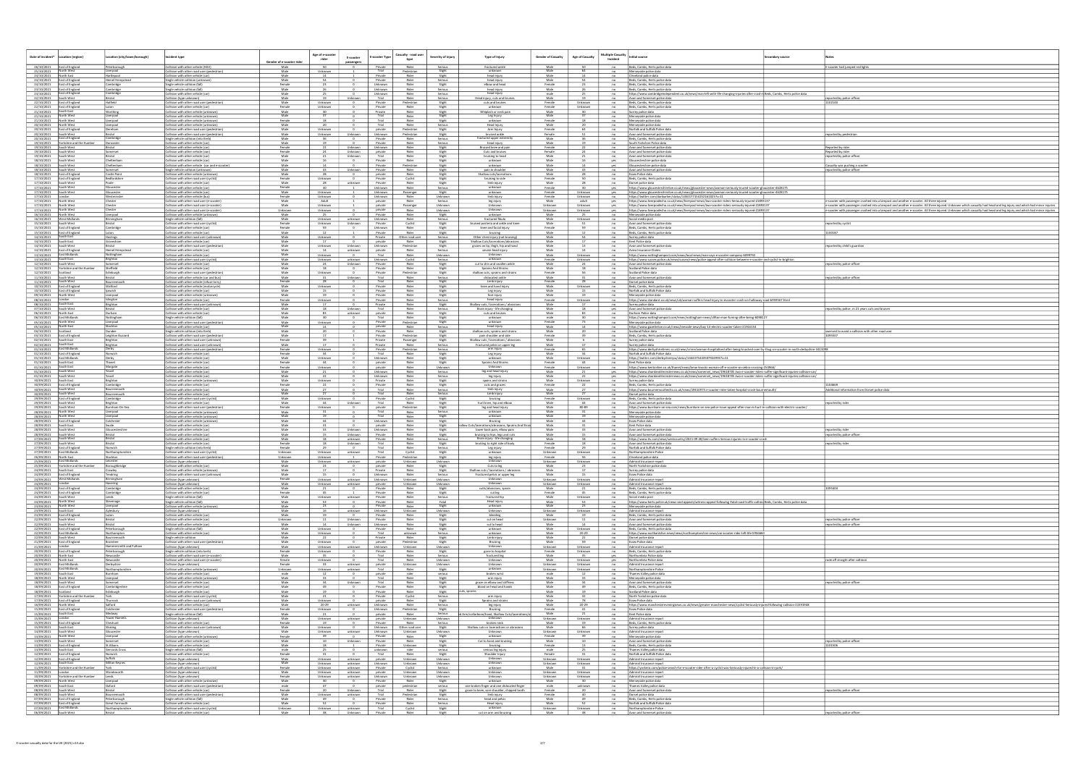| Date of incident*<br>ocation (region)                                      | ocation (city/town/borough)                        | ncident type                                                                             |                                | Age of e-scoote    | E-scooter                                                                             | Casualty - road user<br>E-scooter Type         | Severity of injury       | Type of Injury                                                                             | <b>Gender of Casualty</b> | <b>Age of Casualty</b> | <b>Multiple Casualty</b>         | <b>Initial source</b>                                                                                                                                                                                                                    | condary source |                                                                                                                                                                       |
|----------------------------------------------------------------------------|----------------------------------------------------|------------------------------------------------------------------------------------------|--------------------------------|--------------------|---------------------------------------------------------------------------------------|------------------------------------------------|--------------------------|--------------------------------------------------------------------------------------------|---------------------------|------------------------|----------------------------------|------------------------------------------------------------------------------------------------------------------------------------------------------------------------------------------------------------------------------------------|----------------|-----------------------------------------------------------------------------------------------------------------------------------------------------------------------|
| 26/10/2021 East of England                                                 | Peterborough                                       | Collision with other vehicle (HGV)                                                       | Gender of e-scooter ri<br>Male | rider<br>50        | passenge                                                                              | type<br>Private<br>Rider                       | Serious                  | fractured ankle                                                                            | Male                      |                        | Incident<br>no                   | Beds, Cambs, Herts police data                                                                                                                                                                                                           |                | E-scooter had jumped red lights                                                                                                                                       |
| 25/10/2021 North West<br>24/10/2021<br>North East                          | Liverpool<br>Hartlepool                            | Collision with other road user (pedestrian)<br>Collision with other vehicle (car)        | Male<br>Male                   | Unknown            |                                                                                       | Trial<br>Pedestrian<br>Private<br>Rider        | Slight<br>Slight         | unknown<br>head injury                                                                     | Male<br>Male              | 64                     | no<br>no                         | Merseyside police data<br>Cleveland police data                                                                                                                                                                                          |                |                                                                                                                                                                       |
| 24/10/2021 East of England                                                 | Hemel Hempstead                                    | Single vehicle collision (unknown)                                                       | Male                           |                    |                                                                                       | Private<br>Rider                               | Serious                  | head injury                                                                                | Male                      |                        | no                               | Beds, Cambs, Herts police data                                                                                                                                                                                                           |                |                                                                                                                                                                       |
| 24/10/2021 East of England<br>23/10/2021 East of England                   | <b>Cambridge</b><br>Cambridge                      | Single vehicle collision (fall)<br>Single vehicle collision (fall)                       | Female<br>Male                 | 23<br>26           |                                                                                       | Unknown<br>Rider<br>Unknown<br>Rider           | Slight<br>Serious        | elbow and head<br>head injury                                                              | Female<br>Male            | 23                     | n <sub>o</sub><br>no             | Beds, Cambs, Herts police data<br>Beds, Cambs, Herts police data                                                                                                                                                                         |                |                                                                                                                                                                       |
| 23/10/2021 East of England<br>22/10/2021 South West                        | Cambridge<br>Bristol                               | Collision with other vehicle (car)<br>Collision (type unknown)                           | Male<br>Male                   | 19                 | Unknown                                                                               | Rider<br>Unknown<br>Trial<br>Rider             | Serious<br>Serious       | head injury<br>Head injury, cuts and bruis                                                 | male<br>Male              |                        | no<br>no                         | https://www.cambridgeindependent.co.uk/news/man-left-with-life-changing-injuries-after-crash-i Beds, Cambs, Herts police data<br>Avon and Somerset police data                                                                           |                | ported by police officer                                                                                                                                              |
| 22/10/2021<br>East of England<br>22/10/2021 East of England                | Hatfield                                           | Collision with other road user (pedestrian)<br>Collision with other vehicle (car)        | Male<br>Female                 | Unknown<br>Unknown |                                                                                       | Private<br>Pedestrian<br>Private<br>Rider      | Slight<br>Slight         | cuts and bruises<br>unknown                                                                | Female<br>Female          | Unknown<br>Unknown     | $-$ no<br>no                     | Beds, Cambs, Herts police data<br>Beds, Cambs, Herts police data                                                                                                                                                                         |                |                                                                                                                                                                       |
| 21/10/2021 South East<br>21/10/2021 North West                             | Worthing<br>Liverpool                              | Collision with other vehicle (unknown<br>Collision with other vehicle (unknown           | Male<br>Male                   |                    |                                                                                       | Private<br>Rider<br>Trial<br>Rider             | Slight<br>Slight         | Whiplash or neck pair<br>Leg Injury                                                        | Male<br>Male              |                        | no<br>no                         | Surrey police data<br>Merseyside police data                                                                                                                                                                                             |                |                                                                                                                                                                       |
| 21/10/2021 North West<br><b>Vorth West</b><br>20/10/2021                   | Liverpoo<br>iverpoo                                | Collision with other vehicle (unknown)<br>Collision with other vehicle (unknown          | Female<br>Male                 |                    |                                                                                       | Trial<br>Rider<br>Trial<br>Rider               | <u>Slight</u><br>Serious | unknown<br>Head Injury                                                                     | Female<br>Male            |                        | $-$ no<br>no                     | Merseyside police data<br>Merseyside police data                                                                                                                                                                                         |                |                                                                                                                                                                       |
| 20/10/2021 East of England<br>20/10/2021 South West                        | Dereham                                            | Collision with other road user (pedestrian)                                              | Male<br>Male                   | Unknown<br>Unknown | Unknown                                                                               | private<br>Pedestrian<br>Unknown<br>Pedestrian | Slight                   | Arm Injury<br>bruised ankle                                                                | Female<br>Female          | 64                     | no<br>no                         | Norfolk and Suffolk Police data                                                                                                                                                                                                          |                |                                                                                                                                                                       |
| East of England<br>20/10/2021                                              | Bristol<br>Cambridge                               | Collision with other road user (pedestrian)<br>Single vehicle collision (into Kerb)      | Male                           |                    |                                                                                       | Private<br>Rider                               | Slight<br>Serious        | fractured upper extremi                                                                    | Male                      |                        | no                               | Avon and Somerset police data<br>Beds, Cambs, Herts police data                                                                                                                                                                          |                | eported by pedestrian                                                                                                                                                 |
| Yorkshire and the Humi<br>19/10/2021<br>19/10/2021 South West              | Doncaster<br>Bristol                               | Collision with other vehicle (car)<br>Collision with other vehicle (car)                 | Male<br>Female                 |                    | Unknown                                                                               | Rider<br>Private<br>Unknown<br>Rider           | Serious<br>Slight        | head injury<br>Bruised knee and pai                                                        | Male<br>Female            |                        | no<br>n <sub>o</sub>             | South Yorkshire Police data<br>Avon and Somerset police data                                                                                                                                                                             |                | eported by rider                                                                                                                                                      |
| 19/10/2021 South West<br>19/10/2021 South West                             | Somerset<br>Bristol                                | Collision with other vehicle (van)<br>Collision with other vehicle (car)                 | Female<br>Male                 | 24                 | Unknown<br>Unknown                                                                    | private<br>Rider<br>Trial<br>Rider             | Slight<br>Slight         | Cuts and bruises<br>bruising to head                                                       | Female<br>Male            |                        | n0<br>no                         | Avon and Somerset police data<br>Avon and Somerset police data                                                                                                                                                                           |                | Reported by rider<br>reported by police office                                                                                                                        |
| 18/10/2021 South West<br>18/10/2021 South West                             | Cheltenham<br>Cheltenham                           | Collision with other vehicle (car)<br>Collision with other vehicle (car and e-scoote     | Male<br>Male                   |                    | $\overline{\mathbf{0}}$                                                               | Private<br>Rider<br>Private<br>Pedestrian      | Slight<br>Slight         | unknown<br>unknown                                                                         | Male<br>Male              | 14                     | yes<br>yes                       | Gloucestershire police data<br>Gloucestershire police data                                                                                                                                                                               |                | Casualty was pushing a scoote                                                                                                                                         |
| 18/10/2021<br>South West<br>18/10/2021<br>East of England                  | iomerset<br>astle Point                            | Single vehicle collision (unknown)<br>Collision with other vehicle (unknow               | Male<br>Male                   |                    | Unknown                                                                               | Private<br>Rider<br>private<br>Rider           | <b>Slight</b><br>Slight  | pain in shoulder<br>Shallow cuts/laceration                                                | Male<br>Male              |                        | $-$ no                           | Avon and Somerset police dat<br><b>Essex Police data</b>                                                                                                                                                                                 |                | eported by police officer                                                                                                                                             |
| 17/10/2021   East of England<br>17/10/2021 South West                      | Bedfordshire                                       | Collision with other road user (cyclist)<br>Collision with other vehicle (car)           | Female<br>Male                 | Unknown<br>- 28    | $\overline{0}$<br>unknown                                                             | Private<br>Cyclist<br>Private<br>Rider         | Slight<br>Slight         | bruising to side<br>limb injury                                                            | Female<br>Male            | 50                     | n <sub>0</sub><br>n <sub>o</sub> | Beds, Cambs, Herts police dat<br>Dorset police data                                                                                                                                                                                      |                |                                                                                                                                                                       |
| 17/10/2021 South West<br>17/10/2021 South West                             | Gloucester<br>ouceste                              | Collision with other vehicle (car)<br>Collision with other vehicle (car)                 | Female<br>Male                 | 30<br>Unknown      |                                                                                       | Unknown<br>Rider<br>Passenger<br>Unknown       | Serious<br>Slight        | unknown<br>unknown                                                                         | Female<br>Female          | Unknown                | yes<br>yes                       | https://www.gloucestershirelive.co.uk/news/gloucester-news/woman-seriously-inured-scooter-gloucester-4628175<br>https://www.gloucestershirelive.co.uk/news/gloucester-news/woman-seriously-inured-scooter-gloucester-4628175             |                |                                                                                                                                                                       |
| 17/10/2021<br>17/10/2021 North West                                        | estminster<br>Chester                              | Collision with other vehicle (bus)<br>Collision with other road user (e-scooter          | Female<br>Male                 | Unknown<br>Adult   |                                                                                       | Unknown<br>Rider<br>private<br>Rider           | Unknown<br>Serious       | limb injury<br>leg injury                                                                  | Female<br>Male            | Unknown<br>adult       | no<br>yes                        | https://twitter.com/danbarker/status/1450177154252161025?s=11<br>https://www.liverpoolecho.co.uk/news/liverpool-news/two-scooter-riders-Seriously-injured-21893137                                                                       |                | e-scooter with passenger crashed into a lampost and another e-scooter. All three injured                                                                              |
| 17/10/2021 North West<br>17/10/2021<br>North West                          | Chester<br>Chester                                 | Collision with other road user (e-scooter)<br>Collision with other road user (e-scooter  | Male<br>Unknown                | Unknown<br>Jnknown |                                                                                       | private<br>Passenger<br>Rider<br>private       | Unknown<br>Unknowr       | Unknown<br>Unknown                                                                         | Unknown<br>Jnknow         | Unknown<br>Jnknown     | yes<br>yes                       | https://www.liverpoolecho.co.uk/news/liverpool-news/two-scooter-riders-seriously-injured-21893137                                                                                                                                        |                | e-scooter with passenger crashed into a lampost and another e-scooter. All three injured. Unknown which casualty had head and leg injury and which had minor injuries |
| 16/10/2021 North West                                                      | Liverpool                                          | Collision with other vehicle (unknown)                                                   | Male                           |                    |                                                                                       | Private<br>Rider                               | Slight                   | unknown<br>fractured fibula                                                                | Male                      |                        | $-$ no                           | https://www.liverpoolecho.co.uk/news/liverpool-news/two-scooter-riders-seriously-injured-2189313<br>Merseyside police data                                                                                                               |                | -scooter with passenger crashed into a lampost and another e-scooter. All three injured. Unknown which casualty had head and leg injury and which had minor injuries  |
| 16/10/2021   West Midlands<br>15/10/2021 South West                        | Birmingham<br>Bristol                              | Single vehicle collision (fall)<br>Collision with other road user (cyclist)              | Male<br>Female                 | Unknown<br>Unknown | unknown<br>Unknown                                                                    | Unknown<br>Rider<br>Private<br>Cyclist         | Serious<br>Slight        | bruised posteria and ankle and kne                                                         | Male<br>Male              | Unknown<br>51          | n <sub>o</sub><br>no             | Social media post<br>Avon and Somerset police data                                                                                                                                                                                       |                | eported by cyclist                                                                                                                                                    |
| 15/10/2021 East of England<br>15/10/2021 East of England                   | Cambridge                                          | Collision with other vehicle (car)<br>Collision with other vehicle (car)                 | Female<br>Male                 | 59<br>12           | $\overline{\mathbf{0}}$                                                               | Rider<br>Unknown<br>Private<br>Rider           | Slight<br>Slight         | knee and facial injury<br>bruising                                                         | Female<br>Male            | 59                     | no<br>no                         | Beds, Cambs, Herts police data<br>Beds, Cambs, Herts police data                                                                                                                                                                         |                | 100187                                                                                                                                                                |
| 14/10/2021<br>South East<br>14/10/2021 South East                          | Hastings<br>Gravesham                              | Collision with other road user (unknown)<br>Collision with other vehicle (car)           | Male<br>Male                   | Unknown            |                                                                                       | Private<br>Other road user<br>Rider<br>private | Serious<br>Slight        | Other chest injury (not bruising)<br>Shallow Cuts/lacerations/abras                        | Male<br>Male              |                        | $-$ no<br>no                     | Surrey police data<br>Kent Police data                                                                                                                                                                                                   |                |                                                                                                                                                                       |
| 14/10/2021 South West<br>14/10/2021 East of England                        | Bristol<br>Hemel Hempstead                         | Collision with other road user (pedestrian)<br>Collision with other vehicle (car)        | Male<br>Male                   | Unknown<br>14      | Unknown<br>unknown                                                                    | Unknown<br>Pedestrian<br>private<br>Rider      | Slight<br>Serious        | grazes on lip, thigh, hip and hand<br>severe head injury                                   | Male<br>Male              |                        | no<br>no                         | Avon and Somerset police data<br>Aviva Insurance Claims                                                                                                                                                                                  |                | eported by child's guardian                                                                                                                                           |
| 13/10/2021 East Midlands<br>outh East<br>13/10/2021                        | Nottingham<br>Brighton                             | Collision with other vehicle (car)<br>Collision with other road user (cyclist)           | Male<br>Male                   | Unknown<br>Unknown | $\mathbf{0}$<br>unknown                                                               | Trial<br>Rider<br>Unknown<br>Cyclist           | Unknown<br>Serious       | Unknown<br>unknown                                                                         | Male<br>Female            | Unknown<br>Unknown     | n <sub>0</sub><br>no             | https://www.nottinghampost.com/news/local-news/man-says-e-scooter-company-6099792<br>https://www.sussex.police.uk/news/sussex/news/police-appeal-after-collision-between-e-scooter-and-cyclist-in-brighton                               |                |                                                                                                                                                                       |
| 12/10/2021 South West<br>12/10/2021 Yorkshire and the Humbe                | Somerset<br>Sheffield                              | Collision with other vehicle (car)<br>Collision with other vehicle (car)                 | Male<br>Male                   | 24<br>18           | Unknown                                                                               | Private<br>Rider<br>Private<br>Rider           | Slight<br>Slight         | cut to shin and swollen ankle<br>Sprains And Strains                                       | Male<br>Male              | 24                     | no<br>$-$ no                     | Avon and Somerset police data<br>Scotland Police data                                                                                                                                                                                    |                | eported by police officer                                                                                                                                             |
| 12/10/2021 Scotland<br>11/10/2021<br>South West                            | Edinburgh<br>Bristol                               | Collision with other road user (pedestrian<br>Collision with other vehicle (car and bus  | Male<br>Male                   | Unknown            | Unknown                                                                               | Private<br>Pedestrian<br>Trial<br>Rider        | Slight<br>Serious        | shallow cuts, sprains and strains<br>dislocated ankle                                      | Female<br>Male            |                        | no<br>no                         | Scotland Police data<br>Avon and Somerset police da                                                                                                                                                                                      |                | ported by police office                                                                                                                                               |
| 11/10/2021<br>South West<br>10/10/2021 East of England                     | Bournemouth<br>Watford                             | collision with other vehicle (refuse lorry)<br>Collision with other vehicle (motorcycle  | Female<br>Male                 | Unknown            |                                                                                       | Trial<br>Rider<br>Private<br>Rider             | <b>Slight</b>            | Limb injury<br>knee and hand injury                                                        | Female<br>Male            |                        | no<br>n <sub>o</sub>             | Dorset police data                                                                                                                                                                                                                       |                |                                                                                                                                                                       |
| 10/10/2021 East of England<br>09/10/2021 North West                        | Ipswich<br>Liverpool                               | Collision with other vehicle (car)                                                       | Male                           | 15<br>19           |                                                                                       | Rider<br>Private<br>Private                    | Slight<br>Slight         | Leg injury<br>foot injury                                                                  | Male<br>Male              | Unknown<br>15          | no                               | Beds, Cambs, Herts police data<br>Norfolk and Suffolk Police dat                                                                                                                                                                         |                |                                                                                                                                                                       |
| 08/10/2021<br>outh East                                                    | <u>Islington</u>                                   | Collision with other vehicle (unknown<br>Collision with other vehicle (car)              | Male<br>Female                 | Unknown            |                                                                                       | Rider<br>Private<br>Rider                      | Slight<br>Serious        | head injury                                                                                | Female                    | Unknown                | no<br>n <sub>o</sub>             | Merseyside police data<br>https://www.standard.co.uk/news/uk/woman-suffers-head-injury-in-escooter-crash-on-holloway-road-b959567.html                                                                                                   |                |                                                                                                                                                                       |
| 08/10/2021<br>07/10/2021 South West                                        | Brighton<br>Bristol                                | Collision with other road user (unknown)<br>Collision with other vehicle (car)           | Male<br>Male                   |                    | Unknown                                                                               | Rider<br>Private<br>Trial<br>Rider             | Slight<br>Serious        | Shallow cuts / lacerations / abrasion<br>Brain injury - life changing                      | Male<br>Male              |                        | no<br>yes                        | Surrey police data<br>Avon and Somerset police data                                                                                                                                                                                      |                | eported by police, m 21 years cuts and bruises                                                                                                                        |
| 06/10/2021 North East<br>06/10/2021 East Midlands                          | Durham<br>Nottingham                               | Collision with other vehicle (car)<br>Single vehicle collision (fall)                    | Male<br>Male                   | 83<br>30           | unknown                                                                               | private<br>Rider<br>Trial<br>Rider             | Slight<br>Slight         | cuts and bruises<br>unknown                                                                | Male<br>male              | - 83                   | no<br>$-$ no                     | Durham Police data<br>https://www.nottinghampost.com/news/nottingham-news/clifton-man-fuming-after-being-60981                                                                                                                           |                |                                                                                                                                                                       |
| 05/10/2021 North West<br>North East<br>05/10/2021                          | Liverpool<br>Stockton                              | Collision with other road user (pedestrian)<br>Collision with other vehicle (car)        | Male<br>Male                   | Unknown<br>14      |                                                                                       | Private<br>Pedestrian<br>private<br>Rider      | Slight<br>Serious        | unknown<br>head injury                                                                     | Female<br>Male            |                        | $-$ no<br>no                     | Merseyside police data<br>https://www.gazettelive.co.uk/news/teesside-news/boy-14-electric-scooter-taken-21916154                                                                                                                        |                |                                                                                                                                                                       |
| 04/10/2021 Scotland<br>03/10/2021 East of England                          | Dundee<br>Leighton Buzzard                         | Single vehicle collision (into Kerb)<br>Collision with other road user (pedestrian)      | Male<br>Male                   |                    |                                                                                       | Private<br>Rider<br>Private<br>Pedestrian      | Slight<br>Slight         | shallow cuts, sprains and strains<br>pain shoulder and side                                | Male<br>Female            |                        | no<br>no                         | Scotland Police data<br>Beds, Cambs, Herts police data                                                                                                                                                                                   |                | swerved to avoid a collision with other road user                                                                                                                     |
| 02/10/2021<br>South East<br>02/10/2021                                     | Brighton<br>Brighton                               | Collision with other road user (unknown)<br>Collision with other road user (unknown)     | Female<br>Male                 |                    |                                                                                       | Private<br>Passenger<br>Private<br>Rider       | Slight<br>Serious        | Shallow cuts / lacerations / abrasion<br>Fractured pelvis or upper leg                     | Male<br>Male              |                        | no                               | Surrey police data<br>Surrey police data                                                                                                                                                                                                 |                |                                                                                                                                                                       |
| 01/10/2021<br>East Midland:<br>01/10/2021 East of England                  | Derby<br>Norwich                                   | Collision with other road user (pedestrian)<br>Collision with other vehicle (car)        | Female<br>Female               | Unknown            |                                                                                       | Private<br>Pedestrian<br>Trial<br>Rider        | Serious<br>Slight        | arm injury<br>Leg injury                                                                   | Female<br>Male            |                        | $-$ no<br>no                     | https://www.derbyshiretimes.co.uk/news/crime/woman-hospitalised-after-being-knocked-over-by-thug-on-scooter-in-north-derbyshire-341309<br>Norfolk and Suffolk Police data                                                                |                |                                                                                                                                                                       |
| 01/10/2021 East Midlands<br>01/10/2021 South East                          | Derby<br>Thanet                                    | Collision with other vehicle (car)<br>Collision with other vehicle (car)                 | Male<br>Female                 | Unknown<br>44      |                                                                                       | Unknown<br>Rider<br>private<br>Rider           | Slight<br>Slight         | unknown<br>Sprains And Strains                                                             | Male<br>Female            | Unknown                | no<br>$n$ o                      | https://twitter.com/derbyshirerpu/status/1444375443507924993?s=11<br>Kent Police data                                                                                                                                                    |                |                                                                                                                                                                       |
| 01/10/2021 South East<br>01/10/2021 South West                             | Margate<br>Yeovil                                  | Collision with other vehicle (car)<br>Collision with other vehicle (car)                 | Female<br>Male                 | Unknown            |                                                                                       | Rider<br>private<br>Unknown<br>Rider           | Unknown<br>Serious       | leg and head injury                                                                        | Female<br>Male            | Unknown                | no<br>yes                        | https://www.kentonline.co.uk/thanet/news/bmw-knocks-woman-off-e-scooter-on-zebra-crossing-254966/<br>https://www.chardandilminsternews.co.uk/news/somerset_news/19618705.two-e-scooter-riders-suffer-significant-injuries-collision-car/ |                |                                                                                                                                                                       |
| 01/10/2021 South West<br>30/09/2021 South East                             | Yeovil<br>Brighton                                 | Collision with other vehicle (car)<br>Collision with other vehicle (unknow               | Male<br>Male                   | 22<br>Unknown      |                                                                                       | Unknown<br>Rider<br>Private<br>Rider           | Serious<br>Slight        | leg injury<br>spains and strains                                                           | Male<br>Male              | 22<br>Unknown          | yes<br>$-$ no                    | https://www.chardandilminsternews.co.uk/news/somerset_news/19618705.two-e-scooter-riders-suffer-significant-injuries-collision-car/<br>Surrey police data                                                                                |                |                                                                                                                                                                       |
| 30/09/2021<br>East of England<br>30/09/2021<br>South West                  | Cambridge<br>Bournemouth                           | Collision with other vehicle (car)<br>Collision with other vehicle (car)                 | Female<br>Male                 |                    |                                                                                       | Private<br>Rider<br>Trial<br>Rider             | Slight<br>Serious        | cuts and grazes<br>limb injury                                                             | Female<br>Male            |                        | no<br>no                         | Beds, Cambs, Herts police data<br>https://www.bournemouthecho.co.uk/news/19614973.e-scooter-rider-taken-hospital-crash-bournemouth/                                                                                                      |                | Additional information from Dorset police data                                                                                                                        |
| 30/09/2021 South West<br>29/09/2021 East of England                        | Bournemouth<br>Cambridge                           | Collision with other vehicle (car)<br>Collision with other road user (cyclist)           | Male<br>Male                   | Unknown            | $\overline{0}$                                                                        | Trial<br>Rider<br>Private<br>Cyclist           | Serious<br>Slight        | Limb injury<br>bruising                                                                    | Male<br>Female            | Unknown                | $-$ no<br>no                     | Dorset police data<br>Beds, Cambs, Herts police data                                                                                                                                                                                     |                |                                                                                                                                                                       |
| 29/09/2021 South West<br>29/09/2021 South West                             | Brighton<br>Burnham-On-Sea                         | Collision with other vehicle (car)<br>Collision with other road user (pedestrian)        | Male<br>Female                 | 44<br>Unknown      | Unknown                                                                               | Trial<br>Rider<br>Pedestrian                   | Slight<br>Slight         | hurt knee, hip and elbo<br>leg and head injury                                             | Male<br>Male              | 44<br>80-89            | no<br>no                         | Avon and Somerset police data<br>https://www.burnham-on-sea.com/news/burnham-on-sea-police-issue-appeal-after-man-is-hurt-in-collision-with-electric-scooter/                                                                            |                | eported by rider                                                                                                                                                      |
| North West<br>28/09/2021<br>28/09/2021 North West                          | iverpool<br>Liverpool                              | Collision with other vehicle (unknown<br>Collision with other vehicle (unknown           | Male<br>Male                   | 19                 |                                                                                       | private<br>Trial<br>Rider<br>Trial<br>Rider    | Slight                   | unknown<br>unknown                                                                         | Male<br>Male              | 19                     | $-$ no<br>no                     | Merseyside police data<br>Merseyside police data                                                                                                                                                                                         |                |                                                                                                                                                                       |
| 28/09/2021 East of England<br>28/09/2021<br>South East                     | Colchester<br>Swale                                | Collision with other vehicle (unknown<br>Collision with other vehicle (car               | Male<br>Male                   | 44                 |                                                                                       | Rider<br>Unknown<br>Rider<br>private           | Slight<br>Slight         | Bruising<br>hallow Cuts/lacerations/abrasions, Sprains And                                 | Male<br>Male              | 44<br>31               | no<br>no                         | <b>Essex Police data</b><br>Kent Police data                                                                                                                                                                                             |                |                                                                                                                                                                       |
| 28/09/2021 South West                                                      | Gloucestershire<br><b>IBristol</b>                 | Collision with other vehicle (car)<br>Collision with other vehicle (car)                 | Male<br>Male                   |                    | Unknown<br>Unknown                                                                    | Rider<br>Unknown<br>Private<br>Rider           | Slight<br>Slight         | lower back pain, elbow pair<br>bruising to hips, legs and cuts                             | Male<br>Male              |                        | $-$ no<br>n <sub>o</sub>         | Avon and Somerset police data                                                                                                                                                                                                            |                | reported by rider                                                                                                                                                     |
| 28/09/2021 South West<br>27/09/2021 South West<br>27/09/2021 South West    | Bristol<br>Bristol                                 | Collision with other vehicle (car)<br>Collision with other vehicle (car)                 | Male<br>Female                 | 18<br>18           | unknown<br>Unknown                                                                    | Private<br>Rider<br>Trial<br>Rider             | Serious<br>Slight        | Brain injury - life changing<br>bruising to right side of body                             | Male<br>Female            | 18                     | no<br>no                         | Avon and Somerset police data<br>https://www.itv.com/news/westcountry/2021-09-28/teen-suffers-Serious-injuries-in-e-scooter-crash<br>Avon and Somerset police data                                                                       |                | eported by police officer<br>eported by rider                                                                                                                         |
| 27/09/2021 East of England<br>27/09/2021 East Midlands                     | Norwich<br>Northamptonshire                        | Single vehicle collision (into Kerb)<br>Collision with other road user (cyclist          | Female<br>Unknown              | 29<br>Unknown      | $\overline{0}$<br>unknown                                                             | Trial<br>Rider<br>Trial<br>Cyclist             | Serious<br>Slight        | Leg injury<br>unknown                                                                      | Female<br>Unknown         | Unknown                | no<br>no                         | Norfolk and Suffolk Police data<br>Northamptonshire Polic                                                                                                                                                                                |                |                                                                                                                                                                       |
| 26/09/2021<br>North East<br>25/09/2021 East Midlands                       | Stockton<br>Leicester                              | Collision with other road user (pedestrian)                                              | Unknown<br>Male                | Unknown<br>Unknown |                                                                                       | Private<br>Pedestrian<br>Unknown               | Slight<br>Unknown        | leg injury<br>Unknowr                                                                      | Female<br>Unknown         |                        | $-$ no                           | Cleveland police data<br>Admiral Insurance repo                                                                                                                                                                                          |                |                                                                                                                                                                       |
| 25/09/2021 Yorkshire and the Humber                                        | Boroughbridge                                      | Collision (type unknown)<br>Collision with other vehicle (car)                           | Male                           | 23                 | unknown<br>0 private                                                                  | private<br>Rider                               | Slight                   | Cuts to leg                                                                                | Male                      | Unknown<br>23          | n0                               | North Yorkshire police data                                                                                                                                                                                                              |                |                                                                                                                                                                       |
| 24/09/2021 South East<br>24/09/2021 East of England                        | Crawley<br>Tendring                                | Collision with other vehicle (unknown)<br>Collision with other road user (unknown)       | Male<br>Male                   | 17<br>15           | $\bullet$                                                                             | Private<br>Rider<br>Unknown<br>Rider           | Slight<br>Serious        | Shallow cuts / lacerations / abrasions<br>Fractured pelvis or upper leg                    | Male<br>Male              | 15                     |                                  | no Surrey police data<br>no<br>Resex Police data<br>no<br>Admiral Insurance report                                                                                                                                                       |                |                                                                                                                                                                       |
| 24/09/2021 West Midland<br>24/09/2021 London                               | Birmingham<br>Havering                             | Collision (type unknown)<br>Collision (type unknown)                                     | Female<br>Male                 | Unknown            | Unknown unknown Unknown<br>unknown                                                    | Unknown<br>private<br>Unknown                  | Unknown<br>Unknown       | Unknown                                                                                    | Unknown<br>Unknown        | Unknown<br>Unknown     |                                  | no Admiral Insurance report                                                                                                                                                                                                              |                |                                                                                                                                                                       |
| 24/09/2021 East of England<br>24/09/2021 East of England                   | Cambridge<br>Cambridge                             | Collision with other vehicle (car)<br>Collision with other vehicle (car)                 | Male<br>Female                 | 21<br>45           | $\sim$ 0<br>$\mathbf{1}$                                                              | Private<br>Rider<br>Private<br>Rider           | Slight<br>Slight         | cutts/abrasions, sprain<br>cut leg                                                         | Male<br>Female            | 21<br>45               | no                               | Beds, Cambs, Herts police data<br>no Beds, Cambs, Herts police data                                                                                                                                                                      |                | 1095404                                                                                                                                                               |
| 24/09/2021 South West<br>24/09/2021 North West                             | Stevenage                                          | Single vehicle collision (fall)<br>Single vehicle collision (fall)                       | Male<br>Male                   | Unknown<br>53      | unknown<br>$\overline{\phantom{0}}$                                                   | Private<br>Rider<br>Private<br>Rider           | Serious<br>Fatal         | fractured hip<br>Head injury                                                               | Male<br>Male              | Unknown<br>53          | no                               | Social media post<br>no https://www.herts.police.uk/news-and-appeals/witness-appeal-following-Fatal-road-traffic-collisio Beds, Cambs, Herts police data                                                                                 |                |                                                                                                                                                                       |
| 23/09/2021 North West<br>23/09/2021 South East                             | Liverpool<br>Aylesbury                             | Collision with other vehicle (unknown)<br>Collision (type unknown)                       | Male<br>Male                   | 23<br>16           | $\overline{\phantom{0}}$<br>unknown                                                   | Private<br>Rider<br>Unknown<br>Unknown         | Slight<br>Unknown        | unknown<br>Unknown                                                                         | Male<br>Unknown           | 23<br>Unknown          |                                  | no Merseyside police data                                                                                                                                                                                                                |                |                                                                                                                                                                       |
| 23/09/2021 East of England<br>22/09/2021 South West                        | Luton<br>Bristol                                   | Collision with other vehicle (car)<br>Collision with other vehicle (car)                 | Male<br>Unknown                | 19                 | $\sim$ 0<br>Unknown                                                                   | Rider<br>Private<br>Private<br>Rider           | Slight<br>Slight         | bleeding<br>cut on head                                                                    | Male<br>Unknown           | 19                     |                                  | no Admiral Insurance report<br>no Beds, Cambs, Herts police data<br>no Avon and Somerset police data                                                                                                                                     |                | reported by police officer                                                                                                                                            |
| 22/09/2021 South West<br>22/09/2021 East of England                        | Bristol<br>Peterborough                            | Collision with other vehicle (car)<br>Single vehicle collision (fall)                    | Male<br>Male                   | 14<br>Unknown      | Unknown<br>$\overline{\phantom{a}}$                                                   | Unknown<br>Rider<br>Private<br>Rider           | Slight<br>Slight         | cut to head<br>unknown                                                                     | Male<br>Male              | 14<br>Unknown          |                                  | no Avon and Somerset police data<br>no Beds, Cambs, Herts police data                                                                                                                                                                    |                | reported by police officer                                                                                                                                            |
| 22/09/2021 East Midlands<br>22/09/2021 South West                          | Northampton                                        | Collision with other vehicle (car)                                                       | Male<br>Male                   | Unknown<br>22      | $\overline{0}$                                                                        | Trial<br>unknown<br>Private<br>Rider           | Serious<br>Slight        | unknown<br>Limb injury                                                                     | Male<br>Male              | 20-29                  |                                  | no https://www.northantslive.news/news/northamptonshire-news/voi-scooter-rider-left-life-595666                                                                                                                                          |                |                                                                                                                                                                       |
| 21/09/2021 East of England                                                 | Bournemouth<br>Braintree<br>Hammersmith and Fulham | Single vehicle collision<br>Collision with other road user (pedestrian)                  | Male<br>Male                   | Unknown<br>Unknown | $\sim$ 0                                                                              | Pedestrian<br>private<br>Unknown<br>Unknown    | Slight<br>Unknown        | Bruising<br>Unknown                                                                        | Male                      | 59<br>Unknown          |                                  | no Dorset police data<br>no Essex Police data                                                                                                                                                                                            |                |                                                                                                                                                                       |
| 21/09/2021 London<br>20/09/2021 East of England                            | Peterborough                                       | Collision (type unknown)<br>Single vehicle collision (into kerb)                         | Female<br>Male                 | Unknown<br>35      | unknown  <br>$\sim$ 0                                                                 | Private<br>Rider<br>Rider                      | Slight                   | gone to hospital                                                                           | Unknown<br>Female<br>Male | Unknown                | no                               | no Admiral Insurance report<br>Beds, Cambs, Herts police data                                                                                                                                                                            |                |                                                                                                                                                                       |
| 20/09/2021 North East<br>20/09/2021 North East                             | Newcastle<br>Newcastle                             | Collision with other road user (e-scooter)<br>Collision with other road user (e-scooter) | female                         | Unknown            | $\overline{0}$<br>$\overline{0}$                                                      | Trial<br>Trial<br>Rider                        | Serious<br>Unknown       | fractured leg<br>Unknown                                                                   | Male                      | 35<br>Unknown          | yes                              | yes Northumbria Police data<br>Northumbria Police data                                                                                                                                                                                   |                | ode off straight after collision                                                                                                                                      |
| 20/09/2021 East Midlands<br>20/09/2021 East Midlands                       | Derbyshire<br>Northamptonshire                     | Collision (type unknown)<br>Collision with other vehicle (unknown                        | Female<br>Unknown              | 33<br>Unknown      | unknown<br>unknown                                                                    | private<br>Unknown<br>Trial<br>Rider           | Unknown<br>Slight        | Unknown<br>unknown                                                                         | Unknown<br>Unknown        | Unknown<br>Unknown     | no                               | no Northamptonshire Police                                                                                                                                                                                                               |                |                                                                                                                                                                       |
| 19/09/2021 South East<br>18/09/2021 North West                             | Burnham<br>Liverpool                               | Collision with other vehicle (car)<br>Collision with other vehicle (unknown)             | male<br>Male                   | 12                 | $\overline{\phantom{0}}$<br>$\overline{0}$                                            | private<br>rider<br>Trial<br>Rider             | serious<br>Slight        | broken wrist<br>arm injury                                                                 | male<br>Male              | 12                     | no                               | no Thames Valley police data<br>Merseyside police data                                                                                                                                                                                   |                |                                                                                                                                                                       |
| 18/09/2021 South West<br>18/09/2021 East of England                        | Somerset<br>Cambridgeshire                         | Collision with other vehicle (car)<br>Collision with other vehicle (car)                 | Male<br>Male                   | 34<br>49           | Unknown                                                                               | Trial<br>Rider<br>Private<br>Rider             | Slight<br>Slight         | graze on elbow and stiffness<br>blood on head and hands                                    | Male<br>Male              |                        |                                  | no Avon and Somerset police data<br>no<br>Beds, Cambs, Herts police data<br>no Scotland Police data                                                                                                                                      |                | eported by police officer                                                                                                                                             |
| 18/09/2021 Scotland<br>17/09/2021 Yorkshire and the Humber                 | Edinburgh<br>York                                  | Collision with other vehicle (car)<br>Collision with other road user (cyclist)           | Male<br>Male                   | 19<br>21           | $\overline{\phantom{a}}$<br>$\sim$ 0                                                  | Private<br>Rider<br>Private<br>Cyclist         | Slight<br>Serious        | cuts, sprains<br>arm injury                                                                | Male<br>Male              | 19<br>32               |                                  | no North Yorkshire police data                                                                                                                                                                                                           |                |                                                                                                                                                                       |
| 17/09/2021 East of England<br>16/09/2021 North West                        | Thurrock                                           | Collision with other road user (unknown)<br>Collision with other vehicle (car)           | Male<br>Male                   | Unknown<br>20-29   | $\sim$ 0<br>unknown                                                                   | private<br>Rider<br>Rider<br>Unknown           | Slight<br>Serious        | Sprains and strains<br>leg injury                                                          | Male<br>Male              | 78<br>$20 - 29$        | no                               | Essex Police data<br>no https://www.manchestereveningnews.co.uk/news/greater-manchester-news/cyclist-Seriously-injured-following-collision-21591948                                                                                      |                |                                                                                                                                                                       |
| 15/09/2021 East of England<br>15/09/2021 South East                        | Colchester<br>Medway                               | Collision with other road user (pedestrian)<br>Single vehicle collision (fall)           | Female<br>Male                 | Unknown<br>21      | $\overline{\phantom{a}}$<br>Unknown<br>$\sim$ 0                                       | Pedestrian<br>private<br>Rider                 | Slight<br>Serious        | Bruising<br>ed Arm/collarbone/hand, Shallow Cuts/lacerat                                   | Female<br>Male            | 41<br>21               | $-$ no $-$<br>no                 | Essex Police data<br>Kent Police data                                                                                                                                                                                                    |                |                                                                                                                                                                       |
| 15/09/2021 London<br>15/09/2021 East of England                            | <b>Tower Hamlets</b><br>Cheshunt                   | Collision (type unknown)<br>Collision with other vehicle (car)                           | Male<br>Female                 | Unknown<br>19      | unknown private<br>$\bullet$                                                          | Unknown<br>Private<br>Rider                    | Unknown<br>Serious       | Unknown<br>broken neck                                                                     | Unknown<br>Male           | Unknown<br>19          | no                               | no Admiral Insurance report                                                                                                                                                                                                              |                |                                                                                                                                                                       |
| 15/09/2021 South East<br>14/09/2021 South West                             | Woking<br>Gloucester                               | Collision with other road user (unknown)<br>Collision (type unknown)                     | Male<br>Male                   | Unknown            | $\frac{0}{\sqrt{2}}$<br>Unknown unknown Unknown                                       | Unknown<br>Other road user<br>Unknown          | Slight<br>Unknown        | Shallow cuts or laceractions or abrasions<br>Unknown                                       | Male<br>Unknown           | 66<br>Unknown          | $-$ no $-$<br>$-$ no             | Beds, Cambs, Herts police data<br>Surrey police data<br>Admiral Insurance report                                                                                                                                                         |                |                                                                                                                                                                       |
| 13/09/2021 North West<br>13/09/2021 South West                             | Liverpool<br>Somerset                              | Collision with other vehicle (unknown<br>Collision with other vehicle (car)              | Female<br>Male                 | 39<br>10           | $\overline{\phantom{a}}$ $\overline{\phantom{a}}$ $\overline{\phantom{a}}$<br>Unknown | Private<br>Rider<br>Private<br>Rider           | Slight<br>Slight         | unknown<br>Cut to hand and bruising                                                        | Female<br>Male            | 39<br>10               | $-$ no<br>no                     | Merseyside police data<br>Avon and Somerset police data                                                                                                                                                                                  |                | reported by police officer                                                                                                                                            |
| 13/09/2021 East of England<br>13/09/2021 South East                        | St.Albans<br>Gerrards Cross                        | Collision with other vehicle (car)<br>Single vehicle collision (fall)                    | Male<br>male                   | 18                 | $\frac{1}{\sqrt{1-\frac{1}{2}}}$<br>$\bullet$                                         | Private<br>Unknown<br>unknown<br>rider         | Slight<br>serious        | bruising<br>serious leg injury                                                             | Female<br>male            | 13                     |                                  | no Beds, Cambs, Herts police data<br>no Thames Valley police data                                                                                                                                                                        |                | 101506                                                                                                                                                                |
| 12/09/2021 East of England<br>12/09/2021 East of England                   | Suffolk                                            | Collision with other vehicle (car)<br>Collision (type unknown)                           | Female<br>Male                 | Unknown            | Trial<br>$\sim$ 0<br>unknown                                                          | Rider<br>private<br>Unknown                    | Slight<br>Unknown        | Shoulder Injury<br>Unknown                                                                 | Female<br>Unknown         | -31<br>Unknown         |                                  | no Norfolk and Suffolk Police data                                                                                                                                                                                                       |                |                                                                                                                                                                       |
| 12/09/2021<br>South East                                                   | Milton Keynes                                      | Collision (type unknown)                                                                 | Male                           | Unknown<br>Unknown | unknown<br>Private                                                                    | Unknown<br>Unknown                             | Unknown                  | Unknown                                                                                    | Unknown<br>Male           | Unknown<br>31          | no                               | no Admiral Insurance report<br>Admiral Insurance report                                                                                                                                                                                  |                |                                                                                                                                                                       |
| 11/09/2021 Yorkshire and the Humber<br>11/09/2021<br>$+$ <sup>London</sup> | York<br>Wandsworth                                 | Collision with other road user (cyclist)<br>Collision (type unknown)                     | Female<br>Male                 | Unknown            | unknown<br>unknown                                                                    | Cyclist<br>private<br>Unknown                  | Serious<br>Unknown       | unknown<br>Unknown                                                                         | Unknown                   | Unknown                | no                               | no https://yorkmix.com/police-search-for-e-scooter-rider-after-a-cyclist-was-Seriously-injured-in-a-collision-in-york/<br>Admiral Insurance report                                                                                       |                |                                                                                                                                                                       |
| 10/09/2021 Yorkshire and the Humber<br>09/09/2021 North West               | Leeds<br>Liverpool                                 | Collision (type unknown)<br>Collision with other vehicle (unknown)                       | Female<br>Male                 | Unknown<br>30      | unknown<br>$\overline{\phantom{0}}$                                                   | Unknown<br>Unknown<br>Private<br>Rider         | Unknown<br>Slight        | Unknown<br>unknown                                                                         | Unknown<br>Male           | Unknown<br>30          |                                  | no Admiral Insurance repor<br>no Merseyside police data                                                                                                                                                                                  |                |                                                                                                                                                                       |
| 09/09/2021 South East<br>08/09/2021 South West                             | Oxford<br>Bristol                                  | Collision with other road user (pedestrian)<br>Collision with other vehicle (car)        | male<br>Female                 | 20                 | $\bullet$<br>Unknown                                                                  | private<br>pedestrian<br>Trial<br>Rider        | serious<br>Slight        | one broken finger and one dislocated finger<br>graze to knee, sore shoulder, chipped tooth | male<br>Female            | unknown<br>20          | no<br>n <sub>o</sub>             | Thames Valley police data<br>Avon and Somerset police data                                                                                                                                                                               |                | eported by police officer                                                                                                                                             |
| 08/09/2021 South West<br>07/09/2021 East of England                        | <b>3ournemouth</b><br>Peterborough                 | Collision with other road user (pedestrian)<br>Single vehicle collision (fall)           | Male<br>Male                   | Unknown<br>49      | unknown<br>$\bullet$                                                                  | Trial<br>Pedestrian<br>Private<br>Rider        | Slight<br>Serious        | limb injury<br>head and pelvis                                                             | Female<br>Male            |                        | $-$ no                           | no Dorset police data<br>Beds, Cambs, Herts police data                                                                                                                                                                                  |                |                                                                                                                                                                       |
| 07/09/2021 East of England<br>07/09/2021 East Midlands                     | Great Yarmouth<br>Northamptonshire                 | Collision with other vehicle (car)<br>Collision with other road user (cyclist)           | Male<br>Unknown                | 52<br>Unknown      | $\bullet$<br>unknown                                                                  | Private<br>Rider<br>Trial<br>Cyclist           | Serious<br>Slight        | Head injury<br>unknown                                                                     | Male<br>Unknown           | 52<br>Unknown          | no<br>no                         | Norfolk and Suffolk Police data<br>Northamptonshire Police                                                                                                                                                                               |                |                                                                                                                                                                       |
| 06/09/2021 South West                                                      | Bristol                                            | Collision with other vehicle (car)                                                       | Male                           | 38                 | Unknown                                                                               | Rider<br>Private                               | Slight                   | cut on arm and bruising                                                                    | Male                      |                        | no                               | Avon and Somerset police data                                                                                                                                                                                                            |                | reported by police officer                                                                                                                                            |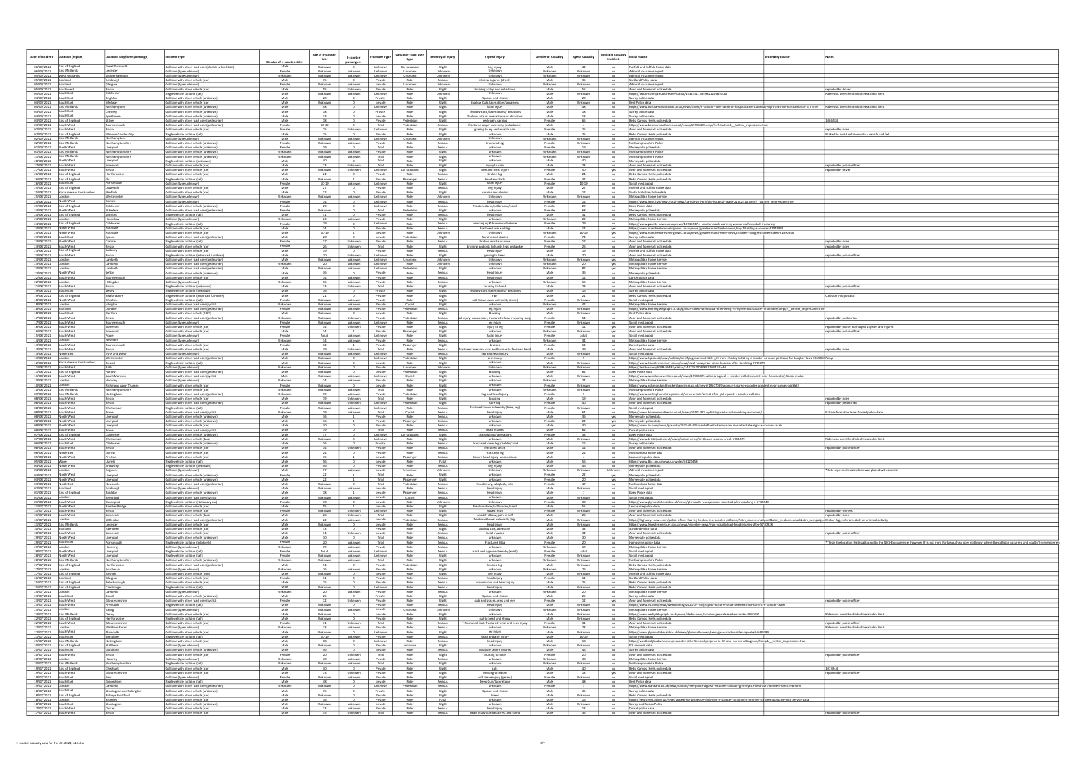| Date of incident*                                                                                                                                                                                           | Location (region)                                                                  | cation (city/town/borough)                                    | cident type                                                                                                                     | <u>Gender of e-scooter ric</u> | Age of e-scooter<br>E-scooter<br>rider<br>passengers                  | E-scooter Type                                                                                 | Casualty - road user<br>Severity of injury<br>type         | Type of Injury                                                                            | <b>Gender of Casualty</b> | <b>Multiple Casualty</b><br><b>Age of Casualty</b><br>Incident | nitial source<br>ndary source                                                                                                                                                                                                                                                                                         |                                                                                                                                                                      |
|-------------------------------------------------------------------------------------------------------------------------------------------------------------------------------------------------------------|------------------------------------------------------------------------------------|---------------------------------------------------------------|---------------------------------------------------------------------------------------------------------------------------------|--------------------------------|-----------------------------------------------------------------------|------------------------------------------------------------------------------------------------|------------------------------------------------------------|-------------------------------------------------------------------------------------------|---------------------------|----------------------------------------------------------------|-----------------------------------------------------------------------------------------------------------------------------------------------------------------------------------------------------------------------------------------------------------------------------------------------------------------------|----------------------------------------------------------------------------------------------------------------------------------------------------------------------|
|                                                                                                                                                                                                             | 06/09/2021 East of England<br>06/09/2021 East Midlands                             | Sreat Yarmouth<br>eicester                                    | Collision with other road user (electric wheelchair)<br>Collision (type unknown)                                                | Female                         | Unknown<br>$\mathbf{U}$<br>Unknown                                    | Unknown Car occupant<br>Unknown<br>unknown                                                     | Slight<br>Unknown<br>Unknown                               | Leg injury<br>Unknown                                                                     | Male<br>Unknown           | $-$ no<br>Unknown<br>no                                        | Norfolk and Suffolk Police data                                                                                                                                                                                                                                                                                       |                                                                                                                                                                      |
| 05/09/2021 Scotland                                                                                                                                                                                         | 05/09/2021 West Midlands                                                           | Wolverhampton<br><u>Edinburgh</u>                             | Collision (type unknown)<br>Collision with other vehicle (car                                                                   | Unknown<br>Male                | Unknown<br>unknown<br>$\overline{0}$                                  | <b>Unknown</b><br>Private                                                                      | Unknown<br>Unknown<br>Rider<br>Serious                     | Unknown<br>internal injuries (chest)                                                      | Unknown<br>Male           | Unknown<br>no<br>no                                            | Admiral Insurance report<br>Admiral Insurance report<br>Scotland Police data                                                                                                                                                                                                                                          |                                                                                                                                                                      |
| 05/09/2021 Scotland                                                                                                                                                                                         |                                                                                    | Glasgow<br>Bristol<br>Colchester                              | Collision (type unknown)<br>Collision with other vehicle (car                                                                   | Female<br>Male                 | Unknown<br>55<br>Unknown                                              | private<br>unknown  <br>Private                                                                | Unknown<br>Unknown<br>Rider<br>Slight                      | bruising to hip and collarbone                                                            | Unknown<br>Male           | Unknown<br>$-$ no<br>55<br>n <sub>0</sub>                      | Admiral Insurance report<br>Avon and Somerset police data                                                                                                                                                                                                                                                             | reported by driver                                                                                                                                                   |
| 05/09/2021 South west<br>05/09/2021 South East<br>04/09/2021 South East                                                                                                                                     |                                                                                    | Brighton                                                      | Single vehicle collision (fall)<br>Collision with other vehicle (unknown                                                        | Male<br>Male                   | Unknown<br>unknown<br>20<br>$\overline{\phantom{0}}$                  | Unknown<br>Private                                                                             | Rider<br>Unknown<br>Rider<br>Slight                        | Unknown<br>Sprains and strains                                                            | Male<br>Male              | Unknown<br>20<br>$-$ no                                        | no https://twitter.com/EPColchester/status/1434351733598212098?s=20<br>Surrey police data                                                                                                                                                                                                                             | Rider was over the drink-drive alcohol limit                                                                                                                         |
| 04/09/2021 South East<br>03/09/2021                                                                                                                                                                         | 04/09/2021 East Midlands<br>South East                                             | Northampton<br>Crawley                                        | Collision with other vehicle (car)<br>Collision with other vehicle (unknowr<br>Collision with other vehicle (unknow             | Male<br>Male<br>Male           | Unknown<br>48                                                         | $\overline{\phantom{a}}$<br>private<br>Unknown<br>Private                                      | Rider<br>Slight<br>Rider<br>Slight<br>Rider<br>Slight      | Shallow Cuts/lacerations/abrasi<br>facial injury<br>Shallow cuts / lacerations / abrasion | Male<br>Male<br>Male      | Unknown<br>$-$ no<br>$-$ no<br>no                              | Kent Police data<br>https://www.northamptonchron.co.uk/news/crime/e-scooter-rider-taken-to-hospital-after-saturday-night-crash-in-northampton-3372497 Rider was over the drink-drive alcohol limit<br>Surrey police data                                                                                              |                                                                                                                                                                      |
| 03/09/2021 South East                                                                                                                                                                                       | 03/09/2021 East of England                                                         | Spelthorne<br>St. Ives                                        | Collision with other vehicle (unknow<br>Collision with other road user (pedestrian                                              | Male<br>Male                   | 18<br>$\overline{\phantom{a}}$                                        | private<br>Private                                                                             | Rider<br>Slight<br>Pedestrian<br>Slight                    | Shallow cuts or laceractions or abrasions<br>neck pain, sprains                           | Male<br>Female            | 13<br>$-$ no $-$<br>65<br>$-$ no $-$                           | Surrey police data<br>Beds, Cambs, Herts police data                                                                                                                                                                                                                                                                  | 086284                                                                                                                                                               |
| 03/09/2021 South West<br>02/09/2021 South West                                                                                                                                                              |                                                                                    | Bournemouth<br>Bristol                                        | Collision with other road user (pedestrian<br>Collision with other vehicle (car)                                                | Female<br>female<br>Male       | 30-39<br>$\overline{\phantom{a}}$<br>25                               | Trial<br>Unknown<br>Unknown<br>Private                                                         | Pedestrian<br>Serious<br>Rider<br>Slight<br>Rider          | fractured upper extremity (collarbone<br>grazing to leg and muscle pain                   | Male<br>Female<br>Male    | n <sub>0</sub>                                                 | https://www.bournemouthecho.co.uk/news/19558409.amp/?ref=twtrec&_twitter_impression=true<br>no Avon and Somerset police data                                                                                                                                                                                          | reported by rider                                                                                                                                                    |
|                                                                                                                                                                                                             | 02/09/2021 East of England<br>02/09/2021 East Midlands<br>02/09/2021 East Midlands | Welwyn Garden City<br>Northampton<br>Northamptonshire         | Single vehicle collision (fall)<br>Collision (type unknown)<br>Collision with other vehicle (unknown)                           | Male<br>Female                 | 25<br>Unknown<br>unknown<br>Unknown                                   | $\overline{\phantom{0}}$<br>Unknown<br>unknown<br>Private                                      | Slight<br>Unknown<br>Unknown<br>Rider<br>Serious           | unknowr<br>Unknown<br>Fractured leg                                                       | Unknown<br>Female         | no<br>Unknown<br>n <sub>0</sub><br>Unknown<br>n <sub>0</sub>   | Beds, Cambs, Herts police data<br>Admiral Insurance report<br>Northamptonshire Police                                                                                                                                                                                                                                 | Braked to avoid collision with a vehicle and fell                                                                                                                    |
| 01/09/2021                                                                                                                                                                                                  | North West<br>01/09/2021 East Midlands                                             | Liverpool<br>Northamptonshire                                 | Collision with other vehicle (unknown)<br>Collision with other vehicle (unknowr                                                 | Female<br>Unknown              | 19<br>Unknown<br>unknown                                              | Trial<br>$\sim$ 0<br>Private                                                                   | Rider<br>Serious<br>Rider<br>Slight                        | unknown<br>unknown                                                                        | Female<br>Unknown         | 19<br>no<br>n <sub>0</sub><br>Unknown                          | Merseyside police data<br>Northamptonshire Police                                                                                                                                                                                                                                                                     |                                                                                                                                                                      |
| 31/08/2021 East Midlands<br>28/08/2021 North West                                                                                                                                                           |                                                                                    | Northamptonshire<br>Liverpool                                 | Collision with other vehicle (unknow<br>Single vehicle collision (unknown)                                                      | Unknown<br>Male                | Unknown<br>40<br>$\overline{0}$                                       | Trial<br>unknown<br>Trial                                                                      | Rider<br>Slight<br>Slight<br>Rider                         | unknow<br>unknown                                                                         | Unknown<br>Male           | Unknown<br>$-$ no<br>40<br>no                                  | Northamptonshire Police<br>Merseyside police data                                                                                                                                                                                                                                                                     |                                                                                                                                                                      |
| 27/08/2021 South West<br>27/08/2021 South West                                                                                                                                                              |                                                                                    | Somerset<br>Bristol                                           | Collision with other vehicle (car<br>Collision with other vehicle (car                                                          | Male<br>Male                   | 23<br>Unknown<br>Unknown                                              | Trial<br>Unknown<br>Unknown                                                                    | Rider<br>Slight<br>Car occupant<br>Slight                  | injury to shin<br>Arm and wrist injury                                                    | Male<br>Female            | 23<br>no<br>yes                                                | Avon and Somerset police dat<br>Avon and Somerset police data                                                                                                                                                                                                                                                         | reported by police office<br>eported by driver                                                                                                                       |
|                                                                                                                                                                                                             | 26/08/2021 East of England<br>26/08/2021 East of England<br>South East             | <b>Hertfordshire</b><br>Portsmouth                            | Collision with other vehicle (car<br>Single vehicle collision (fall)                                                            | Male<br>Female                 | 24<br>Unknown                                                         | Private<br>$\overline{\phantom{a}}$<br>Private                                                 | Rider<br>Serious<br>Passenger<br>Serious<br>Rider          | broken leg<br>head and back                                                               | Male<br>Female            | n0<br>$-$ no                                                   | Beds, Cambs, Herts police data<br>Beds, Cambs, Herts police dat                                                                                                                                                                                                                                                       |                                                                                                                                                                      |
| 26/08/2021                                                                                                                                                                                                  | 25/08/2021 East of England<br>25/08/2021 Yorkshire and the Humber                  | Lowestoft<br>Sheffield                                        | Collision (type unknown)<br>Collision with other vehicle (car<br>Collision with other vehicle (car)                             | Male<br>Male                   | $10-19$<br>unknown<br>27<br>12<br>$\sim$ 0                            | Unknown<br>Private<br>$\sim$ 0<br>Private                                                      | Slight<br>Rider<br>Serious<br>Rider<br>Slight              | facial injury<br>Leg injury<br>sprains and strains                                        | Female<br>Male<br>Male    | $10 - 19$<br>$-$ no<br>27<br>no<br>12                          | Social media post<br>Norfolk and Suffolk Police data<br>no South Yorkshire Police data                                                                                                                                                                                                                                |                                                                                                                                                                      |
| 25/08/2021 London<br>25/08/2021 North West                                                                                                                                                                  |                                                                                    | Carlisle                                                      | Collision (type unknown)<br>Collision (type unknown)                                                                            | Unknown<br>Female              | Unknown<br>14<br>$\sim$ 0                                             | unknown<br>Unknown<br>Unknown                                                                  | Rider<br>Unknown<br>Rider<br>Serious                       | Unknown<br>head injury                                                                    | Unknown<br>Female         | Unknown<br>n <sub>0</sub><br>14<br>$-$ no                      | Metropolitan Police Service<br>https://www.lancs.live/news/local-news/carlisle-girl-airlifted-hospital-heads-21402510.amp?_twitter_impression=true                                                                                                                                                                    |                                                                                                                                                                      |
| 24/08/2021 North West                                                                                                                                                                                       | 25/08/2021 East of England                                                         | Colchester<br>St.Helens                                       | Collision with other vehicle (unknown)<br>Collision with other road user (pedestrian)                                           | Female<br>Female               | Unknown                                                               | Unknown<br>Trial                                                                               | Rider<br>Serious<br>Slight<br>Pedestrian                   | Fractured arm/collarbone/hand<br>unknown                                                  | Female<br>Female          | n <sub>0</sub><br>68<br>no                                     | Essex Police data<br>Merseyside police data                                                                                                                                                                                                                                                                           |                                                                                                                                                                      |
| 24/08/2021 London                                                                                                                                                                                           | 24/08/2021 East of England                                                         | Watford<br>lounslow                                           | Single vehicle collision (fall)<br>Collision (type unknown)                                                                     | Male<br>Unknown                | $\overline{0}$                                                        | Private<br>Private<br>unknown                                                                  | Rider<br>Serious<br>Rider<br>Slight                        | head injury<br>unknown                                                                    | Male<br>Unknown           | $-$ no<br>$-$ no                                               | Beds, Cambs, Herts police data<br>Metropolitan Police Service                                                                                                                                                                                                                                                         |                                                                                                                                                                      |
| 24/08/2021 North West                                                                                                                                                                                       | 24/08/2021 East of England                                                         | Colchester<br>Rochdale                                        | Single vehicle collision (fall)<br>Collision with other vehicle (car                                                            | Female<br>Male                 | $\overline{0}$<br>$\overline{\phantom{0}}$<br>14                      | Unknown<br>Private                                                                             | Rider<br>Serious<br>Rider<br>Serious                       | head injury & broken collarbone<br>fractured arm and leg                                  | Female<br>Male            | no<br>14                                                       | https://www.gazette-news.co.uk/news/19546537.e-scooter-crash-warning-woman-suffers-skull-fractures,<br>yes https://www.manchestereveningnews.co.uk/news/greater-manchester-news/boy-14-riding-e-scooter-22045935                                                                                                      |                                                                                                                                                                      |
| 24/08/2021 North West<br>23/08/2021 South East                                                                                                                                                              |                                                                                    | Rochdale<br>Epsom                                             | Collision with other vehicle (car<br>Collision with other road user (pedestrian)                                                | Male<br>Male                   | 10-19<br>20<br>$\sim$ 0                                               | private<br>private                                                                             | Rider<br>Unknown<br>Pedestrian<br>Slight                   | Unknown<br>Sprains and strains                                                            | Unknown<br>Female         | 10-19<br>74<br>no                                              | yes https://www.manchestereveningnews.co.uk/news/greater-manchester-news/children-riding-e-scooter-taken-21390986<br>Surrey police data                                                                                                                                                                               |                                                                                                                                                                      |
| 23/08/2021 North West                                                                                                                                                                                       | 23/08/2021 South West<br>23/08/2021 East of England                                | Bristol<br>Sudbury                                            | Single vehicle collision (fall)<br>Collision with other vehicle (car<br>Collision with other vehicle (car)                      | Female<br>Female<br>Male       | Unknown                                                               | Unknown<br>Private<br>Trial<br>Private<br>$\sim$ 0                                             | Rider<br>Serious<br>Rider<br>Slight<br>Rider<br>Serious    | broken wrist and nose<br>bruising and cuts to hands legs and ankle<br>Head injury         | Female<br>Female<br>Male  | no<br>19<br>no                                                 | no Avon and Somerset police data<br>Avon and Somerset police data<br>Norfolk and Suffolk Police data                                                                                                                                                                                                                  | reported by rider<br>reported by rider                                                                                                                               |
| 23/08/2021 South West<br>23/08/2021 London                                                                                                                                                                  |                                                                                    | Bristol<br>Lambeth                                            | Single vehicle collision (into road furniture)<br>Collision with other road user (pedestrian)                                   | Male<br>Male                   | Jnknown                                                               | Unknown<br>Unknown<br>unknown<br>Unknown                                                       | Rider<br>Slight<br>Unknown<br>Unknown                      | grazing to head<br>Unknown                                                                | Male<br>Unknown           | $-$ no<br>- 20<br>Unknown<br>yes                               | Avon and Somerset police data<br>Metropolitan Police Service                                                                                                                                                                                                                                                          | ported by police officer                                                                                                                                             |
| 23/08/2021 London                                                                                                                                                                                           |                                                                                    | Lambeth                                                       | Collision with other road user (pedestrian)<br>Collision with other road user (pedestrian)                                      | Unknown<br>Male                | 20<br>Unknown                                                         | unknown Unknown<br>unknown<br>Unknown                                                          | Rider<br>Unknown<br>Pedestrian<br>Slight                   | Unknown<br>unknown                                                                        | Unknown<br>Unknown        | 20<br>$Y$ es<br>yes                                            | Metropolitan Police Service<br>Metropolitan Police Service                                                                                                                                                                                                                                                            |                                                                                                                                                                      |
| 23/08/2021 London<br>22/08/2021 North West<br>22/08/2021 South West                                                                                                                                         |                                                                                    | Sefton<br>Bournemouth                                         | Collision with other vehicle (unknow<br>Collision with other vehicle (car                                                       | Male<br>Male                   | - 36<br>14<br>unknown                                                 | Private<br>Private                                                                             | Serious<br>Rider<br>Rider<br>Serious                       | Head Injury<br>head injury                                                                | Male<br>Male              | no<br>14<br>no                                                 | Merseyside police data<br>Dorset police data                                                                                                                                                                                                                                                                          |                                                                                                                                                                      |
| 22/08/2021 London<br>21/08/2021 South West                                                                                                                                                                  |                                                                                    | <b>Hillingdon</b><br>Bristol                                  | Collision (type unknown)<br>Single vehicle collision (unknown)                                                                  | Unknown<br>Male                | unknown<br>16                                                         | Private<br>Unknown<br>Trial                                                                    | Rider<br>Serious<br>Rider<br>Slight                        | unknown<br>bruising to hand                                                               | Unknown<br>Male           | $-$ no<br>no                                                   | Metropolitan Police Service<br>Avon and Somerset police dat                                                                                                                                                                                                                                                           | ported by police offic                                                                                                                                               |
| 19/08/2021 South East                                                                                                                                                                                       | 19/08/2021 East of England<br>18/08/2021 North West                                | Bedfordshire<br>Cheshire                                      | Single vehicle collision (unknown)<br>Single vehicle collision (into road furniture                                             | Male<br>Male<br>Female         | $\bullet$                                                             | Private<br>Private                                                                             | Rider<br>Slight<br>Rider<br>Slight<br>Rider                | Shallow cuts / lacerations / abrasio<br>soft tissue lower extremity (knee                 | Male                      | $-$ no<br>$-$ no                                               | Surrey police data<br>Beds, Cambs, Herts police data                                                                                                                                                                                                                                                                  | collision into postbox                                                                                                                                               |
| 18/08/2021 London                                                                                                                                                                                           |                                                                                    | Islington                                                     | Single vehicle collision (fall)<br>Collision with other road user (cyclist)<br>Collision with other road user (pedestrian)      | Unknown<br>Female              | Unknown<br><b>Unknown</b><br>Unknown                                  | unknown<br>Private<br>unknown<br>Private<br>Private<br>unknown                                 | Slight<br>Cyclist<br>Slight<br>Pedestrian<br>Serious       | unknow<br>leg injury                                                                      | Female<br>Unknown<br>Male | Unknown<br>$-$ no<br>42<br>Unknown                             | Social media post<br>no Metropolitan Police Service<br>no https://www.eveningtelegraph.co.uk/fp/man-taken-to-hospital-after-being-hit-by-electric-scooter-in-dundee/amp/?__twitter_impression=tru                                                                                                                     |                                                                                                                                                                      |
| 18/08/2021 Scotland<br>18/08/2021 South East<br>17/08/2021 South West                                                                                                                                       |                                                                                    | Dartford<br>Bristol                                           | Collision with other vehicle (HGV<br>Collision with other road user (pedestria                                                  | Male<br>Unknown                | Unknown<br>Unknown                                                    | private<br>$\overline{\phantom{a}}$<br>Private<br>Unknown                                      | Slight<br>Rider<br>Pedestrian<br>Serious                   | Bruising<br>cussion, fractured elbow requiring sur                                        | Male<br>Female            | Unknown<br>$-$ no<br>54                                        | Kent Police data<br>no Avon and Somerset police data                                                                                                                                                                                                                                                                  | ported by pedestrian                                                                                                                                                 |
| 17/08/2021 South West<br>16/08/2021 South West                                                                                                                                                              |                                                                                    | Bournemouth<br>Somerset                                       | Collision (type unknown)<br>Collision with other vehicle (car                                                                   | Female<br>Female               | Unknown<br>14<br>Unknown                                              | unknown<br>Unknown<br>Private                                                                  | Rider<br>Serious<br>Rider<br>Slight                        | leg injury<br>injury to leg                                                               | Female<br>Female          | Unknown<br>14                                                  | no Social media post<br>yes Avon and Somerset police data                                                                                                                                                                                                                                                             | reported by police, both aged 14years and injured                                                                                                                    |
| 16/08/2021 South West<br>15/08/2021 South West                                                                                                                                                              |                                                                                    | Somerset<br>Poole                                             | Collision with other vehicle (car)<br>Collision (type unknown)                                                                  | Male<br>Female                 | 14<br>Adult                                                           | 1 Private<br>unknown Unknown                                                                   | Passenger<br>Slight<br>Rider<br>Slight                     | unknown<br>facial injury                                                                  | Unknown<br>Female         | Unknown<br>adult<br>$-$ no                                     | yes Avon and Somerset police data<br>Social media post                                                                                                                                                                                                                                                                | <u>reported by police officer</u>                                                                                                                                    |
| 14/08/2021 London<br>13/08/2021 South West                                                                                                                                                                  |                                                                                    | Newham<br>Bournemouth                                         | Collision (type unknown)<br>Collision with other vehicle (car                                                                   | Unknown<br>Female              | 34<br>$\mathbf{1}$                                                    | Private<br>unknown<br>Private                                                                  | Rider<br>Serious<br>Passenger<br>Slight                    | unknown<br>bruises                                                                        | Unknown<br>Female         | 34<br>n <sub>0</sub><br>n <sub>0</sub>                         | Metropolitan Police Service<br>Dorset police data                                                                                                                                                                                                                                                                     |                                                                                                                                                                      |
| 13/08/2021 South West<br>13/08/2021 North East<br>13/08/2021   London                                                                                                                                       |                                                                                    | Bristol<br>Tyne and Wear                                      | collision with other vehicle (car<br>Collision (type unknown)                                                                   | Male<br>Male<br>Male           | 39<br>Unknown<br>Unknown                                              | Unknown<br>Trial<br>unknown Unknown<br>Unknown                                                 | Rider<br>Serious<br>Rider<br>Serious<br>Pedestrian         | red forearm, cuts and bruises to face a<br>leg and head injury                            | Male<br>Male<br>Female    | 39<br>n <sub>0</sub><br>Unknown                                | Avon and Somerset police data<br>Social media post<br>$\overline{\phantom{0}}$ no                                                                                                                                                                                                                                     | ported by rider                                                                                                                                                      |
| 11/08/2021 South West                                                                                                                                                                                       | 12/08/2021 Yorkshire and the Humber                                                | ninste<br>Birstall                                            | Collision with other road user (pedestrian)<br>Single vehicle collision (fall)<br>Collision (type unknown)                      | Male<br>Unknown                | Unknown<br>$\overline{0}$<br>Unknown<br>$\overline{\phantom{a}}$      | $\frac{0}{1}$<br>private<br>Private                                                            | Slight<br>Rider<br>Slight<br>Unknown<br>Unknown            | arm injury<br>unknown<br>Unknown                                                          | Male<br>Unknown           | $-$ no<br>Unknown<br>$-$ no<br>Unknown                         | https://www.lep.co.uk/news/politics/terrifying-moment-little-girl-from-chorley-is-hit-by-e-scooter-as-mum-petitions-for-tougher-laws-3365856?amp<br>https://www.leicestermercury.co.uk/news/local-news/man-taken-hospital-after-tumbling-5785075<br>no https://twitter.com/ASPBathNES/status/1427267009088270343?s=20 |                                                                                                                                                                      |
|                                                                                                                                                                                                             | 11/08/2021 East of England<br>11/08/2021 South West                                | Harlow<br>South Marston                                       | Collision with other road user (pedestrian)<br>Collision with other road user (cyclist                                          | Male<br>Male                   | Unknown<br>Unknown                                                    | 0 private<br>unknown Unknown                                                                   | Pedestrian<br>Slight<br>Cyclist<br>Slight                  | Bruising<br>unknown                                                                       | Male<br>Male              | 62<br>Unknown                                                  | no Essex Police data<br>no https://www.swindonadvertiser.co.uk/news/19508825.witness-appeal-e-scooter-collides-cyclist-near-honda-site/, Social media                                                                                                                                                                 |                                                                                                                                                                      |
| 10/08/2021 London<br>10/08/2021                                                                                                                                                                             |                                                                                    | Hackney<br>Richmond upon Thames                               | Collision (type unknown)<br>Collision with other vehicle (car                                                                   | Unknown<br>Female              | 24<br>Unknown                                                         | Private<br>unknown<br>private                                                                  | Rider<br>Slight<br>Rider<br>Slight                         | unknown<br>unknown                                                                        | Unknown<br>Female         | 24<br>n <sub>0</sub><br>Unknown<br>no                          | Metropolitan Police Service<br>https://www.richmondandtwickenhamtimes.co.uk/news/19507069.woman-injured-escooter-accident-near-barnes-parklet/                                                                                                                                                                        |                                                                                                                                                                      |
| 10/08/2021 East Midlands                                                                                                                                                                                    | 09/08/2021 East Midlands                                                           | Northamptonshire<br>Nottingham                                | Collision with other vehicle (car<br>Collision with other road user (pedestrian                                                 | Unknown<br>Unknown             | Unknown<br>unknown<br>19                                              | Trial<br>unknown<br>Private                                                                    | Rider<br>Slight<br>Pedestrian<br>Slight                    | unknown<br>leg and head injury                                                            | Unknown<br>Female         | Unknown<br>no                                                  | Northamptonshire Police<br>no https://www.nottinghamshire.police.uk/news-article/arrest-after-girl-injured-e-scooter-collision                                                                                                                                                                                        |                                                                                                                                                                      |
| 08/08/2021 South West<br>08/08/2021 South West                                                                                                                                                              |                                                                                    | Bristol<br>Bristol                                            | collision with other vehicle (car<br>Collision with other road user (pedestrian)                                                | Male<br>Male                   | Unknown                                                               | Trial<br>Unknown<br>Unknown<br>Unknown                                                         | Rider<br>Slight<br>Pedestrian<br>Slight                    | bruising<br>sore hip                                                                      | Male<br>Female            | $-$ no<br>40                                                   | Avon and Somerset police data<br>no Avon and Somerset police data                                                                                                                                                                                                                                                     | eported by ride<br>reported by pedestrian                                                                                                                            |
| 08/08/2021 South West<br>08/08/2021 South West<br>08/08/2021 North West                                                                                                                                     |                                                                                    | Cheltenham<br>Poole<br>Liverpool                              | Single vehicle collision (fall)<br>Collision with other road user (cyclist<br>Collision with other vehicle (unknown)            | Female<br>Unknown<br>Male      | Unknown<br>unknown<br>19<br>36                                        | Unknown<br>unknown<br>Trial<br>Private                                                         | Rider<br>Serious<br>Cyclist<br>Serious<br>Rider<br>Serious | fractured lower extremity (knee, l<br>head injury<br>unknown                              | Female<br>Male<br>Male    | Unknown<br>$-$ no<br>64<br>no                                  | Social media post<br>https://www.bournemouthecho.co.uk/news/19501372.cyclist-injured-crash-involving-e-scooter<br>Merseyside police data                                                                                                                                                                              | Extra information from Dorset police data                                                                                                                            |
| 08/08/2021 North West<br>08/08/2021 North West                                                                                                                                                              |                                                                                    | Liverpool<br>Liverpool                                        | Collision with other vehicle (unknown<br>Collision with other vehicle (car                                                      | Male<br>Male                   | 30                                                                    | $\frac{1}{\sqrt{2}}$<br>Private<br>$\frac{1}{\sqrt{2}}$<br>Private<br>$\overline{\phantom{a}}$ | Serious<br>Passenger<br>Rider<br>Serious                   | unknow<br>unknown                                                                         | Female<br>Male            | yes<br>yes<br>yes                                              | Merseyside police data<br>https://www.itv.com/news/granada/2021-08-09/man-left-with-Serious-injuries-after-late-night-e-scooter-crash                                                                                                                                                                                 |                                                                                                                                                                      |
| 08/08/2021 South West                                                                                                                                                                                       | 07/08/2021 East of England                                                         | Colchester                                                    | Collision with other road user (cycl<br>Collision with other vehicle (unknow                                                    | Male<br>Male                   |                                                                       | Trial<br>Unknown                                                                               | Rider<br>Serious<br>Car occupant<br>Slight                 | Head injuries<br>Shallow cuts/laceration                                                  | Male<br>Female            | - 64<br>no<br>no                                               | Dorset police data<br><b>Essex Police data</b>                                                                                                                                                                                                                                                                        |                                                                                                                                                                      |
| 07/08/2021 South West<br>06/08/2021 South East                                                                                                                                                              |                                                                                    | Cheltenham<br>Chichester                                      | Collision with other vehicle (bus)<br>Collision with other vehicle (unknow                                                      | Male<br>Male                   | Unknown<br>$\overline{\phantom{0}}$<br>16<br>$\overline{\phantom{a}}$ | <b>Unknown</b><br>Private                                                                      | Rider<br>Slight<br>Rider<br>Serious                        | unknown<br>Fractured lower leg / ankle / foot                                             | Male<br>Male              | Unknown<br>$-$ no<br>16                                        | https://www.bristolpost.co.uk/news/bristol-news/first-bus-e-scooter-crash-5758679<br>no Surrey police data                                                                                                                                                                                                            | Rider was over the drink-drive alcohol limi                                                                                                                          |
| 06/08/2021 South West<br>06/08/2021 North East                                                                                                                                                              |                                                                                    | Bristol<br>Jarrow                                             | Collision with other vehicle (car<br>Collision with other vehicle (car                                                          | Male<br>Male                   | 14<br>24                                                              | Unknown<br>Private<br>Private<br>$\overline{\phantom{a}}$                                      | Rider<br>Serious<br>Rider<br>Serious                       | fractured ankle<br>fractured leg                                                          | Male<br>Male              | n <sub>0</sub><br>24<br>no                                     | Avon and Somerset police data<br>Northumbria Police data                                                                                                                                                                                                                                                              | reported by police officer                                                                                                                                           |
| 05/08/2021<br>05/08/2021   Wales                                                                                                                                                                            | <b>North West</b>                                                                  | Preston<br>Llanelli                                           | :ollision with other vehicle (cai<br>Single vehicle collision (fall)                                                            | Male                           | 56                                                                    | private                                                                                        | Serious<br>Rider<br>Fatal                                  | evere nead injury lunconscic<br>unknown                                                   | Male                      | no                                                             | Lancashire police data<br>https://www.bbc.co.uk/news/uk-wales-58120458                                                                                                                                                                                                                                                |                                                                                                                                                                      |
| 04/08/2021 North West<br>04/08/2021 London<br>03/08/2021 North West                                                                                                                                         |                                                                                    | Knowsley<br>Edgware                                           | Single vehicle collision (unknown)<br>Collision (type unknown)                                                                  | Male<br>Male<br>Female         | $\frac{46}{1}$<br>$\overline{0}$<br>unknown                           | Private<br>private<br>Trial                                                                    | Rider<br>Serious<br>Unknown<br>Unknown<br>Slight<br>Rider  | Leg Injury<br>Unknown<br>unknown                                                          | Male<br>Unknown<br>Female | Unknown                                                        | no Merseyside police data<br>Unknown   Admiral Insurance repo                                                                                                                                                                                                                                                         | Date represents date claim was placed with Admiral                                                                                                                   |
| 03/08/2021 North West<br>03/08/2021 North East                                                                                                                                                              |                                                                                    | Liverpool<br>Liverpool<br>Newcastle                           | Collision with other vehicle (unknown)<br>Collision with other vehicle (unknown)<br>Collision with other road user (pedestrian) | Male<br>Male                   | $\frac{1}{\sqrt{2}}$<br>Unknown<br>$\overline{0}$                     | Trial<br>Trial                                                                                 | Passenger<br>Slight<br>Pedestrian<br>Serious               | unknown<br>head injury, whiplash, cuts                                                    | Female<br>Female          | - 20<br>47<br>no                                               | yes Merseyside police data<br>yes Merseyside police data<br>Northumbria Police data                                                                                                                                                                                                                                   |                                                                                                                                                                      |
| 02/08/2021 Scotland                                                                                                                                                                                         | 01/08/2021 East of England                                                         | Edinburgh<br>Basildon                                         | Collision (type unknown)<br>Collision with other vehicle (unknown)                                                              | Male<br>Male                   | Unknown<br>18                                                         | private<br>unknown<br>private<br>$\frac{1}{\sqrt{2}}$                                          | Rider<br>Serious<br>Passenger<br>Serious                   | head injury<br>head injury                                                                | Male<br>Male              | Unknown<br>$-$ no<br>n0                                        | Social media post<br>Essex Police data                                                                                                                                                                                                                                                                                |                                                                                                                                                                      |
| 01/08/2021<br>01/08/2021 South West                                                                                                                                                                         |                                                                                    | Brentford<br>Devonport                                        | Collision with other road user (cyclist<br>Single vehicle collision (stationary car                                             | Male<br>Female                 | Unknown<br>unknown<br>30                                              | private<br>private<br>$\bullet$ $\bullet$                                                      | Cyclist<br>Serious<br>Rider<br>Unknown                     | unknown<br>Unknown                                                                        | Male<br>Female            | Unknown<br>no<br>30                                            | Social media post<br>no<br>https://www.plymouthherald.co.uk/news/plymouth-news/woman-arrested-after-crashing-e-5733549                                                                                                                                                                                                |                                                                                                                                                                      |
| 31/07/2021 North West<br>31/07/2021 South West                                                                                                                                                              |                                                                                    | <b>Bamber Bridge</b><br>Bristol                               | Collision with other vehicle (car)<br>Collision with other vehicle (car)                                                        | Male<br>Female                 | 55<br>$\mathbf{1}$<br>Unknown                                         | private<br>Unknown Unknown                                                                     | Rider<br>Slight<br>Rider<br>Slight                         | Fractured arm/collarbone/hand<br>grazed thigh                                             | Male<br>Female            | 55<br>no<br>Unknown                                            | Lancashire police data<br>no Avon and Somerset police data                                                                                                                                                                                                                                                            | reported by witness                                                                                                                                                  |
| 31/07/2021 South West<br>31/07/2021 Lond<br>31/07/2021 East Midlands                                                                                                                                        |                                                                                    | Somerset<br>Willesden                                         | Collision with other vehicle (bus)<br>Collision with other road user (pedestrian)                                               | Male<br>Male                   | $^{26}$<br>unknown                                                    | Trial  <br>Unknown<br>private<br>private                                                       | Rider<br>Slight<br>Pedestrian<br>Serious                   | scratch elbow, pain in calf<br>ractured lower extremity (le)<br>head injury               | Male<br>Male              | - 26<br>Unknown<br>no                                          | no Avon and Somerset police data<br>https://highways-news.com/police-officer-has-leg-broken-in-e-scooter-collision/?utm_source=mailpoet&utm_medium=email&utm_campaign= Broken leg, rider arrested for criminal activity                                                                                               | reported by rider                                                                                                                                                    |
| 30/07/2021 Scotland                                                                                                                                                                                         | 30/07/2021 South West                                                              | Leicester<br>Aberdeen<br>Somerset                             | Collision with other vehicle (car)<br>Collision with other vehicle (car)<br>Collision with other vehicle (car)                  | Male<br>Male<br>Male           | Unknown<br>33<br>Unknown<br>34                                        | $\sim$ 0<br>Private<br>$\overline{\phantom{a}}$<br>private                                     | Rider<br>Serious<br>Rider<br>Slight<br>Rider<br>Serious    | shallow cuts, abrasions<br>facial injuries                                                | Male<br>Male<br>Male      | Unknown<br>no<br>33<br>$-$ no                                  | https://www.leicestermercury.co.uk/news/leicester-news/man-hospitalised-head-injuries-after-5730928<br>no Scotland Police data<br>Avon and Somerset police data                                                                                                                                                       | reported by police officer                                                                                                                                           |
| 29/07/2021 South East                                                                                                                                                                                       | 29/07/2021 North West                                                              | Liverpool<br>Portsmouth                                       | Collision with other vehicle (unknowr<br>Single vehicle collision (into kerb)                                                   | Male<br>Female                 | $\sim$ 0<br>unknown                                                   | Trial<br><u>—</u><br>Trial                                                                     | Rider<br>Serious<br>Rider<br>Serious                       | unknown<br>Fractured tibia                                                                | Male<br>Female            | n <sub>0</sub><br>$-$ no                                       | Merseyside police data<br>Hampshire police data                                                                                                                                                                                                                                                                       | This is the location that is attached to the NICHE occurrence, however IP is not from Portsmouth so does not know where the collision occurred and couldn't remember |
| 29/07/2021 London<br>28/07/2021 North West                                                                                                                                                                  |                                                                                    | Havering<br>Liverpool                                         | Collision (type unknown)<br>Single vehicle collision (fall)                                                                     | Unknown<br>Female              | 19<br>Adult                                                           | Private<br>unknown<br>unknown<br>Unknown                                                       | Rider<br>Serious<br>Rider<br>Serious                       | unknown<br>fractured upper extremity (wrist)                                              | Unknown<br>Female         | 19<br>n0<br>adult<br>n <sub>0</sub>                            | Metropolitan Police Service<br>Social media post                                                                                                                                                                                                                                                                      |                                                                                                                                                                      |
| 28/07/2021 North West                                                                                                                                                                                       | 28/07/2021 East Midlands                                                           | Liverpool<br>Northamptonshire                                 | Single vehicle collision (fall)<br>Collision with other vehicle (unknown)                                                       | Female<br>Unknown              | Unknown<br>Unknown                                                    | unknown Unknown<br>unknown<br>Trial                                                            | Rider<br>Slight<br>Rider<br>Slight                         | unknown<br>unknown                                                                        | Female<br>Unknown         | Unknown<br>Unknown<br>n <sub>0</sub>                           | no Social media post<br>Northamptonshire Police                                                                                                                                                                                                                                                                       |                                                                                                                                                                      |
| 27/07/2021 London                                                                                                                                                                                           | 27/07/2021 East of England                                                         | Hertfordshire<br>Southwark                                    | Collision with other road user (pedestrian)<br>Collision (type unknown)                                                         | Male<br>Unknown                | 14<br>26<br>unknown                                                   | Private<br>$\overline{\phantom{a}}$<br>Private                                                 | Pedestrian<br>Slight<br>Rider<br>Slight                    | bruised leg<br>unknown                                                                    | Male<br>Unknown           | Unknown<br>no<br>26<br>no                                      | Beds, Cambs, Herts police data<br>Metropolitan Police Service                                                                                                                                                                                                                                                         |                                                                                                                                                                      |
| 26/07/2021 Scotland                                                                                                                                                                                         | 27/07/2021 East of England                                                         | Ipswich<br>Glasgow                                            | Collision with other vehicle (var<br>Collision with other vehicle (car                                                          | Male<br>Female                 | Unknown<br>$\overline{11}$<br>25                                      | $\bullet$ $\bullet$<br>private<br>Private<br>$\overline{\ }$ $\overline{\ }$<br>Private        | Rider<br>Slight<br>Rider<br>Serious<br>Rider               | Leg injury<br>head injury                                                                 | Male<br>Female<br>Male    | Unknown<br>no<br>11<br>- 25                                    | Norfolk and Suffolk Police data<br>no<br>Scotland Police data                                                                                                                                                                                                                                                         |                                                                                                                                                                      |
| 24/07/2021   London                                                                                                                                                                                         | 25/07/2021 East of England<br>25/07/2021 East of England                           | Peterborough<br>Cambridge<br>Lambeth                          | Collision with other vehicle (car<br>Single vehicle collision (fall)<br>Collision (type unknown)                                | Male<br>Male<br>Unknown        | Unknown<br>$\overline{\phantom{0}}$                                   | $\overline{\ }$ $\overline{\ }$<br>Unknown<br>unknown<br>Private                               | Serious<br>Rider<br>Serious<br>Rider<br>Serious            | unconscious and head injury<br>head injury<br>unknown                                     | Male<br>Unknown           | $-$ no<br>Unknown<br>$-$ no<br>20                              | Beds, Cambs, Herts police data<br>Beds, Cambs, Herts police dat<br>no Metropolitan Police Service                                                                                                                                                                                                                     |                                                                                                                                                                      |
| 23/07/2021 South East<br>23/07/2021 South West                                                                                                                                                              |                                                                                    | Bexhill<br>Gloucestershire                                    | Collision with other vehicle (unknown)<br>Collision with other road user (cyclist                                               | Male<br>Female                 | 25<br>12                                                              | Private<br>$\overline{0}$<br>Private<br>Unknown                                                | Rider<br>Slight<br>Rider<br>Slight                         | Sprains and strains<br>cuts and grazes arms and legs                                      | Male<br>Female            | no<br>- 25<br>12<br>yes                                        | Surrey police data<br>Avon and Somerset police data                                                                                                                                                                                                                                                                   | reported by police officer                                                                                                                                           |
| 23/07/2021 South West<br>23/07/2021                                                                                                                                                                         |                                                                                    | Plymouth<br>Ealing                                            | Single vehicle collision (fall)<br>collision (type unknown)                                                                     | Male<br>Male                   | Unknown<br>Unknown<br>unknown                                         | Private<br>$0 \qquad \qquad$<br>private                                                        | Rider<br>Serious<br>Unknown<br>Unknown                     | head injury<br>Unknown                                                                    | Male<br>Unknown           | Unknown<br>Unknown<br>no                                       | no https://www.itv.com/news/westcountry/2021-07-25/graphic-pictures-show-aftermath-of-horrific-e-scooter-crash<br>Metropolitan Police Service                                                                                                                                                                         |                                                                                                                                                                      |
|                                                                                                                                                                                                             | 23/07/2021 East Midlands<br>22/07/2021 East of England                             | Derby<br>Hertfordshire                                        | Collision with other vehicle (car<br>Single vehicle collision (fall)                                                            | Male<br>Male                   | Unknown<br>Unknown                                                    | $\sim$ 0<br>private<br>Private<br>$\overline{\ }$ $\overline{\ }$                              | Rider<br>Slight<br>Rider<br>Slight                         | unknown<br>cut to head and elbow                                                          | Male<br>Male              | Unknown<br>Unknown                                             | no https://www.derbytelegraph.co.uk/news/derby-news/cctv-images-released-e-scooter-5697695<br>no Beds, Cambs, Herts police data                                                                                                                                                                                       | tider was over the drink-drive alcohol limi                                                                                                                          |
| 22/07/2021 South West<br>$\begin{tabular}{c c c} \hline $\color{red} 22/07/2021$ & London \\ \hline $\color{red} 22/07/2021$ & South West \\ \hline \end{tabular}$                                          |                                                                                    | Gloucestershire<br><b>Waltham Forest</b>                      | Collision with other vehicle (car)<br>Collision (type unknown)                                                                  | Female<br>Unknown              | 31<br>23                                                              | Unknown<br>Trial<br>Private<br>unknown                                                         | Rider<br>Serious<br>Rider<br>Serious                       | Fractured foot, fractured wrist and neck injury<br>unknown                                | Female<br>Unknown         | 31<br>23                                                       | no Avon and Somerset police data<br>no Metropolitan Police Service                                                                                                                                                                                                                                                    | reported by police officer<br>Rider was over the drink-drive alcohol limit                                                                                           |
| 21/07/2021 South East                                                                                                                                                                                       |                                                                                    | Plymouth<br>Berkshire                                         | Collision with other vehicle (car<br>Single vehicle collision (fall)                                                            | Male<br>Male                   | Unknown<br>$\overline{0}$<br>$10 - 19$<br>unknown                     | Unknown<br>Private                                                                             | Rider<br>Slight<br>Rider<br>Serious                        | leg injury<br>head and arm injury<br>head injury                                          | Male<br>Male              | Unknown<br>no<br>$10 - 19$<br>no                               | https://www.plymouthherald.co.uk/news/plymouth-news/teenage-e-scooter-rider-reported-568928<br>Social media post                                                                                                                                                                                                      |                                                                                                                                                                      |
| 21/07/2021 East Midlands<br>20/07/2021 South East                                                                                                                                                           | 20/07/2021 East of England                                                         | Nottingham<br>St.Albans<br>Guildford                          | Collision with other vehicle (car)<br>Collision (type unknown)<br>Collision with other vehicle (unknowr                         | Male<br>Male<br>Male           | 18<br>Unknown<br>46<br>$\overline{0}$                                 | 0 Unknown<br>Private<br>$\overset{\circ}{-}$                                                   | Rider<br>Serious<br>unknown<br>Slight<br>Rider<br>Serious  | unknown<br>Multiple severe injuries                                                       | Male<br>Unknown<br>Male   | 18<br>Unknown<br>no<br>46<br>$-$ no                            | no https://westbridgfordwire.com/e-scooter-rider-Seriously-injured-in-hit-and-run-in-nottingham/?amp&_twitter_impression=true<br>FOI request data                                                                                                                                                                     |                                                                                                                                                                      |
| 20/07/2021 South West<br>20/07/2021                                                                                                                                                                         | London                                                                             | Bristol<br>Hackney                                            | Collision with other vehicle (car)<br>:ollision (type unknown)                                                                  | Female<br>Unknown              | unknown                                                               | private<br>Trial<br>Unknown<br>Private                                                         | Rider<br>Slight<br>Rider<br>Serious                        | bruising to body<br>unknown                                                               | Female<br>Unknown         | no                                                             | Surrey police data<br>no Avon and Somerset police data<br>Metropolitan Police Service                                                                                                                                                                                                                                 | eported by police officer                                                                                                                                            |
|                                                                                                                                                                                                             | 20/07/2021 East Midlands<br>19/07/2021 East of England                             | Northamptonshir<br>Cheshunt                                   | Single vehicle collision (fall)<br>Collision with other vehicle (car                                                            | Unknown<br>Male                | Unknown<br>unknown<br>40<br>$\overline{\phantom{0}}$                  | Trial<br>Private                                                                               | Rider<br>Slight<br>Rider<br>Slight                         | unknown<br>cuts                                                                           | Unknown<br>Male           | Unknown<br>no<br>40                                            | Northamptonshire Police<br>no Beds, Cambs, Herts police data                                                                                                                                                                                                                                                          | 073944                                                                                                                                                               |
| $\begin{array}{r l} \hline 19/07/2021 & \text{South West} \\ \hline 19/07/2021 & \text{South East} \\ \hline 19/07/2021 & \text{South East} \\ \hline 19/07/2021 & \text{South East} \\ \hline \end{array}$ |                                                                                    | Gloucestershire<br>Kent                                       | Collision with other vehicle (car)<br>Collision (type unknown)                                                                  | Male<br>Female                 | - 13<br>Unknown                                                       | Private<br>Unknown  <br>unknown<br>Private                                                     | Rider<br>Slight<br>Rider<br>Slight                         | bruising to elbow<br>oft tissue injury (grazes)                                           | Male<br>Female<br>Male    | <sup>13</sup><br>yes<br>Unknown<br>n <sub>0</sub>              | Avon and Somerset police data<br>Social media post                                                                                                                                                                                                                                                                    | reported by police officer                                                                                                                                           |
| 19/07/2021 London                                                                                                                                                                                           |                                                                                    | Gravesham<br>Lambeth                                          | Single vehicle collision (fall)<br>Collision with other road user (pedestrian)                                                  | Male<br>Unknown                | 48<br>Unknown                                                         | private<br>Unknown                                                                             | Rider<br>Serious<br>Serious<br>Pedestrian                  | Deep Cuts/lacerations<br>unknown                                                          | Female                    | n <sub>o</sub><br>no                                           | Kent Police data<br>https://www.standard.co.uk/news/london/met-police-appeal-escooter-collision-girl-myatts-field-park-lambeth-b946798.html                                                                                                                                                                           |                                                                                                                                                                      |
| 18/07/2021 South East<br>18/07/2021   London                                                                                                                                                                | 18/07/2021 East of England                                                         | <b>Storrington and Sullington</b><br><b>Bishops Stortford</b> | Collision with other vehicle (unknown<br>Collision with other vehicle (car<br>Collision with other vehicle (car)                | Male<br>Male<br>Male           | 35<br>$\overline{0}$<br>Unknown                                       | Private<br>Private                                                                             | Rider<br>Slight<br>Rider<br>Slight<br>Rider                | Sprains and strains<br>knees                                                              | Male<br>Male              | 35<br>no<br>Unknown<br>$-$ no                                  | Surrey police data<br>Beds, Cambs, Herts police data                                                                                                                                                                                                                                                                  |                                                                                                                                                                      |
| 18/07/2021 South East<br>17/07/2021 South West                                                                                                                                                              |                                                                                    | Bromley<br>Storrington<br>Dorset                              | Collision with other vehicle (unknown)<br>Collision with other vehicle (car                                                     | Male<br>Male                   | 16<br>$\circ$<br>Unknown<br>unknown                                   | Private<br>private<br>unknown<br>Private                                                       | Fatal<br>Rider<br>Slight<br>Rider<br>Serious               | unknown<br>unknown<br>head injury                                                         | Male<br>Male<br>Male      | 16<br>no<br>Unknown<br>no                                      | https://news.met.police.uk/news/appeal-for-witnesses-following-e-scooter-collision-in-bromley-43 Metropolitan Police Service data<br>no Surrey and Sussex Police<br>Dorset police data                                                                                                                                |                                                                                                                                                                      |
| 17/07/2021 South West                                                                                                                                                                                       |                                                                                    | Bristol                                                       | Collision with other vehicle (car)                                                                                              | Male                           | 35                                                                    | Trial<br>Unknown I                                                                             | Rider<br>Serious                                           | Head Injury/cardiac arrest and coma                                                       | Male                      | 35                                                             | no Avon and Somerset police data                                                                                                                                                                                                                                                                                      | reported by police officer                                                                                                                                           |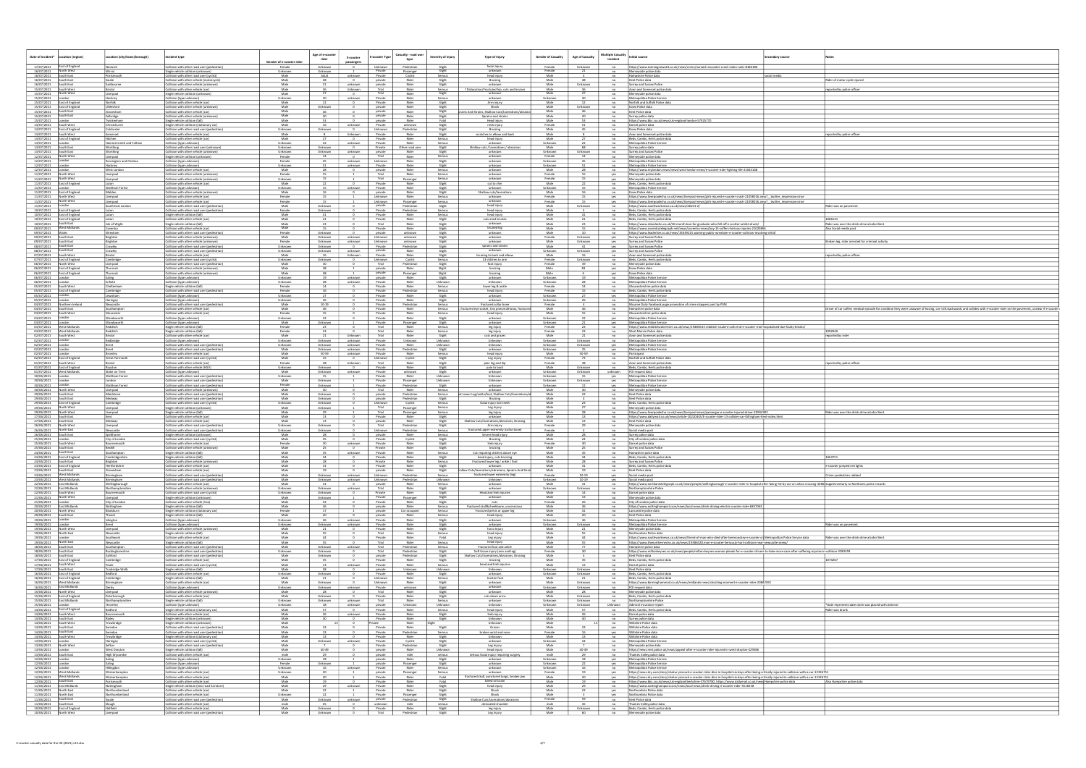|                                                                                                                                                                                                                                                                     | ation (city/town/borough)                  |                                                                                                                         | Age of e-scooter                                 |                                                                                                                                                                     | Casualty - road user<br>E-scooter Type         | Severity of injury                    | Type of Injury                                                         | <b>Gender of Casualty</b> | <b>Multiple Casualty</b><br><b>Age of Casualty</b>                                  | Initial source                                                                                                                                                                                                                                                                | condary source |                                                                                                                                                                              |
|---------------------------------------------------------------------------------------------------------------------------------------------------------------------------------------------------------------------------------------------------------------------|--------------------------------------------|-------------------------------------------------------------------------------------------------------------------------|--------------------------------------------------|---------------------------------------------------------------------------------------------------------------------------------------------------------------------|------------------------------------------------|---------------------------------------|------------------------------------------------------------------------|---------------------------|-------------------------------------------------------------------------------------|-------------------------------------------------------------------------------------------------------------------------------------------------------------------------------------------------------------------------------------------------------------------------------|----------------|------------------------------------------------------------------------------------------------------------------------------------------------------------------------------|
| Date of incident*   Location (region)                                                                                                                                                                                                                               |                                            | Incident type                                                                                                           | rider<br><u>Gender of e-scooter rid</u>          | E-scooter<br>passengers                                                                                                                                             | type                                           |                                       |                                                                        |                           | Incident                                                                            |                                                                                                                                                                                                                                                                               |                |                                                                                                                                                                              |
| East of England<br>17/07/2021<br>16/07/2021<br>North West                                                                                                                                                                                                           | Vorwich                                    | Collision with other road user (pedestrian)<br>Single vehicle collision (unknown)                                       | Female<br>Unknown<br>Unknown                     | Unknown<br>$\frac{v}{1}$ Unknown                                                                                                                                    | Pedestrian<br>Private<br>Passenger             | Slight<br>Slight                      | facial injury<br>unknown                                               | Female<br>Female          | Unknown<br>no                                                                       | no https://www.eveningnews24.co.uk/news/crime/norwich-escooter-crash-video-rules-8184186<br>Merseyside police data                                                                                                                                                            |                |                                                                                                                                                                              |
| 16/07/2021 South East                                                                                                                                                                                                                                               | ortsmouth                                  | Collision with other road user (cyclist                                                                                 | Adult<br>Male                                    | unknown                                                                                                                                                             | Private<br>Cyclist                             | Serious                               | head injury                                                            | Male                      |                                                                                     | no Hampshire Police data                                                                                                                                                                                                                                                      | ocial media    |                                                                                                                                                                              |
| 16/07/2021<br>South East<br>South East<br>16/07/2021                                                                                                                                                                                                                | Eastbourne                                 | ollision with other vehicle (motorcycle<br>Collision with other vehicle (unknown)                                       | Male<br>Male<br>$^{21}$                          | unknown                                                                                                                                                             | Rider<br>private<br>private<br>Rider           | Slight<br>Slight                      | Bruising<br>unknown                                                    | Male<br>Male              | $-$ no<br>Unknown no                                                                | Kent Police data<br>Surrey and Sussex Police                                                                                                                                                                                                                                  |                | er of motor cycle injurec                                                                                                                                                    |
| 15/07/2021 South West<br>North West                                                                                                                                                                                                                                 |                                            | Collision with other vehicle (car)                                                                                      | Male<br>Male                                     | Unknown                                                                                                                                                             | Trial<br>Rider<br>Trial<br>Rider               | Serious<br>Slight                     | tion/Fractuted hip, cuts and bruises<br>unknown                        | Male<br>Male              |                                                                                     | no Avon and Somerset police dat                                                                                                                                                                                                                                               |                | eported by police officer                                                                                                                                                    |
| 15/07/2021<br>15/07/2021                                                                                                                                                                                                                                            | Liverpool<br>Hackney                       | Single vehicle collision (unknown)<br>Collision (type unknown)                                                          | Unknown<br>$\frac{30}{2}$                        | $\sim$ 0<br>unknown                                                                                                                                                 | Private<br>Rider                               | Serious                               | unknown                                                                | Unknown                   | $-$ no $-$<br>30<br>$\overline{\phantom{a}}$ no                                     | Merseyside police data<br>Metropolitan Police Service                                                                                                                                                                                                                         |                |                                                                                                                                                                              |
| East of England<br>15/07/2021                                                                                                                                                                                                                                       | lorfolk<br>tlesford:                       | Collision with other vehicle (car)<br>Collision with other vehicle (unknown)                                            | Male<br>Male                                     |                                                                                                                                                                     | Private<br>Rider<br>Rider<br>private           | Slight                                | Arm injury<br>Shock                                                    | Male<br>Male              | $\overline{\phantom{a}}$ no                                                         | Norfolk and Suffolk Police data<br>Essex Police data                                                                                                                                                                                                                          |                |                                                                                                                                                                              |
| 15/07/2021 East of England<br>15/07/2021<br>South East                                                                                                                                                                                                              | aveshan                                    | Collision with other vehicle (car)                                                                                      |                                                  | Unknown                                                                                                                                                             | Rider<br>private                               | Slight<br>Slight                      | ins And Strains, Shallow Cuts/laceration                               | Male                      | Unknown<br>$-$ no<br>$-$ no                                                         | Kent Police data                                                                                                                                                                                                                                                              |                |                                                                                                                                                                              |
| 15/07/2021<br>South East                                                                                                                                                                                                                                            | elbridge                                   | Collision with other vehicle (unknown                                                                                   | Male<br>Male                                     |                                                                                                                                                                     | Rider<br>private<br>private<br>Rider           | Slight<br>Fatal                       | Sprains and strains<br>Head injury                                     | Male<br>Male              | $-$ no                                                                              | Surrey police data                                                                                                                                                                                                                                                            |                |                                                                                                                                                                              |
| 15/07/2021<br>14/07/2021 South West                                                                                                                                                                                                                                 | wickenham<br>hristchurch                   | Single vehicle collision (fall)<br>Single vehicle collision (stationary car)                                            | Male                                             | 16<br>unknown                                                                                                                                                       | Private<br>unknown                             | Slight                                | neck injury                                                            | Female                    | $-$ no                                                                              | https://www.bbc.co.uk/news/uk-england-london-57925770<br>no Dorset police data                                                                                                                                                                                                |                |                                                                                                                                                                              |
| 14/07/2021 East of England                                                                                                                                                                                                                                          | Colchester<br>omerset                      | Collision with other road user (pedestrian)                                                                             | Unknown<br>Unknown<br>Male                       | $\sim$ 0                                                                                                                                                            | Unknown<br>Pedestrian<br>Private<br>Rider      | Slight                                | Bruising                                                               | Male                      | $-$ no $-$                                                                          | <b>Essex Police data</b>                                                                                                                                                                                                                                                      |                |                                                                                                                                                                              |
| 13/07/2021<br>South West<br>13/07/2021<br>East of England                                                                                                                                                                                                           |                                            | Collision with other vehicle (car)<br>Collision with other vehicle (car)                                                | $^8$<br>Male                                     | Unknown                                                                                                                                                             | Private<br>Rider                               | Slight<br>Serious                     | scratches to elbow and back<br>head injury                             | Male<br>Male              | $\overline{\phantom{a}}$ no                                                         | no Avon and Somerset police data<br>Beds, Cambs, Herts police dat                                                                                                                                                                                                             |                | reported by police officer                                                                                                                                                   |
| $\frac{13/07/2021}{13/07/2021}$<br>London                                                                                                                                                                                                                           | ammersmith and Fulham                      | Collision (type unknown)<br>Collision with other road user (unknown                                                     | Unknown<br>Unknown<br>Unknown                    | unknown                                                                                                                                                             | Private<br>Rider<br>Private<br>Other road user | Serious<br>Slight                     | unknown<br>Shallow cuts / lacerations / abrasion                       | Unknown<br>Male           | $rac{1}{\sqrt{1-\frac{1}{2}}}$<br>68<br>no                                          | Metropolitan Police Service<br>Surrey police data                                                                                                                                                                                                                             |                |                                                                                                                                                                              |
| 13/07/2021 South East                                                                                                                                                                                                                                               | ortning<br><b>Northing</b>                 | Collision with other vehicle (unknown)                                                                                  | Unknown<br>Unknown                               | unknown                                                                                                                                                             | Rider<br>private                               | Slight                                | unknown                                                                | Unknown                   | Unknown<br>$\overline{\phantom{a}}$ no                                              | Surrey and Sussex Police                                                                                                                                                                                                                                                      |                |                                                                                                                                                                              |
| 12/07/2021 North West<br>London<br>12/07/2021                                                                                                                                                                                                                       | iverpool                                   | Single vehicle collision (unknown)                                                                                      | Female                                           |                                                                                                                                                                     | Trial<br>Rider<br>Rider                        | Serious                               | unknown                                                                | Female                    | $-$ no                                                                              | Merseyside police data                                                                                                                                                                                                                                                        |                |                                                                                                                                                                              |
| 12/07/2021                                                                                                                                                                                                                                                          | <b>Kensington and Chelsea</b><br>ackney    | Collision (type unknown)<br>Collision (type unknown)                                                                    | Female<br>45<br>Unknown                          | unknown Unknown<br>unknown                                                                                                                                          | Private<br>Rider                               | Slight<br>Slight                      | unknown<br>unknown                                                     | Unknown<br>Unknown        | 45<br>n <sub>0</sub><br>$n = 0$                                                     | Metropolitan Police Service<br>Metropolitan Police Service                                                                                                                                                                                                                    |                |                                                                                                                                                                              |
| London<br>12/07/2021<br>North Wes                                                                                                                                                                                                                                   | <b>Nest London</b>                         | Collision with other vehicle (car)                                                                                      | Male                                             |                                                                                                                                                                     | private<br>Rider<br>Trial<br>Rider             | Serious<br>Serious                    | unknown<br>unknown                                                     | Male<br>Female            | $-$ no $-$                                                                          | https://www.mylondon.news/news/west-london-news/e-scooter-rider-fighting-life-21043168                                                                                                                                                                                        |                |                                                                                                                                                                              |
| 11/07/2021<br>11/07/2021<br>North West                                                                                                                                                                                                                              | .iverpool<br>iverpool                      | Collision with other vehicle (unknown)<br>Collision with other vehicle (unknown)                                        | Female<br>Unknown                                |                                                                                                                                                                     | Trial<br>Passenger                             | Serious                               | unknown                                                                | Female                    | yes<br>$Y$ es                                                                       | Merseyside police data<br>Merseyside police data                                                                                                                                                                                                                              |                |                                                                                                                                                                              |
| 11/07/2021<br>East of England<br>11/07/2021                                                                                                                                                                                                                         | Valtham Forest                             | Collision with other vehicle (car<br>Collision (type unknown)                                                           | Male<br>Unknown                                  | unknown                                                                                                                                                             | Private<br>Rider<br>Private<br>Rider           | Slight<br>Slight                      | cut to chin<br>unknown                                                 | Male<br>Unknown           | $\overline{\phantom{a}}$ no<br>n <sub>0</sub>                                       | Beds, Cambs, Herts police data<br>Metropolitan Police Servic                                                                                                                                                                                                                  |                |                                                                                                                                                                              |
| 11/07/2021 East of England<br>11/07/2021 North West                                                                                                                                                                                                                 | Malden                                     | Collision with other vehicle (unknown)                                                                                  | Male<br>16                                       | $\overline{\phantom{a}}$                                                                                                                                            | private<br>Rider                               | Slight                                | Shallow cuts/lacerations                                               | Male                      | no Essex Police data<br>16                                                          |                                                                                                                                                                                                                                                                               |                |                                                                                                                                                                              |
| 11/07/2021<br>11/07/2021 North West                                                                                                                                                                                                                                 | verpool<br>verpool                         | Collision with other vehicle (car)<br>Collision with other vehicle (car)                                                | Female<br>Female<br>15                           |                                                                                                                                                                     | Unknown<br>Rider<br>Unknown<br>Passenger       | Serious<br>Serious                    | unknown<br>unknown                                                     | Female<br>Female          |                                                                                     | yes https://www.liverpoolecho.co.uk/news/liverpool-news/girls-injured-e-scooter-crash-21058016.amp? _twitter_impression=true<br>yes https://www.liverpoolecho.co.uk/news/liverpool-news/girls-injured-e-scooter-crash-21058016.amp?_twitter_impression=true                   |                |                                                                                                                                                                              |
| 11/07/2021                                                                                                                                                                                                                                                          | outh East London                           | Collision with other road user (pedestrian)                                                                             | Male                                             | Unknown                                                                                                                                                             | private<br>Pedestrian                          | Slight                                | head injury                                                            | Male                      | Unknown                                                                             | no https://www.southwarknews.co.uk/news/46101-2/                                                                                                                                                                                                                              |                | der was on pavement                                                                                                                                                          |
| 10/07/2021 East of England<br>10/07/2021<br>East of England                                                                                                                                                                                                         |                                            | Collision with other road user (pedestrian)<br>Single vehicle collision (fall)                                          | Female<br>Male<br>41                             | Unknown                                                                                                                                                             | Private<br>Pedestrian<br>Private<br>Rider      | Serious<br>Serious                    | head injury<br>head injury                                             | Male<br>Male              | $\frac{5}{2}$                                                                       | no<br>Beds, Cambs, Herts police data<br>no Beds, Cambs, Herts police data                                                                                                                                                                                                     |                |                                                                                                                                                                              |
| $\frac{10/07/2021}{10/07/2021}$<br>East of England                                                                                                                                                                                                                  |                                            | Collision with other vehicle (car)                                                                                      | Male                                             |                                                                                                                                                                     | Private<br>Rider                               | Slight                                | cuts ansd bruises                                                      | Male                      |                                                                                     | no Beds, Cambs, Herts police data<br>no https://www.islandecho.co.uk/26-month-ban-for-graduate-who-fell-off-e-scotter-whilst-drunk/                                                                                                                                           |                |                                                                                                                                                                              |
| 09/07/2021 West Midlands                                                                                                                                                                                                                                            | ile of Wight<br>Coventry                   | Single vehicle collision (fall)<br>Collision with other vehicle (car)                                                   | Male<br>15                                       |                                                                                                                                                                     | Trial<br>Rider<br>Rider<br>Private             | Slight<br>Slight                      | bruised leg                                                            | Male<br>Male              |                                                                                     | no https://www.coventrytelegraph.net/news/coventry-news/boy-15-suffers-Serious-injuries-21020866                                                                                                                                                                              |                | Rider was over the drink-drive alcohol li<br>Also Social media post                                                                                                          |
| 09/07/2021                                                                                                                                                                                                                                                          | Vrexham                                    | Collision with other road user (pedestrian)                                                                             | Female<br>Unknown                                |                                                                                                                                                                     | private<br>unknown                             | Slight                                | unknown                                                                | Male                      | 10                                                                                  | https://www.leaderlive.co.uk/news/19439215.warning-public-wrexham-e-scooter-collision-involving-child/                                                                                                                                                                        |                |                                                                                                                                                                              |
| 09/07/2021 South East<br>South Fast<br>09/07/2021                                                                                                                                                                                                                   | Brighton<br>Brighton                       | Collision with other vehicle (unknown)<br>Collision with other vehicle (unknown)                                        | Male<br>Female                                   | Unknown unknown Unknown<br>Unknown unknown Unknown                                                                                                                  | unknown<br>unknown                             | Slight<br>Slight                      | unknown                                                                | Female<br>Male            | Unknown Ves Surrey and Sussex Police<br>Unknown                                     | yes Surrey and Sussex Police                                                                                                                                                                                                                                                  |                | Broken leg, rider arrested for criminal activity                                                                                                                             |
| South East<br>08/07/2021                                                                                                                                                                                                                                            | Crawley                                    | Collision with other road user (pedestrian)                                                                             | Unknown                                          | Unknown<br>$\overline{\phantom{a}}$                                                                                                                                 | Private<br>Pedestrian                          | Slight                                | sprains and strains                                                    | Male                      | 41<br>yes                                                                           | Surrey and Sussex Police                                                                                                                                                                                                                                                      |                |                                                                                                                                                                              |
| 08/07/2021 South East<br>07/07/2021<br>South West                                                                                                                                                                                                                   |                                            | Collision with other road user (pedestrian)<br>Collision with other vehicle (car)                                       | Unknown<br>Male                                  | Unknown<br>unknown  <br>16<br>Unknown                                                                                                                               | Rider<br>private<br>Private<br>Rider           | Slight<br>Slight                      | unknown<br>bruising to back and elbow                                  | <u>Unknown</u><br>Male    | Unknown<br>16                                                                       | yes Surrey and Sussex Police<br>no Avon and Somerset police data                                                                                                                                                                                                              |                | eported by police officer                                                                                                                                                    |
| 07/07/2021 East of England                                                                                                                                                                                                                                          | <u>Cambridge</u>                           | Collision with other road user (cyclist                                                                                 | Unknown                                          | $\overline{\phantom{a}}$<br>$\begin{array}{c c}\n\hline\n\text{Unknown} & \text{30}\n\end{array}$                                                                   | Unknown<br>Cyclist                             | Serious<br>Slight                     | 13 stitches to arm                                                     | Female<br>Female          | $n = 1$<br>Unknown                                                                  | Beds, Cambs, Herts police data                                                                                                                                                                                                                                                |                |                                                                                                                                                                              |
| 06/07/2021<br>North West<br>06/07/2021 East of England                                                                                                                                                                                                              | Thurrock                                   | Collision with other road user (pedestrian)<br>Collision with other vehicle (unknown)                                   | Male<br>Male<br>38                               |                                                                                                                                                                     | Trial<br>Pedestrian<br>private<br>Rider        | Slight                                | foot injury<br>bruising                                                | Male                      | $\overline{\phantom{a}}$ no                                                         | Merseyside police data<br>yes Essex Police data                                                                                                                                                                                                                               |                |                                                                                                                                                                              |
| 06/07/2021 East of England                                                                                                                                                                                                                                          | Thurrock                                   | Collision with other vehicle (unknown                                                                                   | Male<br>38                                       | $\overline{\phantom{a}}$                                                                                                                                            | private<br>Passenger                           | Slight                                | bruising                                                               | Male                      | yes                                                                                 | Essex Police data                                                                                                                                                                                                                                                             |                |                                                                                                                                                                              |
| 06/07/2021<br>06/07/2021                                                                                                                                                                                                                                            |                                            | Collision (type unknown)<br>Collision (type unknown)                                                                    | Unknown<br>19<br>Unknown                         | unknown<br>unknown                                                                                                                                                  | private<br>Rider<br>Private<br>Rider           | Slight<br>Unknown                     | unknown<br>Unknown                                                     | Unknown<br>Unknown        | $\overline{\phantom{a}}$ no<br>$-$ no                                               | Metropolitan Police Service<br>Metropolitan Police Service                                                                                                                                                                                                                    |                |                                                                                                                                                                              |
| 05/07/2021 South West                                                                                                                                                                                                                                               | heltenham                                  | Single vehicle collision (fall)                                                                                         | Female<br>$\frac{14}{16}$                        |                                                                                                                                                                     | Private<br>Rider                               | Serious                               | lower leg & ankle                                                      | Female                    |                                                                                     | no<br>Gloucestershire police data<br>no<br>Beds, Cambs, Herts police da                                                                                                                                                                                                       |                |                                                                                                                                                                              |
| 05/07/2021<br>East of England<br>05/07/2021 London                                                                                                                                                                                                                  | ambridge<br>ewisham                        | Collision with other road user (pedestrian)<br>Collision (type unknown)                                                 | Female<br>Unknown<br>27                          |                                                                                                                                                                     | Private<br>Pedestrian<br>Private<br>Rider      | Serious<br>Slight                     | head injury<br>unknown                                                 | Female<br>Unknown         |                                                                                     | Beds, Cambs, Herts police data<br>yes Metropolitan Police Service                                                                                                                                                                                                             |                |                                                                                                                                                                              |
| 05/07/2021                                                                                                                                                                                                                                                          | <b>Haringey</b>                            | Collision (type unknown)                                                                                                | 26<br>Unknown                                    |                                                                                                                                                                     | Private<br>Rider                               | Slight                                | unknown                                                                | Unknown                   | $\overline{\phantom{a}}$ no $\overline{\phantom{a}}$                                | Metropolitan Police Service                                                                                                                                                                                                                                                   |                |                                                                                                                                                                              |
| 04/07/2021 Northern Ireland<br>04/07/2021 South East<br>04/07/2021                                                                                                                                                                                                  | Newcastle<br>Southampton                   | Collision with other road user (pedestrian)<br>Collision with other vehicle (car                                        | Male<br>Male<br>46                               | $10-19$<br>$\overline{\phantom{a}}$                                                                                                                                 | Private<br>Pedestrian<br>Private<br>Rider      | Serious<br>Serious                    | fractured collar bone<br>l eye socket, tiny pneumothorax, t            | Female<br>Male            | 46                                                                                  | no Mourne Daily Facebook page promotion of crime stoppers post by PSNI<br>no Hampshire police data                                                                                                                                                                            |                | Driver of car suffers medical episode for condition they were unaware of having, car rolls backwards and collides with e-scooter rider on the pavement, unclear if e-scooter |
| 03/07/2021 South West                                                                                                                                                                                                                                               | oucester                                   | Collision with other vehicle (car                                                                                       | Female<br>15                                     |                                                                                                                                                                     | Private<br>Rider                               | Serious                               | head injury                                                            | Male                      |                                                                                     | no Gloucestershire police data                                                                                                                                                                                                                                                |                |                                                                                                                                                                              |
| 03/07/2021<br>03/07/2021<br>London                                                                                                                                                                                                                                  | Vandsworth<br>Vandsworth                   | Collision (type unknown)<br>Collision (type unknown)                                                                    | Unknown<br>Male                                  | Unknown                                                                                                                                                             | Private<br>Rider<br>Private<br>Passenger       | Slight<br>Slight                      | unknown<br>unknown                                                     | Unknown<br>Unknown        | yes                                                                                 | Metropolitan Police Service<br>yes Metropolitan Police Service                                                                                                                                                                                                                |                |                                                                                                                                                                              |
| 03/07/2021<br>West Midlands                                                                                                                                                                                                                                         | edditch                                    | Single vehicle collision (fall)                                                                                         | Female                                           |                                                                                                                                                                     | Trial<br>Rider                                 | Serious                               | leg injury                                                             | Female                    | $\overline{\phantom{a}}$ no                                                         | https://www.redditchadvertiser.co.uk/news/19485633.redditch-student-calls-end-e-scooter-trial-hospitalised-due-faulty-breaks/                                                                                                                                                 |                |                                                                                                                                                                              |
| 03/07/2021<br>West Midlands<br>02/07/2021 South West                                                                                                                                                                                                                | <b>Redditch</b><br>Bristol                 | Single vehicle collision (fall)<br>Collision with other vehicle (car)                                                   | Female<br>23<br>Male<br>- 21                     | $\overline{\phantom{a}}$<br>Unknown                                                                                                                                 | Trial<br>Rider<br>Trial<br>Rider               | Serious<br>Slight                     | leg injury<br>cuts and grazes                                          | Female<br>Male            | 21                                                                                  | no West Mercia Police data<br>no Avon and Somerset police data                                                                                                                                                                                                                |                | reported by rider                                                                                                                                                            |
| 02/07/2021<br>London                                                                                                                                                                                                                                                | <u>Redbridge</u>                           | Collision (type unknown)                                                                                                | Unknown                                          | <b>Unknown</b><br>unknown                                                                                                                                           | Private<br>Unknown                             | Unknown                               | Unknown                                                                | Unknown                   | Unknown<br>n0                                                                       | Metropolitan Police Service                                                                                                                                                                                                                                                   |                |                                                                                                                                                                              |
| 02/07/2021 London<br>02/07/2021                                                                                                                                                                                                                                     |                                            | Collision with other road user (pedestrian)<br>Collision with other road user (pedestrian)                              | Unknown<br>Male                                  | Unknown unknown<br>Unknown unknown                                                                                                                                  | Private<br>Rider<br>Private<br>Pedestrian      | Unknown<br>Slight                     | Unknown<br>unknown                                                     | Unknown<br>Unknown        | Unknown<br>yes                                                                      | yes Metropolitan Police Service<br>Metropolitan Police Service                                                                                                                                                                                                                |                |                                                                                                                                                                              |
| 02/07/2021<br>02/07/2021                                                                                                                                                                                                                                            | 3romley                                    | Collision with other vehicle (car)                                                                                      | Male<br>Male                                     | 50-59 unknown Private                                                                                                                                               | Rider<br>Unknown<br>Cyclist                    | Serious                               | head injury                                                            | Male<br>Female            | 50-59 no Participant<br>73 no Norfolk and S                                         |                                                                                                                                                                                                                                                                               |                |                                                                                                                                                                              |
| East of England<br>01/07/2021<br>South West                                                                                                                                                                                                                         | Great Yarmouth                             | Collision with other road user (cyclis<br>Collision with other vehicle (car)                                            | Female<br>38                                     | Unknown                                                                                                                                                             | Trial<br>Rider                                 | Slight<br>Slight                      | Leg injury<br>pain leg and hip                                         | Female                    |                                                                                     | no Norfolk and Suffolk Police data<br>no Avon and Somerset police data                                                                                                                                                                                                        |                | reported by police officer                                                                                                                                                   |
| 01/07/2021 East of England<br>01/07/2021                                                                                                                                                                                                                            | रेoyston                                   | Collision with other vehicle (HGV)                                                                                      | Unknown<br>Male                                  | Unknown<br>$\sim$ 0                                                                                                                                                 | Rider<br>Private                               | Slight                                | pain to back                                                           | Male                      | Unknown                                                                             | no Beds, Cambs, Herts police data                                                                                                                                                                                                                                             |                |                                                                                                                                                                              |
| West Midlands                                                                                                                                                                                                                                                       | Stoke on Trent<br><b>Naltham Forest</b>    | Collision (type unknown)<br>Collision with other road user (pedestrian)                                                 | Unknown<br>15                                    | Unknown unknown Private                                                                                                                                             | unknown                                        | Slight                                | unknown                                                                | Unknown                   | Unknown unknown FOI request data                                                    |                                                                                                                                                                                                                                                                               |                |                                                                                                                                                                              |
| 30/06/2021                                                                                                                                                                                                                                                          |                                            |                                                                                                                         |                                                  |                                                                                                                                                                     | Private<br>Rider                               | Unknown                               | Unknown                                                                | Unknown                   |                                                                                     | yes Metropolitan Police Service                                                                                                                                                                                                                                               |                |                                                                                                                                                                              |
| $\frac{30/06/2021}{20/06/2021}$ London                                                                                                                                                                                                                              |                                            | Collision with other road user (pedestrian)                                                                             | Male<br>Female                                   | Unknown  <br>$\overline{1}$                                                                                                                                         | Private<br>Passenger                           | Unknown                               | Unknown                                                                | Unknown                   |                                                                                     |                                                                                                                                                                                                                                                                               |                |                                                                                                                                                                              |
| 30/06/2021<br>North West<br>30/06/2021                                                                                                                                                                                                                              | <b>Naltham Forest</b><br>iverpool          | Collision with other road user (pedestrian)<br>Collision with other vehicle (unknown)                                   | Unknown<br>Male                                  |                                                                                                                                                                     | Private<br>Pedestrian<br>Trial<br>Rider        | Slight<br>Serious                     | unknown<br>unknow                                                      | Unknown<br>Male           | yes<br>$\overline{\phantom{a}}$ no                                                  | Metropolitan Police Service<br>Merseyside police data                                                                                                                                                                                                                         |                |                                                                                                                                                                              |
| 29/06/2021<br>South East                                                                                                                                                                                                                                            | aidstone                                   | Collision with other road user (pedestrian                                                                              | Unknown<br>Male                                  |                                                                                                                                                                     | private<br>Pedestrian                          | Serious                               | Leg/ankle/foot, Shallow Cuts/la                                        | Male                      | $-$ no                                                                              | Kent Police data                                                                                                                                                                                                                                                              |                |                                                                                                                                                                              |
| 29/06/2021 South East<br>29/06/2021 East of England                                                                                                                                                                                                                 | ledway<br>Cambridge                        | Collision with other road user (pedestrian)<br>Collision with other road user (cyclist                                  | Male<br>Unknown<br>Unknown<br><b>Unknown</b>     |                                                                                                                                                                     | private<br>Pedestrian<br>Unknown<br>Cyclist    | Slight<br>Serious                     | Bruising<br>facial injury lost teeth                                   | Male<br>Male              | $\overline{\phantom{a}}$ no                                                         | Kent Police data<br>no Beds, Cambs, Herts police data                                                                                                                                                                                                                         |                |                                                                                                                                                                              |
| North West<br>29/06/2021                                                                                                                                                                                                                                            | iverpool                                   | Single vehicle collision (unknown)                                                                                      | Unknown<br>Male                                  |                                                                                                                                                                     | Trial<br>Passenger                             | Serious                               | Leg Injury                                                             | Male                      |                                                                                     | no Merseyside police data                                                                                                                                                                                                                                                     |                |                                                                                                                                                                              |
| 29/06/2021 North West<br>27/06/2021                                                                                                                                                                                                                                 | Liverpool                                  | Single vehicle collision (fall)<br>Collision with other vehicle (car)                                                   | 29<br>Male<br>Male<br>13                         |                                                                                                                                                                     | Trial<br>Passenger<br>Private<br>Rider         | Serious                               | leg injury<br>unknown                                                  | Male<br>Male              | $n = 1$                                                                             | no https://www.liverpoolecho.co.uk/news/liverpool-news/passenger-e-scooter-injured-driver-20944302<br>https://www.dailymail.co.uk/news/article-10220445/E-scooter-rider-13-collides-car-Gillingham-Kent-video.html                                                            |                | Rider was over the drink-drive alcohol limit                                                                                                                                 |
| South East<br>27/06/2021                                                                                                                                                                                                                                            | Medway                                     | Collision with other vehicle (car)                                                                                      | Male<br>13                                       |                                                                                                                                                                     | private<br>Trial<br>Rider<br>Pedestrian        |                                       | uts/lacerations/abrasions, Bruisin:<br>Arm injury                      | Male<br>Female            | $\overline{\phantom{a}}$ no                                                         | Kent Police data                                                                                                                                                                                                                                                              |                |                                                                                                                                                                              |
| North West<br>26/06/2021<br>26/06/2021 North East                                                                                                                                                                                                                   | Vewcastle                                  | Collision with other road user (pedestriar<br>Collision with other road user (pedestrian)                               | Unknown<br>Unknown                               | Unknown<br>Unknown                                                                                                                                                  | Unknown<br>Pedestrian                          | Slight<br>Slight<br>Slight<br>Serious | fractured upper extremity (collar bone)                                | Female                    |                                                                                     | Merseyside police data<br>Social media post                                                                                                                                                                                                                                   |                |                                                                                                                                                                              |
| 26/06/2021                                                                                                                                                                                                                                                          | ielthorne                                  | Single vehicle collision (unknown)                                                                                      | Male<br>Male                                     | $\overline{\phantom{a}}$                                                                                                                                            | private<br>Rider                               | Serious                               | Severe head injury<br>Bruising                                         | Male                      | $\begin{array}{c c}\n\hline\n\text{no} \\ \hline\n\text{no}\n\end{array}$           | Surrey police data                                                                                                                                                                                                                                                            |                |                                                                                                                                                                              |
| 25/06/2021 London<br>South Wes<br>25/06/2021                                                                                                                                                                                                                        | City of London<br>Bournemouth              | Collision with other road user (cyclist)<br>Collision with other vehicle (car)                                          | 45<br>Female                                     | unknown                                                                                                                                                             | Private<br>Cyclist<br>Private<br>Rider         | Slight<br>Slight                      | limb injury                                                            | Male<br>Female            | $\overline{\phantom{a}}$ no $\overline{\phantom{a}}$<br>$\overline{\phantom{a}}$ no | City of London police dat<br>Dorset police data                                                                                                                                                                                                                               |                |                                                                                                                                                                              |
|                                                                                                                                                                                                                                                                     | Bexhill<br>uthamptoi                       | Collision with other vehicle (unknown)                                                                                  | $\frac{25}{25}$<br>Male<br>Male                  | 0 Private                                                                                                                                                           | Rider<br>Rider                                 | Slight                                | bruising                                                               | Male                      | 25 no Surrey and Sussex Police                                                      | Hampshire polce data                                                                                                                                                                                                                                                          |                |                                                                                                                                                                              |
| 24/06/2021                                                                                                                                                                                                                                                          | Cambridgeshire                             | Single vehicle collision (fall)<br>Single vehicle collision (fall)                                                      | Male                                             | unknown                                                                                                                                                             | Private<br>Rider<br>Private                    | Serious<br>Slight                     | Cut requiring stitches above eye<br>head injury, cuts bruising         | Male<br>Male              | $35$ no                                                                             | Beds, Cambs, Herts police data                                                                                                                                                                                                                                                |                |                                                                                                                                                                              |
|                                                                                                                                                                                                                                                                     | Brighton<br><b>Hertfordshire</b>           | Collision with other vehicle (unknown)<br>Collision with other vehicle (car)                                            | Male<br>Male                                     |                                                                                                                                                                     | Private<br>Rider<br>Private<br>Rider           | Serious                               | Fractured lower leg / ankle / foot<br>unknown                          | Male<br>Male              | $\overline{\phantom{a}}$ no                                                         | Surrey and Sussex Police                                                                                                                                                                                                                                                      |                | -scooter jumped red lights                                                                                                                                                   |
| 23/06/2021<br>South East                                                                                                                                                                                                                                            | iravesham                                  | Collision with other vehicle (car)                                                                                      | Male                                             |                                                                                                                                                                     | Rider<br>private                               | Slight<br>Slight                      | llow Cuts/lacerations/abrasions, Sprains And S                         | Male                      | $\frac{1}{\sqrt{1-\frac{1}{2}}}\left\vert \frac{1}{2}\right\vert$<br>no no          | Beds, Cambs, Herts police data<br>Kent Police data                                                                                                                                                                                                                            |                |                                                                                                                                                                              |
|                                                                                                                                                                                                                                                                     | Birmingham<br>Birmingham                   | Collision with other road user (pedestrian)<br>Collision with other road user (pedestrian)                              | Male<br>Male                                     | Unknown unknown Unknown                                                                                                                                             | Pedestrian Serious<br>Pedestrian               | Unknown                               | fractured lower extremity (leg)<br>Unknown                             | Female<br>Unknown         | 10-19 ves Social media post                                                         |                                                                                                                                                                                                                                                                               |                | Crime: pedestrian robbed                                                                                                                                                     |
|                                                                                                                                                                                                                                                                     | <b>Nellingborough</b>                      | Collision with other vehicle (car)                                                                                      | Male                                             | Unknown unknown Unknown<br>0 private<br>31                                                                                                                          | Rider                                          | Serious                               | unknown                                                                | Male                      | 10-19 ves Social media post<br>31                                                   | no https://www.northantstelegraph.co.uk/news/people/wellingborough-e-scooter-rider-in-hospital-after-being-hit-by-car-on-zebra-crossing-3286 Supplementarty to Northants police records                                                                                       |                |                                                                                                                                                                              |
| 22/06/2021 East Midlands                                                                                                                                                                                                                                            | <b>Northamptonshire</b>                    | Collision with other vehicle (unknown)                                                                                  | Unknown<br>Unknown<br>Unknown                    | Unknown unknown                                                                                                                                                     | Trial<br>Rider<br>Private<br>Rider             | Slight                                | unknown<br>Head and limb injuries                                      | Unknown<br>Male           | Unknown                                                                             | no Northamptonshire Police                                                                                                                                                                                                                                                    |                |                                                                                                                                                                              |
| 22/06/2021 South West<br>North West<br>21/06/2021                                                                                                                                                                                                                   | Bournemouth<br>Liverpool                   | Collision with other road user (cyclist)<br>Single vehicle collision (unknown)                                          | Male                                             | Unknown<br>$\frac{1}{\sqrt{2}}$                                                                                                                                     | Private<br>Passenger                           | Slight<br>Slight                      | unknown                                                                | Male                      |                                                                                     | no Dorset police data<br>no Merseyside police data                                                                                                                                                                                                                            |                |                                                                                                                                                                              |
| 21/06/2021<br>London<br>20/06/2021 East Midlands                                                                                                                                                                                                                    | City of London<br><u>Nottingham</u>        | Collision with other vehicle (Van)<br>Single vehicle collision (fall)                                                   | Male<br>43<br>Male<br>36                         |                                                                                                                                                                     | Private<br>Rider<br>private<br>Rider           | Slight<br>Serious                     | cuts<br>ractured skull&cheekbone, unconsc                              | Female<br>Male            |                                                                                     | no City of London police data<br>no https://www.nottinghampost.com/news/local-news/drink-driving-electric-scooter-rider-685706                                                                                                                                                |                |                                                                                                                                                                              |
| 20/06/2021 North West                                                                                                                                                                                                                                               | Blackburn                                  | Single vehicle collision (stationary car                                                                                | Female                                           | $\overline{1}$                                                                                                                                                      | private<br>Car occupant                        | Serious                               | Fractured pelvis or upper leg                                          | Male                      |                                                                                     | no Lancashire police data                                                                                                                                                                                                                                                     |                |                                                                                                                                                                              |
| 20/06/2021 South East<br>19/06/2021<br>London                                                                                                                                                                                                                       | Thanet                                     | Single vehicle collision (fall)<br>Collision (type unknown)                                                             | Male<br>20<br>Unknown                            | $\overline{\phantom{a}}$<br>——<br>——<br>46 unknown                                                                                                                  | private<br>Rider<br>Private  <br>Rider         | Serious<br>Slight                     | head injury<br>unknown                                                 | Male<br>Unknown           | no Kent Police data<br>46                                                           |                                                                                                                                                                                                                                                                               |                |                                                                                                                                                                              |
|                                                                                                                                                                                                                                                                     | Islington<br>Brent                         | Collision (type unknown)                                                                                                | Unknowr                                          | Unknown unknown                                                                                                                                                     | Private<br>Rider                               |                                       | unknown                                                                | Unknown                   | Unknown no Metropolitan Police Service                                              | no Metropolitan Police Servic                                                                                                                                                                                                                                                 |                | Rider was on pavement                                                                                                                                                        |
| 19/06/2021<br>North East<br>19/06/2021                                                                                                                                                                                                                              | Liverpool                                  | Collision with other vehicle (unknown)<br>Single vehicle collision (fall)                                               | Male<br>55<br>Male                               |                                                                                                                                                                     | Private<br>Rider<br>Trial<br>Rider             | Slight<br>Slight                      | Torso Injury<br>head injury                                            | Male<br>Male              |                                                                                     | no Merseyside police data<br>no Northumbria Police data                                                                                                                                                                                                                       |                |                                                                                                                                                                              |
| 19/06/2021<br>London                                                                                                                                                                                                                                                | Newcastle<br>outhwark                      | Collision with other vehicle (ca                                                                                        | 44<br>Male                                       |                                                                                                                                                                     | Private<br>Rider                               | Serious<br>Fatal                      | Leg injury                                                             | Male                      | $\overline{\phantom{a}}$ no                                                         | https://www.southwarknews.co.uk/news/friend-of-man-who-died-after-bermondsey-e-scooter-cri Metropolitan Police Service data                                                                                                                                                   |                | Rider was over the drink-drive alcohol limit                                                                                                                                 |
| 19/06/2021 London<br>19/06/2021 North West<br>19/06/2021 North East<br>18/06/2021 South East                                                                                                                                                                        | <b>Newcastle</b><br>Southampton            | Single vehicle collision (fall)<br>Collision with other road user (pedestrian)                                          | Male<br>55<br>Male                               | $\sim$ 0<br>Unknown unknown                                                                                                                                         | Trial<br>Rider<br>Trial<br>Pedestrian          | Serious<br>Serious                    | head injury<br>Fractured foot and ankle                                | Male<br>Male              |                                                                                     | no https://www.thenorthernecho.co.uk/news/19386428.man-e-scooter-Seriously-hurt-collision-near-newcastle-arena/<br>no Hampshire police data                                                                                                                                   |                |                                                                                                                                                                              |
| 18/06/2021 South East                                                                                                                                                                                                                                               | Buckinghamshire                            | Collision with other road user (pedestrian)                                                                             | Unknown                                          | 0 Trial<br><b>Unknown</b>                                                                                                                                           | Pedestrian                                     | Slight                                | Soft tissue injury (arm and leg)                                       | Female                    |                                                                                     | no https://www.miltonkeynes.co.uk/news/people/milton-keynes-woman-pleads-for-e-scooter-drivers-to-take-more-care-after-suffering-injuries-in-collision-3283459                                                                                                                |                |                                                                                                                                                                              |
| 18/06/2021 South East<br>17/06/2021 East of England                                                                                                                                                                                                                 | Ashford<br>Cambridge                       | Collision with other road user (pedestrian)<br>Collision with other vehicle (car)                                       | Male<br><b>Unknown</b><br>Male<br>$\frac{35}{2}$ | 0 Private                                                                                                                                                           | private<br>Pedestrian<br>Rider                 | Slight<br>Slight                      | Shallow Cuts/lacerations/abrasions, Bruising<br>bruising               | Male<br>Male              | 35                                                                                  | no Kent Police data<br>no Beds, Cambs, Herts police data                                                                                                                                                                                                                      |                | )74267                                                                                                                                                                       |
|                                                                                                                                                                                                                                                                     |                                            | Collision with other road user (cyclis                                                                                  | Male                                             | unknown                                                                                                                                                             | Private<br>Rider<br>Unknown                    | Serious<br>Unknown                    | head and limb injuries<br>Unknown                                      | Male                      | 13<br>no Dorset police data                                                         |                                                                                                                                                                                                                                                                               |                |                                                                                                                                                                              |
| 17/06/2021 South West<br>17/06/2021 South East<br>17/06/2021                                                                                                                                                                                                        | Funbridge Wells                            | Single vehicle collision (fall)<br>Collision with other vehicle (car)                                                   | Male<br>58<br>Unknown                            | Unknown                                                                                                                                                             | private<br>Private<br>Rider                    | Slight                                | unknown                                                                | Unknown<br>Unknown        | Unknown<br>Unknown                                                                  | no Kent Police data                                                                                                                                                                                                                                                           |                |                                                                                                                                                                              |
| 16/06/2021<br>East of England                                                                                                                                                                                                                                       | Cambridge                                  | Single vehicle collision (fall)                                                                                         | Male<br>-21                                      |                                                                                                                                                                     | Unknown<br>Rider                               | Serious                               | broken foot                                                            | Male                      |                                                                                     | no<br>Beds, Cambs, Herts police data<br>no Beds, Cambs, Herts police data                                                                                                                                                                                                     |                |                                                                                                                                                                              |
| 16/06/2021 West Midlands<br>16/06/2021 East Midlands                                                                                                                                                                                                                | 3irmingham                                 | Collision with other vehicle (car)<br>Collision (type unknown)                                                          | Male<br>Unknown                                  | Unknown<br>0 Unknown<br>Unknown unknown Private                                                                                                                     | Rider<br>unknown                               | Slight<br>Slight                      | unknown<br>unknown                                                     | Male<br>Unknown           | Unknown<br>Unknown                                                                  | no https://www.birminghammail.co.uk/news/midlands-news/shocking-moment-e-scooter-rider-20842591<br>no FOI request data                                                                                                                                                        |                |                                                                                                                                                                              |
|                                                                                                                                                                                                                                                                     | Liverpool                                  | Collision with other vehicle (unknown)                                                                                  | Male<br>Male                                     | $\overline{\phantom{a}}$<br>—⊢                                                                                                                                      | Rider<br>Private<br>Rider                      | Slight                                | unknown                                                                | Male<br>Male              |                                                                                     | no Merseyside police data                                                                                                                                                                                                                                                     |                |                                                                                                                                                                              |
| 23/06/2021 East of England<br>16/06/2021 East of England<br>15/06/2021 North West<br>15/06/2021 East of England<br>15/06/2021 East Midlands                                                                                                                         | Peterborough<br>Northamptonshire           | Collision with other vehicle (car<br>Single vehicle collision (fall)                                                    | Unknown                                          | Unknown<br>unknown Trial<br>Unknown                                                                                                                                 | Rider                                          | Slight<br>Serious                     | cuts down arms<br>unknown                                              | <b>Unknown</b>            | Unknown<br>Unknown no Northamptonshire Police                                       | no Beds, Cambs, Herts police data                                                                                                                                                                                                                                             |                |                                                                                                                                                                              |
| 15/06/2021                                                                                                                                                                                                                                                          | <b>Bromley</b>                             | Collision (type unknown)                                                                                                | Unknown<br>Male                                  | unknown                                                                                                                                                             | private<br>Unknown                             | Unknown                               | Unknown                                                                | Unknown                   | Unknown                                                                             | Unknown Admiral Insurance report                                                                                                                                                                                                                                              |                | "Date represents date claim was placed with Admiral                                                                                                                          |
| 14/06/2021 East of England<br>14/06/2021 South West                                                                                                                                                                                                                 | 3edford<br>ournemouth                      | Single vehicle collision (stationary car)<br>Collision with other vehicle (car)                                         | Male                                             | $\frac{0}{\sqrt{2}}$<br>unknown                                                                                                                                     | Private<br>Rider<br>Rider<br>Private           | Serious<br>Slight                     | head injury<br>limb injury                                             | Male<br>Male              | $\overline{\phantom{a}}$ no $\overline{\phantom{a}}$                                | no Beds, Cambs, Herts police data<br>Dorset police data                                                                                                                                                                                                                       |                | Rider was drunk                                                                                                                                                              |
| 23/06/2021 West Midlands<br>23/06/2021 West Midlands<br>22/06/2021 East Midlands<br>14/06/2021 South East                                                                                                                                                           | Ripley                                     | Single vehicle collision (unknown)                                                                                      | Male<br>40                                       | $\overline{\phantom{0}}$                                                                                                                                            | Private<br>Rider                               | Slight                                | Unknown                                                                | Male                      | 40                                                                                  | no Surrey police data                                                                                                                                                                                                                                                         |                |                                                                                                                                                                              |
| 25/06/2021 South East<br>24/06/2021 South East<br>$\begin{array}{ c c c c }\n\hline\n24/06/2021 & \text{East of England} \\ \hline\n24/06/2021 & \text{South East} \\ \hline\n22/06/2021 & \text{Start of England} \\ \hline\n\end{array}$<br>14/06/2021 South West | Trowbridge<br>Swindon                      | Single vehicle collision (unknown)<br>Collision with other road user (pedestrian)                                       | Male<br>Male                                     | $\overline{\phantom{a}}$                                                                                                                                            | Rider<br>Private<br>Rider<br>Private           | Slight<br>Slight                      | Unknown<br>Grazes                                                      | Male<br>Male              | n <sub>0</sub><br>yes                                                               | Wiltshire Police data<br>Wiltshire Police data                                                                                                                                                                                                                                |                |                                                                                                                                                                              |
| 14/06/2021 South East<br>14/06/2021 South East                                                                                                                                                                                                                      | Swindon                                    | Collision with other road user (pedestrian)                                                                             | Male                                             |                                                                                                                                                                     | Private<br>Pedestrian                          | Serious                               | broken wrist and nose                                                  | Female                    | 16                                                                                  | yes Wiltshire Police data                                                                                                                                                                                                                                                     |                |                                                                                                                                                                              |
| 14/06/2021 South West<br>13/06/2021                                                                                                                                                                                                                                 | <b>Trowbridge</b><br>Haringey              | Single vehicle collision (stationary car)<br>Collision with other road user (cyclist)                                   | Male<br>13<br>Male                               | $\sim$ 0<br>unknown                                                                                                                                                 | Private<br>Rider<br>Private<br>Cyclist         | Slight<br>Slight                      | Unknown<br>unknown                                                     | Male<br>Unknown           |                                                                                     | no Wiltshire Police data<br>no Metropolitan Police Service                                                                                                                                                                                                                    |                |                                                                                                                                                                              |
| 13/06/2021 North West                                                                                                                                                                                                                                               | Sefton                                     | Collision with other road user (pedestrian                                                                              | Male                                             | $\begin{array}{c}\n\hline\n\text{Unknown} \\ 7\n\end{array}$                                                                                                        | Private<br>Pedestrian<br>Rider                 | Slight                                | Leg Injury                                                             | Male                      | 40-49                                                                               | no Merseyside police data                                                                                                                                                                                                                                                     |                |                                                                                                                                                                              |
| 13/06/2021 London<br>13/06/2021 South East                                                                                                                                                                                                                          | <b>Nest Drayton</b><br>High Wycombe        | Single vehicle collision (fall)<br>Collision with other vehicle (car)                                                   | Male<br>40-49<br>29<br>male                      |                                                                                                                                                                     | private<br>private<br>rider                    | Unknown<br>serious                    | head injury<br>serious facial injury requiring surgery                 | Male<br>male              | 29                                                                                  | no https://news.met.police.uk/news/appeal-after-e-scooter-rider-injured-in-west-drayton-429386<br>no Thames Valley police data                                                                                                                                                |                |                                                                                                                                                                              |
|                                                                                                                                                                                                                                                                     | Ealing<br>Ealing                           | Collision (type unknown)                                                                                                | Unknown<br><b>18</b><br>Female<br>Unknown        | $\overline{1}$                                                                                                                                                      | private<br>Rider<br>private<br>Passenger       | Slight                                | unknown<br>unknown                                                     | Unknown<br>Unknown        | <b>18</b>                                                                           | yes Metropolitan Police Service                                                                                                                                                                                                                                               |                |                                                                                                                                                                              |
|                                                                                                                                                                                                                                                                     | Hillingdon                                 | Collision (type unknown)<br>Collision (type unknown)                                                                    | Unknown<br><b>16</b>                             | unknown Private                                                                                                                                                     | Rider                                          | Slight<br>Serious                     | unknown                                                                | Unknown                   | <b>16</b>                                                                           | yes Metropolitan Police Service<br>no Metropolitan Police Service                                                                                                                                                                                                             |                |                                                                                                                                                                              |
| 12/06/2021 London<br>12/06/2021 West Midlands<br>12/06/2021<br>12/06/2021 West Midlands                                                                                                                                                                             | Wolverhampton<br><b>Nolverhampton</b>      | Collision with other vehicle (car<br>Collision with other vehicle (car                                                  | 20<br>Unknown<br>Male                            | $\frac{1}{\sqrt{2}}$                                                                                                                                                | private<br>Passenger<br>Private<br>Rider       | Serious                               | unknown<br>d skull, punctured lungs, broken jav                        | Female<br>Male            |                                                                                     | yes https://news.sky.com/story/shakur-pinnock-e-scooter-rider-dies-in-hospital-six-days-after-being-critically-injured-in-collision-with-a-car-1233675                                                                                                                        |                |                                                                                                                                                                              |
| $\begin{tabular}{c c c} \hline & $\color{red} 12/06/2021$ & London \\ \hline & $\color{red} 12/06/2021$ & London \\ \hline \end{tabular}$<br>12/06/2021<br>South East                                                                                               | ortsmouth                                  | Collision with other vehicle (car)                                                                                      | Male                                             |                                                                                                                                                                     | Private<br>Rider                               | Fatal<br>Fatal                        | bleed on brain                                                         | Male                      |                                                                                     | yes https://news.sky.com/story/shakur-pinnock-e-scooter-rider-dies-in-hospital-six-days-after-being-critically-injured-in-collision-with-a-car-1233675<br>no https://www.bbc.co.uk/news/uk-england-berkshire-57679780, https://www.dailymail.co.uk/news Hampshire police data |                | Also Hampshire police data                                                                                                                                                   |
| 11/06/2021 East Midlands<br>11/06/2021 North East                                                                                                                                                                                                                   | <u>Nottingham</u><br><b>Northumberland</b> | Single vehicle collision (into road furniture)<br>Collision with other vehicle (car)                                    | Male<br>$\frac{29}{2}$<br>Male                   | unknown                                                                                                                                                             | Private<br>Rider<br>Private<br>Rider           | Slight<br>Slight                      | head injury<br>Shock                                                   | Male<br>Male              |                                                                                     | no https://www.nottinghampost.com/news/local-news/drink-driving-e-scooter-rider-5516558<br>yes Northumbria Police data                                                                                                                                                        |                |                                                                                                                                                                              |
| 11/06/2021 North East                                                                                                                                                                                                                                               | Vorthumberland<br>swale                    | Collision with other vehicle (car)                                                                                      | Unknown                                          | $\overline{1}$                                                                                                                                                      | Private<br>Passenger<br>Pedestrian             | Slight                                | Shock                                                                  | Male<br>Female            |                                                                                     | yes Northumbria Police data                                                                                                                                                                                                                                                   |                |                                                                                                                                                                              |
| 11/06/2021 South East<br>11/06/2021 South East<br>10/06/2021 East of England                                                                                                                                                                                        | Slough<br>Hatfield                         | Collision with other road user (pedestrian)<br>Collision with other vehicle (car)<br>Collision with other vehicle (car) | Male<br>male<br>45<br>Male<br><b>Unknown</b>     | unknown private<br>Unknown<br>$\begin{array}{ c c c c c }\n\hline\n0 & \text{unknown} & \text{on} & \text{on} & \text{non} \end{array}$<br>$\overline{\phantom{a}}$ | rider<br>Private<br>Rider                      | Slight<br>serious<br>Slight           | hallow Cuts/lacerations/abrasions<br>dislocated shoulder<br>leg injury | male<br>Male              | 45<br>Unknown<br>$-$ no $-$                                                         | no Kent Police data<br>no Thames Valley police data<br>Beds, Cambs, Herts police data                                                                                                                                                                                         |                |                                                                                                                                                                              |

|                                    | Notes                                                                                                                                                                        |
|------------------------------------|------------------------------------------------------------------------------------------------------------------------------------------------------------------------------|
|                                    |                                                                                                                                                                              |
|                                    | Rider of motor cycle injured                                                                                                                                                 |
|                                    | reported by police officer                                                                                                                                                   |
|                                    |                                                                                                                                                                              |
|                                    |                                                                                                                                                                              |
|                                    |                                                                                                                                                                              |
|                                    |                                                                                                                                                                              |
|                                    | reported by police officer                                                                                                                                                   |
|                                    |                                                                                                                                                                              |
|                                    |                                                                                                                                                                              |
|                                    |                                                                                                                                                                              |
|                                    |                                                                                                                                                                              |
|                                    |                                                                                                                                                                              |
|                                    |                                                                                                                                                                              |
|                                    |                                                                                                                                                                              |
|                                    |                                                                                                                                                                              |
|                                    | Rider was on pavement                                                                                                                                                        |
|                                    | 1066121                                                                                                                                                                      |
| j                                  | Rider was over the drink-drive alcohol limit                                                                                                                                 |
|                                    | Also Social media post                                                                                                                                                       |
|                                    | Broken leg, rider arrested for criminal activity                                                                                                                             |
|                                    |                                                                                                                                                                              |
|                                    | reported by police officer                                                                                                                                                   |
|                                    |                                                                                                                                                                              |
|                                    |                                                                                                                                                                              |
|                                    |                                                                                                                                                                              |
|                                    |                                                                                                                                                                              |
|                                    |                                                                                                                                                                              |
|                                    | Driver of car suffers medical episode for condition they were unaware of having, car rolls backwards and collides with e-scooter rider on the pavement, unclear if e-scooter |
|                                    |                                                                                                                                                                              |
|                                    |                                                                                                                                                                              |
|                                    | 1092040<br>reported by rider                                                                                                                                                 |
|                                    |                                                                                                                                                                              |
|                                    |                                                                                                                                                                              |
|                                    | reported by police officer                                                                                                                                                   |
|                                    |                                                                                                                                                                              |
|                                    |                                                                                                                                                                              |
|                                    |                                                                                                                                                                              |
|                                    |                                                                                                                                                                              |
|                                    |                                                                                                                                                                              |
|                                    | Rider was over the drink-drive alcohol limit                                                                                                                                 |
|                                    |                                                                                                                                                                              |
|                                    |                                                                                                                                                                              |
|                                    |                                                                                                                                                                              |
|                                    |                                                                                                                                                                              |
|                                    | 1063751                                                                                                                                                                      |
|                                    | e-scooter jumped red lights                                                                                                                                                  |
|                                    | e-scooter jumped red lights<br>Crime: pedestrian robbed<br>is Supplementarty to Northants police records                                                                     |
|                                    |                                                                                                                                                                              |
|                                    |                                                                                                                                                                              |
|                                    |                                                                                                                                                                              |
| i                                  |                                                                                                                                                                              |
| l                                  |                                                                                                                                                                              |
|                                    | Rider was on pavement                                                                                                                                                        |
|                                    |                                                                                                                                                                              |
|                                    | Rider was over the drink-drive alcohol limit                                                                                                                                 |
| ᅼ                                  |                                                                                                                                                                              |
|                                    | -in-collision-3283459<br>1074267                                                                                                                                             |
|                                    |                                                                                                                                                                              |
|                                    |                                                                                                                                                                              |
| ׇ֚֚֚֡                              |                                                                                                                                                                              |
| í                                  |                                                                                                                                                                              |
|                                    |                                                                                                                                                                              |
|                                    | *Date represents date claim was placed with Admiral<br>Rider was drunk                                                                                                       |
|                                    |                                                                                                                                                                              |
|                                    |                                                                                                                                                                              |
|                                    |                                                                                                                                                                              |
|                                    |                                                                                                                                                                              |
|                                    |                                                                                                                                                                              |
|                                    |                                                                                                                                                                              |
|                                    |                                                                                                                                                                              |
|                                    |                                                                                                                                                                              |
| i<br>í<br>$\overline{\phantom{a}}$ |                                                                                                                                                                              |
|                                    | 5751<br>5751<br>Also Hampshire police data                                                                                                                                   |
| i<br>ׇֺ֚֝                          |                                                                                                                                                                              |
| $\frac{1}{\sqrt{2}}$               |                                                                                                                                                                              |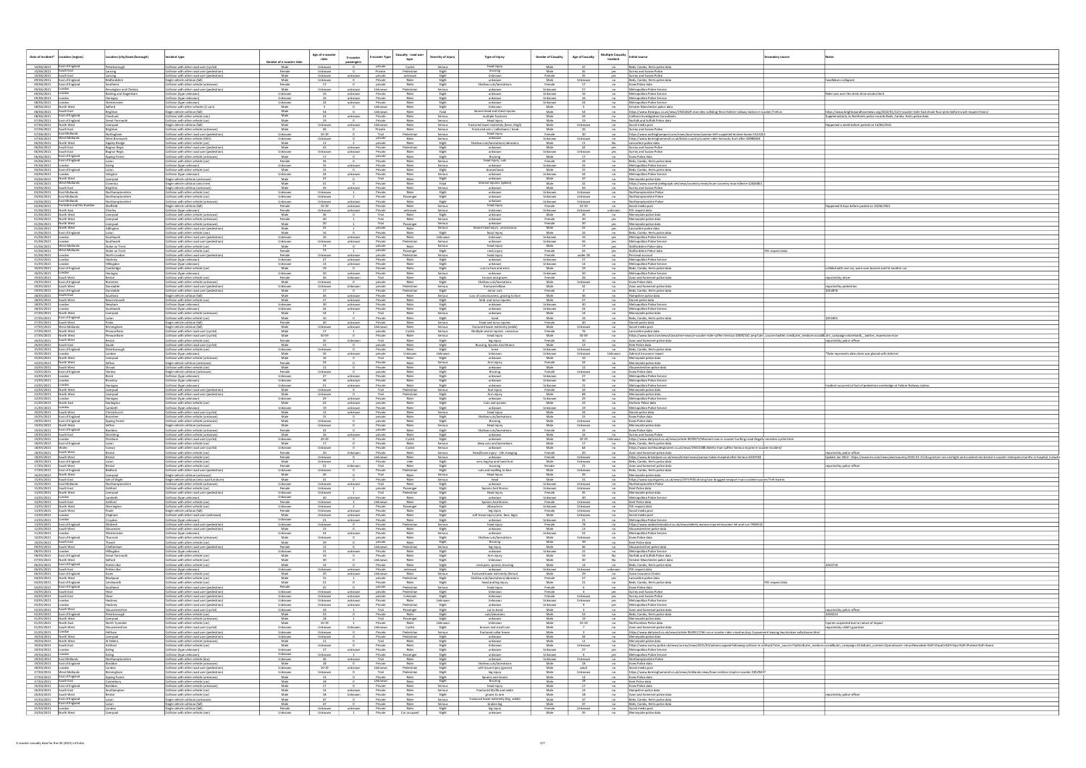| Date of incident*                                                             | Location (region)                                          | cation (city/town/borough)                                        | cident type                                                                                                                              | <u>Gender of e-scooter ric</u> | Age of e-scooter<br>rider     | E-scooter<br>passengers                                          | <b>E-scooter Type</b>                                                                            | Casualty - road user<br>Severity of injury<br>type            | Type of Injury                                                                            | <b>Gender of Casualty</b>    | <b>Age of Casualty</b>         | <b>Multiple Casualty</b><br>Incident | Initial source                                                                                                                                                                                                    | ondary source    |                                                                                                                                                                                                                                |
|-------------------------------------------------------------------------------|------------------------------------------------------------|-------------------------------------------------------------------|------------------------------------------------------------------------------------------------------------------------------------------|--------------------------------|-------------------------------|------------------------------------------------------------------|--------------------------------------------------------------------------------------------------|---------------------------------------------------------------|-------------------------------------------------------------------------------------------|------------------------------|--------------------------------|--------------------------------------|-------------------------------------------------------------------------------------------------------------------------------------------------------------------------------------------------------------------|------------------|--------------------------------------------------------------------------------------------------------------------------------------------------------------------------------------------------------------------------------|
| 10/06/2021   East of England<br>10/06/2021 South East                         |                                                            | eterborough<br>Lancing                                            | ollision with other road user (cyclist)<br>collision with other road user (pedestrian)                                                   | Male<br>Female                 | Unknown<br>Unknown            |                                                                  | private<br>Private                                                                               | Cyclist<br>Serious<br>Pedestrian<br>Slight                    | head injur<br>bruising                                                                    | Male<br>Male                 |                                | yes                                  | Beds, Cambs, Herts police data<br>Surrey and Sussex Police                                                                                                                                                        |                  |                                                                                                                                                                                                                                |
| 10/06/2021<br>09/06/2021 East of England                                      | South East                                                 | Lancing<br>edfordshire                                            | Collision with other road user (pedestrian)<br>Single vehicle collision (fall)                                                           | Male<br>Male                   | Unknown<br>Unknown            | unknown                                                          | private<br>Private<br>private                                                                    | unknown<br>Slight<br>Rider<br>Slight                          | Unknown<br>unknown                                                                        | Female<br>Male               | Unknown                        | yes<br>no                            | Surrey and Sussex Police<br>Beds, Cambs, Herts police dat                                                                                                                                                         |                  | ndlebars collapsed                                                                                                                                                                                                             |
| 09/06/2021 East of England<br>09/06/2021 London<br>09/06/2021 London          |                                                            | Southend<br>Kensington and Chelsea<br><b>Barking and Dagenham</b> | Collision with other vehicle (unknown)<br>Collision with other road user (pedestrian<br>Collision (type unknown)                         | Female<br>Male<br>Unknown      | Unknown<br>16                 | unknown<br>unknown                                               | Unknown<br>Private                                                                               | Rider<br>Slight<br>Pedestrian<br>Serious<br>Rider<br>Slight   | Shallow cuts/lacerations<br>unknown<br>unknown                                            | Female<br>Unknown<br>Unknown |                                | $-$ no<br>no<br>no                   | Essex Police data<br>Metropolitan Police Service<br>Metropolitan Police Service                                                                                                                                   |                  | Rider was over the drink-drive alcohol limit                                                                                                                                                                                   |
| 09/06/2021 London                                                             |                                                            | Haringey<br>Westminster                                           | Collision (type unknown)<br>ollision (type unknown)                                                                                      | Unknown<br>Unknown             |                               | unknown<br>unknown                                               | Private<br>Private                                                                               | Rider<br>Slight<br>Rider<br>Slight                            | unknown<br>unknown                                                                        | Unknown<br>Unknown           |                                | $-$ no<br>$-$ no $-$                 | Metropolitan Police Service<br>Metropolitan Police Service                                                                                                                                                        |                  |                                                                                                                                                                                                                                |
| 08/06/2021 London<br>08/06/2021 North West<br>08/06/2021 South East           |                                                            | Brighton                                                          | Collision with other vehicles (2 cars<br>Single vehicle collision (fall)                                                                 | Male<br>Male                   |                               |                                                                  | Unknown<br>Unknown                                                                               | Slight<br>Rider<br>Fatal                                      | Unknown<br>Severe head and chest injuries                                                 | Male<br>Male                 |                                | no<br>no                             | Greater Manchester police data<br>https://www.theargus.co.uk/news/19414629.man-dies-colliding-fence-falmer-railway-station-e-scooter/?ref=ar                                                                      |                  | https://www.brightonandhovenews.org/2022/01/12/e-scooter-rider-had-drunk-four-pints-before-crash-inquest-hears/                                                                                                                |
| 08/06/2021 East of England                                                    |                                                            | Cheshunt<br>Great Yarmouth                                        | collision with other vehicle (va<br>Collision with other vehicle (car)                                                                   | Male<br>Male                   | 19                            | unknown<br>0 Private                                             | Private                                                                                          | Rider<br>Serious<br>Rider<br>Serious                          | multiple fracture<br>Head injury                                                          | Male<br>Male                 | 43<br>19                       | no<br>Yes                            | Collision Investigation Consultants<br>Norfolk and Suffolk Police data                                                                                                                                            |                  | plementarty to Northants police records Beds, Cambs, Herts police data                                                                                                                                                         |
| 07/06/2021 East of England<br>07/06/2021 North West<br>07/06/2021 South East  |                                                            | Liverpool<br>Brighton                                             | Single vehicle collision (fall)<br>Collision with other vehicle (unknown                                                                 | Male<br>Male                   | Unknown                       | unknown<br>$\sim$ 0                                              | Unknown<br>Private                                                                               | Rider<br>Serious<br>Rider<br>Serious                          | ractured lower extremity (knee, thigh<br>Fractured arm / collarbone / hand<br>head injury | Male<br>Male                 | Unknown<br>- 26                | no<br>no                             | Social media post<br>Surrey and Sussex Police                                                                                                                                                                     |                  | lappened a week before posted on 14/06/2021                                                                                                                                                                                    |
| 07/06/2021 East Midlands<br>07/06/2021 West Midlands                          |                                                            | Nottingham<br>West Bromwich                                       | Collision with other road user (pedestrian<br>Collision with other vehicle (HGV)                                                         | Unknown<br>Unknown             | 10-19<br>Unknown              |                                                                  | Trial<br>private                                                                                 | Pedestrian<br>Serious<br>Rider<br>Serious                     | unknow                                                                                    | Female<br>Unknown<br>Male    | Unknown                        | no<br>no                             | https://www.nottinghampost.com/news/local-news/woman-left-suspected-broken-bones-551<br>https://www.birminghammail.co.uk/black-country/scooter-rider-Seriously-hurt-after-20988438                                |                  |                                                                                                                                                                                                                                |
| 06/06/2021 North West<br>06/06/2021<br>06/06/2021                             | South East<br>South East                                   | Appley Bridge<br><b>Bognor Regis</b><br><b>Bognor Regis</b>       | Collision with other vehicle (car)<br>ollision with other road user (pedestrial<br>collision with other road user (pedestrian)           | Male<br>Male<br>Unknown        | Unknown                       | $\overline{\phantom{0}}$<br>unknown<br>unknown                   | private<br>Private<br>Private                                                                    | Rider<br>Slight<br>Pedestriar<br>Slight<br>Rider<br>Slight    | Shallow cuts/lacerations/abrasion<br>unknown<br>unknown                                   | Male<br>Unknown              | Unknown                        | No<br>yes<br>yes                     | Lancashire police data<br>Surrey and Sussex Police<br>Surrey and Sussex Police                                                                                                                                    |                  |                                                                                                                                                                                                                                |
| 06/06/2021 East of England<br>05/06/2021 East of England                      |                                                            | <b>Epping Forest</b>                                              | Collision with other vehicle (unknown<br>Collision with other vehicle (car)                                                              | Male<br>Female                 |                               | $\overline{\phantom{0}}$                                         | private<br>Private                                                                               | Rider<br>Slight<br>Rider<br>Serious                           | Bruising<br>head injury, cuts                                                             | Male<br>Female               |                                | no                                   | <b>Essex Police data</b><br>Beds, Cambs, Herts police data                                                                                                                                                        |                  |                                                                                                                                                                                                                                |
| 05/06/2021<br>04/06/2021 East of England                                      |                                                            | Ealing                                                            | collision (type unknown)<br>Collision with other vehicle (car                                                                            | Unknown<br>Male                |                               | unknown<br>$\sim$ 0                                              | Private<br>Private                                                                               | Rider<br>Serious<br>Rider<br>Slight                           | unknown<br>bruised back                                                                   | Unknown<br>Male              |                                | n <sub>o</sub><br>no                 | Metropolitan Police Service<br>Beds, Cambs, Herts police dat                                                                                                                                                      |                  |                                                                                                                                                                                                                                |
| 04/06/2021 London<br>03/06/2021 North West                                    |                                                            | Islington<br>Liverpool                                            | Collision (type unknown)<br>Single vehicle collision (unknown)                                                                           | Unknown<br>Male                |                               | unknown                                                          | Private<br>Trial                                                                                 | Rider<br>Serious<br>Rider<br>Slight                           | unknown<br>unknown                                                                        | Unknown<br>Male              | 47                             | no<br>$-$ no                         | Metropolitan Police Service<br>Merseyside police data                                                                                                                                                             |                  |                                                                                                                                                                                                                                |
| 03/06/2021   West Midlands<br>03/06/2021                                      | South East                                                 | oventry.<br>Brighton                                              | Single vehicle collision (into tree<br>iingle vehicle collision (unknow                                                                  | Male<br>Male                   |                               | unknown                                                          | Private<br>Private                                                                               | Rider<br>Fatal<br>Ride<br>Serious                             | Internal injuries (spleen)<br>unknowi                                                     | Male<br>Male                 |                                | $-$ no<br>no                         | https://www.coventrytelegraph.net/news/coventry-news/mum-coventry-man-killed-e-2282685<br>Surrey and Sussex Police                                                                                                |                  |                                                                                                                                                                                                                                |
| 03/06/2021 East Midlands<br>03/06/2021 East Midlands                          |                                                            | Northamptonshire<br>Northamptonshire                              | Collision with other vehicle (car)<br>Collision with other vehicle (car)                                                                 | Unknown<br>Unknown             | Unknown<br>Unknown            | $\overline{1}$<br>$\overline{1}$                                 | Private<br>Private                                                                               | Rider<br>Slight<br>Passenger<br>Slight                        | unknown<br>unknown                                                                        | Unknown<br>Unknown           | Unknown<br>Unknown             | $n$ o<br>no                          | Northamptonshire Police<br>Northamptonshire Police                                                                                                                                                                |                  |                                                                                                                                                                                                                                |
| 02/06/2021<br>01/06/2021 North East                                           | 03/06/2021 East Midlands<br>02/06/2021 Yorkshire and the H | Northamptonshire<br>Sheffield                                     | Collision with other vehicle (unknowr<br>Single vehicle collision (fall)                                                                 | Unknown<br>Female<br>Female    | Unknown<br>10-19              | unknown<br>unknown                                               | Private<br>Private<br>Private                                                                    | Rider<br>Slight<br>Rider<br>Serious                           | unknow<br>head injury<br>Unknown                                                          | Unknown<br>Female            | Unknown<br>10-19               | no<br>no                             | Northamptonshire Police<br>Social media post                                                                                                                                                                      |                  | appened 8 days before posted on 10/06/2021                                                                                                                                                                                     |
| 01/06/2021 North West<br>01/06/2021 North West                                |                                                            | horley:<br>Liverpool<br>Liverpool                                 | Collision (type unknown)<br>Collision with other vehicle (unknowr<br>Collision with other vehicle (unknown                               | Male<br>Female                 | Unknown                       | unknown<br>$\mathbf{1}$                                          | Trial<br>Trial                                                                                   | unknowr<br>Serious<br>Rider<br>Slight<br>Rider<br>Serious     | unknow<br>unknown                                                                         | Unknown<br>Male<br>Female    | Unknown                        | unknown<br>no<br>yes                 | FOI request data<br>Merseyside police data<br>Merseyside police data                                                                                                                                              |                  |                                                                                                                                                                                                                                |
| 01/06/2021 North West<br>01/06/2021 North West                                |                                                            | Liverpool<br>Adlington                                            | Collision with other vehicle (unknowr<br>Collision with other road user (pedestrian)                                                     | Male<br>Male                   |                               | —                                                                | Trial<br>private                                                                                 | Passenger<br>Serious<br>Serious<br>Rider                      | unknown<br>evere head injury uncon                                                        | Female<br>Male               |                                | yes<br>yes                           | Merseyside police data<br>Lancashire police data                                                                                                                                                                  |                  |                                                                                                                                                                                                                                |
| 01/06/2021 East of England<br>01/06/2021 London                               |                                                            | Southwark                                                         | Collision with other vehicle (van)<br>Collision with other road user (pedestrian                                                         | Male<br>Unknown                | 16                            | unknown                                                          | Private<br>Private                                                                               | Rider<br>Slight<br>Rider<br>Unknown                           | facial injury<br>Unknown                                                                  | Male<br>Unknown              |                                | no<br>yes                            | Beds, Cambs, Herts police dat<br>Metropolitan Police Service                                                                                                                                                      |                  |                                                                                                                                                                                                                                |
| 01/06/2021<br>01/06/2021 West Midlands                                        |                                                            | Southwark<br>Stoke on Trent                                       | Collision with other road user (pedestrian<br>Collision with other vehicle (car)                                                         | Unknown<br>Male                | Unknown                       | unknown<br>$\overline{\phantom{a}}$                              | Private<br>private                                                                               | Pedestrian<br>Serious<br>Serious<br>Rider                     | unknown<br>head injury                                                                    | Unknown<br>Male              |                                | yes<br>yes ___                       | Metropolitan Police Service<br>Staffordshire Police data                                                                                                                                                          |                  |                                                                                                                                                                                                                                |
| 01/06/2021 West Midlands<br>01/06/2021 London                                 |                                                            | Stoke on Trent<br>North London                                    | ollision with other vehicle (car<br>Collision with other road user (pedestria                                                            | Female<br>Female               | Unknown                       | unknown                                                          | private<br>private                                                                               | Slight<br>Passenger<br>Pedestrian<br>Serious                  | neck injury<br>head injury                                                                | Female<br>Female             | under 18                       | yes<br>no                            | Staffordshire Police data<br>Personal account                                                                                                                                                                     | OI request data  |                                                                                                                                                                                                                                |
| 31/05/2021   London<br>31/05/2021 London                                      |                                                            | Hackney<br>Hillingdon                                             | Collision (type unknown)<br>Collision (type unknown)                                                                                     | Unknown<br>Unknown             | 14                            | unknown<br>unknown                                               | Private<br>Private                                                                               | Rider<br>Slight<br>Rider<br>Slight                            | unknown<br>unknown                                                                        | Unknown<br>Unknown           | $\frac{14}{1}$                 | no<br>$-$ no                         | Metropolitan Police Service<br>Metropolitan Police Service                                                                                                                                                        |                  |                                                                                                                                                                                                                                |
| 30/05/2021 East of England<br>30/05/2021 London                               |                                                            | Cambridge<br>Haringey                                             | Collision with other vehicle (car<br>Collision (type unknown)                                                                            | Male<br>Unknown                | 19                            | $\sim$ 0<br>unknown                                              | Private<br>Private                                                                               | Rider<br>Slight<br>Rider<br>Serious                           | cuts to face and arms<br>unknown                                                          | Male<br>Unknown              |                                | no                                   | Beds, Cambs, Herts police data<br>Metropolitan Police Service                                                                                                                                                     |                  | ollided with one car, went over bonnet and hit another ca                                                                                                                                                                      |
| 29/05/2021 South West<br>29/05/2021 East of England                           |                                                            | Bristol<br>Braintree                                              | Collision with other vehicle (car)<br>Collision with other vehicle (unknown                                                              | Female<br>Male                 | Unknown                       | Unknown<br>$\overline{\phantom{a}}$ $\overline{\phantom{a}}$     | Trial<br>private                                                                                 | Rider<br>Slight<br>Rider<br>Slight                            | bruises and grazes<br>Shallow cuts/lacerations                                            | Female<br>Male               | 26<br>Unknown                  | no<br>$-$ no                         | Avon and Somerset police dat<br>Essex Police data                                                                                                                                                                 |                  | ported by driver!                                                                                                                                                                                                              |
| 29/05/2021 South West<br>29/05/2021 East of England<br>28/05/2021 South East  |                                                            | unstable<br>unstable                                              | ollision with other road user (pedestrian)<br>collision with other road user (pedestria                                                  | Unknown<br>Male<br>Male        | Unknown                       | Unknown private<br>$\sim$ 0                                      | Private<br>Private                                                                               | Pedestrian<br>Serious<br>Pedestrian<br>Slight<br>Rider        | fractured elbow<br>minor cuts<br>Loss of consciousness, grazing to face                   | Male<br>Female<br>Male       | 46                             | no                                   | Avon and Somerset police dat<br>Beds, Cambs, Herts police da                                                                                                                                                      |                  | eported by pedestrian<br>52876                                                                                                                                                                                                 |
| 28/05/2021 South West<br>28/05/2021 London                                    |                                                            | Southsea<br>Bournemouth<br>Newham                                 | Single vehicle collision (fall)<br>Collision with other vehicle (car<br>collision (type unknown)                                         | Male<br>Unknown                | 46<br>30                      | unknown<br>unknown  <br>unknown                                  | Private<br>Private                                                                               | Serious<br>Rider<br>Slight<br>Slight<br>Rider                 | limb and torso injuries<br>unknown                                                        | Male<br>Unknown              | 30                             | $-$ no<br>no<br>no                   | Hampshire police data<br>Dorset police data<br>Metropolitan Police Service                                                                                                                                        |                  |                                                                                                                                                                                                                                |
| 28/05/2021<br>27/05/2021                                                      | North West                                                 | Southwark<br>Liverpool                                            | Collision (type unknown)<br>Collision with other vehicle (unknow                                                                         | Unknown<br>Male                |                               | unknown                                                          | Private<br>Trial                                                                                 | Ride<br>Slight<br>Serious<br>Rider                            | unknown<br>unknown                                                                        | Unknown<br>Male              |                                | $n\sigma$<br>no                      | Metropolitan Police Servic<br>Merseyside police data                                                                                                                                                              |                  |                                                                                                                                                                                                                                |
| 27/05/2021 East of England<br>27/05/2021 South West                           |                                                            | Luton                                                             | Collision with other vehicle (car<br>Single vehicle collision (fall)                                                                     | Male<br>Female                 | 40                            | $\sim$ 0<br>unknown                                              | Private<br>Private                                                                               | Rider<br>Slight<br>Rider<br>Serious                           | hand<br>head and torso injuries                                                           | Male<br>Female               | 16<br>40                       | no<br>no                             | Beds, Cambs, Herts police da<br>Dorset police data                                                                                                                                                                |                  | 051801                                                                                                                                                                                                                         |
| 27/05/2021 West Midlands<br>27/05/2021 North West                             |                                                            | Birmingham<br>Penwortham                                          | Single vehicle collision (fall<br>Collision with other road user (cyclis                                                                 | Male<br>Male                   | Unknown                       | unknown Unknown<br>$\overline{1}$                                | private                                                                                          | Rider<br>Serious<br>Serious<br>Cyclist                        | ractured lower extremity (ankle)<br>Multiple severe injuries consciou                     | Male<br>Female               | Unknown                        | $-$ no<br>no                         | Social media post<br>Lancashire police data                                                                                                                                                                       |                  |                                                                                                                                                                                                                                |
| 27/05/2021 North West<br>26/05/2021 South West                                |                                                            | Penwortham<br>Bristol                                             | Collision with other road user (cyclist<br>Collision with other vehicle (car)                                                            | Male<br>Female                 | 50-59                         | Unknown                                                          | Private<br>Trial                                                                                 | Rider<br>Serious<br>Rider<br>Slight                           | head injury<br>leg injury                                                                 | Male<br>Female               | 50-59                          | no                                   | https://www.lancs.live/news/lancashire-news/e-scooter-rider-suffers-Serious-20692161.amp?utm_source=twitter.com&utm_medium=social&utm_campaign=sharebar&_twitter_impression=true<br>Avon and Somerset police data |                  | reported by police officer                                                                                                                                                                                                     |
| 26/05/2021 South East<br>25/05/2021 East of England<br>25/05/2021 London      |                                                            | Swale<br>Peterborough                                             | Collision with other road user (cyclist<br>Collision with other vehicle (car                                                             | Male<br>Unknown                | 13<br>Unknown                 | $\overline{\ }$ $\overline{\ }$                                  | private<br>Private                                                                               | Rider<br>Slight<br>Rider<br>Slight                            | Bruising, Sprains And Strain<br>knee                                                      | Male<br>Unknown              | Unknown                        | $-$ no<br>no                         | Kent Police data<br>Beds, Cambs, Herts police data                                                                                                                                                                |                  |                                                                                                                                                                                                                                |
| 25/05/2021<br>25/05/2021 North West                                           |                                                            | London<br>Liverpool                                               | Collision (type unknown)<br>Collision with other vehicle (unknowr                                                                        | Male<br>Male                   | - 26                          | unknown<br>$\overline{0}$                                        | private<br>Trial                                                                                 | Unknown<br>Unknown<br>Rider<br>Slight                         | Unknown<br>unknown                                                                        | Unknown<br>Male              | Unknown                        | Unknown<br>no                        | Admiral Insurance repor<br>Merseyside police data                                                                                                                                                                 |                  | Date represents date claim was placed with Admiral                                                                                                                                                                             |
| 24/05/2021 North West<br>24/05/2021 South West                                |                                                            | Stroud                                                            | Single vehicle collision (unknown<br>Collision with other vehicle (car)                                                                  | Female<br>Male                 | 12                            | $\overline{\phantom{a}}$                                         | Private<br>Private                                                                               | Rider<br>Serious<br>Rider<br>Slight                           | Arm injury<br>unknown                                                                     | Female<br>Male               | <sup>12</sup>                  | no<br>no                             | Merseyside police data<br>Gloucestershire police data                                                                                                                                                             |                  |                                                                                                                                                                                                                                |
| 24/05/2021 East of England<br>24/05/2021 London                               |                                                            | Harlow<br>Brent                                                   | Single vehicle collision (unknown)<br>Collision (type unknown)                                                                           | Female<br>Unknown              | Unknown                       | unknown                                                          | private<br>Private<br>Private                                                                    | Ride<br>Slight<br>Rider<br>Slight<br>Rider                    | Bruising<br>unknown                                                                       | Female<br>Unknown            | Unknown                        | n <sub>0</sub><br>no                 | <b>Essex Police data</b><br>Metropolitan Police Service                                                                                                                                                           |                  |                                                                                                                                                                                                                                |
| 23/05/2021 London<br>23/05/2021 London<br>22/05/2021 North West<br>22/05/2021 |                                                            | Bromley<br>Haringey<br>Liverpool                                  | Collision (type unknown)<br>Collision (type unknown)<br>ollision with other road user (pedestrian)                                       | Unknown<br>Unknown<br>Male     | 36<br>Unknown                 | unknown<br>unknown                                               | Private                                                                                          | Slight<br>Rider<br>Slight<br>Serious<br>Pedestrian            | unknown<br>unknown<br>foot injun                                                          | Unknown<br>Unknown<br>Female | 36                             | no<br>n <sub>o</sub><br>n0           | Metropolitan Police Service<br>Metropolitan Police Service<br>Merseyside police data                                                                                                                              |                  | ncident occurred at foot of pedestrian overbridge at Falmer Railway station.                                                                                                                                                   |
| 22/05/2021 North West<br>22/05/2021 London                                    |                                                            | Liverpool<br>Haringey                                             | Collision with other road user (pedestria<br>Collision (type unknown)                                                                    | Male<br>Unknown                | Unknown                       | unknown                                                          | Trial<br>Private                                                                                 | Pedestrian<br>Slight<br>Rider<br>Slight                       | Arm injury<br>unknown                                                                     | Male<br>Unknown              |                                | no<br>no                             | Merseyside police data<br>Metropolitan Police Servic                                                                                                                                                              |                  |                                                                                                                                                                                                                                |
| 21/05/2021 North East<br>21/05/2021 London                                    |                                                            | Darlington<br>Lambeth                                             | Collision with other vehicle (car)<br>Collision (type unknown)                                                                           | Male<br>Unknown                | 22<br>$\frac{19}{ }$ $\qquad$ | unknown<br>unknown                                               | private<br>Private                                                                               | Rider<br>Slight<br>Rider<br>Slight                            | Cuts and sprains<br>unknown                                                               | Male<br>Unknown              | 19                             | $-$ no<br>n <sub>0</sub>             | Durham Police data<br>Metropolitan Police Servic                                                                                                                                                                  |                  |                                                                                                                                                                                                                                |
| 20/05/2021<br>20/05/2021 East of England                                      | South West                                                 | Christchurch<br>Braintree                                         | Collision with other road user (cyclist<br>Collision with other vehicle (unknown)                                                        | Male<br>Male                   |                               | unknown<br>$\sim$ 0                                              | Private<br>private                                                                               | Rider<br>Serious<br>Rider<br>Slight                           | head injury<br>Shallow cuts/laceration                                                    | Male<br>Male                 |                                | no<br>no                             | Dorset police data<br>Essex Police data                                                                                                                                                                           |                  |                                                                                                                                                                                                                                |
| 20/05/2021 East of England<br>19/05/2021 North West                           |                                                            | <b>Epping Forest</b><br>Setton                                    | Collision with other vehicle (unknown<br>Single vehicle collision (unknown)                                                              | Male<br>Male                   | Unknown<br>Unknown            | $\overline{\ }$ $\overline{\ }$                                  | private<br>Private                                                                               | Rider<br>Slight<br>Rider<br>Serious                           | Bruising<br>Head Injury                                                                   | Male<br>Male                 | Unknown<br>Unknown             | no<br>no                             | Essex Police data<br>Merseyside police dat                                                                                                                                                                        |                  |                                                                                                                                                                                                                                |
| 19/05/2021 South East                                                         | 19/05/2021 East of England                                 | lasildon<br>Vorthing                                              | Collision with other vehicle (unknow<br>ollision with other vehicle (unknor                                                              | Female<br>Male                 |                               | unknown                                                          | private<br>private                                                                               | Rider<br>Slight<br>Rider<br>Slight                            | Shallow cuts/lacerations<br>unknown                                                       | Female<br>Male               |                                | no                                   | Essex Police data<br>Surrey and Sussex Police                                                                                                                                                                     |                  |                                                                                                                                                                                                                                |
| 19/05/2021 London<br>18/05/2021 East of England                               |                                                            | Peckham<br>Luton                                                  | Collision with other road user (cyclis<br>Collision with other vehicle (car)                                                             | Unknown<br>Male                | $20 - 29$<br>17               | $\overline{0}$<br>0 Private                                      | Private                                                                                          | Cyclist<br>Slight<br>Rider<br>Serious                         | unknow<br>deep cuts and lacerations<br>unknown                                            | Male<br>Male                 | $20 - 29$<br>17                |                                      | Unknown https://www.dailymail.co.uk/news/article-9594973/Moment-man-e-scooter-hurtling-road-illegally-smashes-cyclist.html<br>no Beds, Cambs, Herts police data                                                   |                  |                                                                                                                                                                                                                                |
| 18/05/2021   Wales<br>18/05/2021 South West<br>18/05/2021 South West          |                                                            | Conwy<br>Bristol                                                  | Collision with other road user (cyclist<br>Collision with other vehicle (car)<br>Collision with other vehicle (car                       | Unknown<br>Female              | Unknown                       | 0 Private<br>Unknown                                             | Private                                                                                          | Cyclist<br>Serious<br>Rider<br>Serious                        | Head/brain injury - Life changing<br>unknown                                              | Male<br>Female<br>Female     | 64<br>20                       | $-$ no $-$<br>no                     | https://www.northwalespioneer.co.uk/news/19315288.elderly-man-suffers-Serious-injuries-e-scooter-incident/<br>Avon and Somerset police data                                                                       |                  | eported by police office                                                                                                                                                                                                       |
| 18/05/2021 East of England<br>17/05/2021 South West                           |                                                            | Luton                                                             | Collision with other vehicle (car)<br>Collision with other vehicle (car                                                                  | Male<br>Female                 | unknown<br>Unknown            | Unknown                                                          | Private<br>Trial                                                                                 | Serious<br>rider<br>Slight<br>Rider<br>Slight                 | arm, leg, hip and hand hurt<br>bruising                                                   | Male<br>Female               | Unknown<br>Unknown<br>$^{21}$  | no<br>$-$ no $-$                     | https://www.bristolpost.co.uk/news/bristol-news/woman-taken-hospital-atter-Serious-5430748<br>Beds, Cambs, Herts police data<br>Avon and Somerset police data                                                     |                  | Update Jan 2022 - https://www.itv.com/news/westcountry/2022-01-21/drug-driver-ran-red-light-and-crashed-into-bristol-e-scooter-riderspent months in hospital, includi<br>eported by police officer                             |
| 17/05/2021 East of England                                                    |                                                            | Liverpool                                                         | Collision with other road user (pedestrian)<br>Single vehicle collision (unknown)                                                        | Unknown<br>Male                | Unknown                       | $\overline{\phantom{a}}$<br>$-$                                  | Private<br>Trial                                                                                 | Pedestrian<br>Slight<br>Rider<br>Serious                      | cuts and swelling to face<br>Head Injury                                                  | Male<br>Male                 | Unknown                        | $-$ no                               | Beds, Cambs, Herts police data<br>no Merseyside police data                                                                                                                                                       |                  |                                                                                                                                                                                                                                |
| 16/05/2021 North West<br>15/05/2021 South East<br>15/05/2021 East Midlands    |                                                            | Isle of Wight<br>Northamptonshire                                 | Single vehicle collision (into road furniture)<br>Collision with other vehicle (unknown)                                                 | Male<br>Unknown                |                               | $\sim$ 0<br>Unknown unknown                                      | Private<br>Trial                                                                                 | Rider<br>Serious<br>Rider<br>Slight                           | head<br>unknown                                                                           | Male<br>Unknown              | 31<br>Unknown                  | n0                                   | no https://www.countypress.co.uk/news/19757930.driving-ban-drugged-newport-man-crashed-scooter/?ref=twtrec<br>Northamptonshire Police                                                                             |                  |                                                                                                                                                                                                                                |
| 15/05/2021 South East<br>14/05/2021 North West                                |                                                            | Ashford<br>Liverpool                                              | Collision with other vehicle (car)<br>Collision with other road user (pedestrian)                                                        | Female<br>Unknown              | Unknown  <br>Unknown          | 1 private<br>1 Trial<br>$\mathbf{1}$                             |                                                                                                  | Passenger<br>Slight<br>Pedestrian<br>Slight                   | Sprains And Strains<br><b>Head Injury</b>                                                 | Unknown<br>Female            | Unknown                        | n <sub>0</sub>                       | no Kent Police data<br>Merseyside police data                                                                                                                                                                     |                  |                                                                                                                                                                                                                                |
| 14/05/2021 London<br>14/05/2021 South East                                    |                                                            | Lambeth<br>Ashford                                                | Collision (type unknown)<br>Collision with other vehicle (car)                                                                           | Unknown<br>Female              | Unknown                       | unknown                                                          | Private<br>$\begin{tabular}{c c c} \hline \textbf{Unknown} & \textbf{I} \\ \hline \end{tabular}$ | Rider<br>Slight<br>Rider<br>Slight                            | unknown<br>Sprains And Strains                                                            | Unknown<br>Female            | 40<br>Unknown                  | no<br>$-$ no                         | Metropolitan Police Service<br>Kent Police data                                                                                                                                                                   |                  |                                                                                                                                                                                                                                |
| 13/05/2021 North West<br>13/05/2021 South West<br>13/05/2021 London           |                                                            | Warrington                                                        | Collision with other vehicle (car)<br>Single vehicle collision (fall)                                                                    | Unknown<br>Female<br>Male      | Unknown                       | $\frac{2}{\sqrt{2}}$<br>Unknown unknown Private                  | Private<br>Private                                                                               | Passenger<br>Slight<br>Rider<br>Slight<br>Rider               | elbow/arm<br>leg injury<br>soft tissue injury (arm, face, legs                            | Unknown<br>Female<br>Male    | Unknown<br>Unknown             | no<br>$-$ no                         | FOI request data<br>Social media post                                                                                                                                                                             |                  |                                                                                                                                                                                                                                |
| 13/05/2021 London<br>13/05/2021 East of England                               |                                                            | Clapham<br>Croydon<br>Wisbech                                     | Collision with other road user (unknown)<br>Collision (type unknown)<br>Collision with other road user (pedestrian)                      | Unknown<br>Unknown             | Unknown<br>Unknown            | unknown<br>21 unknown Private<br>$\overline{\ }$ $\overline{\ }$ | Private                                                                                          | Slight<br>Rider<br>Slight<br>Pedestrian<br>Serious            | unknown<br>head injury                                                                    | Unknown<br>Female            | Unknown<br>21<br>78            | n0<br>no                             | Social media post<br>Metropolitan Police Service<br>https://www.wisbechstandard.co.uk/news/elderly-woman-injured-escooter-hit-and-run-796953                                                                      |                  |                                                                                                                                                                                                                                |
| 12/05/2021 South West<br>11/05/2021                                           |                                                            | Gloucester<br>Vestminster                                         | Collision with other road user (pedestrian)<br>Collision (type unknown)                                                                  | Male<br>Unknown                |                               | $\overline{\phantom{a}}$<br>unknown                              | Private<br>Private                                                                               | Rider<br>Slight<br>Rider<br>Serious                           | unknown<br>unknown                                                                        | Male<br>Unknown              |                                | $-$ no $-$<br>$-$ no $-$             | Gloucestershire police data<br>Metropolitan Police Service                                                                                                                                                        |                  |                                                                                                                                                                                                                                |
| 10/05/2021 East of England<br>10/05/2021 South East                           |                                                            | Thurrock<br>Thanet                                                | Collision with other vehicle (unknown<br>Collision with other vehicle (car)                                                              | Male<br>Male                   | Unknown<br>39                 |                                                                  | private<br>private                                                                               | Rider<br>Slight<br>Rider<br>Slight                            | Shallow cuts/laceration:<br>Bruising                                                      | Male<br>Male                 | Unknown<br>39                  |                                      | no Essex Police data<br>no Kent Police data                                                                                                                                                                       |                  |                                                                                                                                                                                                                                |
| 09/05/2021 South West<br>08/05/2021 London<br>08/05/2021 East of England      |                                                            | Cheltenham<br>Hillingdon                                          | Collision with other road user (pedestrian)<br>Collision (type unknown)                                                                  | Female<br>Unknown              | $\frac{12}{2}$<br>31          | 0 Unknown<br>unknown Private                                     |                                                                                                  | Pedestrian<br>Serious<br>Rider<br>Slight                      | leg injury<br>unknown                                                                     | Male<br>Unknown              | 46<br>31                       |                                      | no Gloucestershire police data<br>no Metropolitan Police Service                                                                                                                                                  |                  |                                                                                                                                                                                                                                |
| 07/05/2021 North West                                                         |                                                            | Great Yarmouth<br>Salford                                         | Collision with other vehicle (car)<br>Collision with other vehicle (car)                                                                 | Male<br>Male                   | 33                            | $\overline{\phantom{a}}$<br>$\sim$ 0                             | Private<br>Unknown                                                                               | Rider<br>Slight<br>Rider<br>Slight                            | Arm injury<br>Unknown                                                                     | Male<br>Male                 |                                |                                      | No Norfolk and Suffolk Police data<br>No Greater Manchester police data                                                                                                                                           |                  |                                                                                                                                                                                                                                |
| 06/05/2021 East of England<br>06/05/2021 South East                           |                                                            | Potters Bar<br>Potters Bar                                        | Collision with other vehicle (car)<br>Collision (type unknown)                                                                           | Male<br>Unknown                | Unknown                       | $\overline{0}$<br>unknown Private                                | Private                                                                                          | Rider<br>Slight<br>unknown<br>Slight                          | neck pain, sprains, bruising<br>unknown                                                   | Male<br>Unknown              | 14<br>Unknown                  |                                      | no<br>Beds, Cambs, Herts police data<br>unknown FOI request data                                                                                                                                                  |                  | 044716                                                                                                                                                                                                                         |
| 06/05/2021 East of England<br>04/05/2021 North West                           |                                                            | Blackpool                                                         | Collision with other vehicle (car)<br>Collision with other vehicle (car                                                                  | Male<br>Male                   |                               | unknown Unknown<br>$\overline{1}$                                | private                                                                                          | Rider<br>Serious<br>Pedestrian<br>Slight                      | fractured lower extremity (femur<br>Shallow cuts/lacerations/abrasion                     | Male<br>Female               |                                | yes                                  | no Aviva Insurance Claims<br>Lancashire police data                                                                                                                                                               |                  |                                                                                                                                                                                                                                |
| 04/05/2021 East of England<br>04/05/2021 East of England                      |                                                            | Letchworth<br>Southend                                            | Collision with other vehicle (car)<br>Collision with other road user (pedestrian)                                                        | Male<br>Female<br>Unknown      | 21<br>- 25                    | $\overline{\phantom{0}}$<br>$\overline{\phantom{a}}$             | Private<br>$\rule{1em}{0.15mm}$ private                                                          | Rider<br>Slight<br>Pedestrian<br>Serious                      | head and leg injury<br>head injury<br>Unknown                                             | Male<br>Female               | - 21                           | $-$ no $-$                           | no Beds, Cambs, Herts police data<br>Essex Police data                                                                                                                                                            | FOI request data |                                                                                                                                                                                                                                |
| 04/05/2021 South East<br>04/05/2021 South East<br>03/05/2021 London           |                                                            | Hackney                                                           | Collision with other road user (pedestrian)<br>Collision with other road user (pedestrian<br>Collision with other road user (pedestrian) | Unknown<br>Unknown             | <b>Unknown</b><br>Unknown     | Unknown unknown private<br>unknown<br>unknown                    | private<br>Private                                                                               | Pedestrian<br>Slight<br>Unknown<br>Slight<br>Rider<br>Unknown | Unknown<br>Unknown                                                                        | Female<br>Female<br>Unknown  | $\sim$ 4<br>Unknown<br>Unknown |                                      | yes Surrey and Sussex Police<br>yes Surrey and Sussex Police                                                                                                                                                      |                  |                                                                                                                                                                                                                                |
| 03/05/2021 London<br>02/05/2021 South West                                    |                                                            | Hackney<br>loucestershire                                         | Collision with other road user (pedestrian)<br>Collision with other road user (cyclist)                                                  | Unknown<br>Unknown             | Unknown                       | unknown<br>$\frac{1}{\sqrt{1-\frac{1}{2}}+\cdots}$               | Private<br>Trial                                                                                 | Pedestrian<br>Slight<br>Passenger<br>Slight                   | unknown<br>cut to hand                                                                    | Unknown<br>Male              | 9                              | $-$ no                               | yes Metropolitan Police Service<br>yes Metropolitan Police Service<br>Avon and Somerset police date                                                                                                               |                  | reported by police officer                                                                                                                                                                                                     |
| 02/05/2021 East of England<br>01/05/2021 North West                           |                                                            | eterborough<br>Liverpool                                          | ollision with other vehicle (car)<br>Collision with other vehicle (unknown                                                               | Male<br>Male                   |                               | $\hspace{0.1mm}$<br>$\frac{1}{\sqrt{2}}$                         | Private<br>Trial                                                                                 | Rider<br>Slight<br>Slight<br>Passenger                        | cuts/abrasions<br>unknown                                                                 | Male<br>Male                 |                                | $-$ no<br>$-$ no $-$                 | Beds, Cambs, Herts police data<br>Merseyside police data                                                                                                                                                          |                  |                                                                                                                                                                                                                                |
| 01/05/2021 North East<br>01/05/2021 South West                                |                                                            | North Tyneside<br>Gloucestershire                                 | Collision with other vehicle (car)<br>Collision with other road user (cyclist)                                                           | Male<br>Unknown                | $10-19$<br>Unknown            | $\overline{1}$<br>Unknown Unknown                                | Private                                                                                          | Rider<br>Unknown<br>Cyclist<br>Slight                         | Unknown<br>bruises and small cuts                                                         | Male<br>Male                 | $10-19$                        |                                      | no Northumbria Police data<br>no Avon and Somerset police data                                                                                                                                                    |                  | Injuries suspected due to nature of impact<br>reported by child's guardian                                                                                                                                                     |
| 01/05/2021 London<br>30/04/2021 North West<br>30/04/2021 North West           |                                                            | Feltham<br>Liverpool                                              | Collision with other road user (pedestrian)<br>Collision with other road user (pedestrian)                                               | Unknown                        | Unknown L<br>Unknown          | 0 Private<br>$\overline{\phantom{0}}$                            | Private                                                                                          | Pedestrian<br>Serious<br>Slight<br>Pedestrian                 | fractured collar bones<br>unknow                                                          | Male<br>Male                 | $\frac{3}{44}$                 | no                                   | https://www.dailymail.co.uk/news/article-9549317/Hit-run-e-scooter-rider-smashes-boy-3-pavement-leaving-two-broken-collarbones.html<br>Merseyside police data                                                     |                  |                                                                                                                                                                                                                                |
| 30/04/2021 South East                                                         |                                                            | St.Helens<br>Ashford                                              | Collision with other vehicle (unknown<br>Collision with other vehicle (car)                                                              | Male<br>Male                   | Unknown                       | $\overline{\phantom{a}}$ $\circ$ $\phantom{a}$                   | Trial<br>Private                                                                                 | Slight<br>Rider<br>Rider<br>Slight                            | unknown<br>Unknown                                                                        | Male<br>Male                 | 11<br>Unknown                  | no                                   | Merseyside police data                                                                                                                                                                                            |                  | https://www.surrey.police.uk/news/surrey/news/2021/03/witness-appeal-following-collision-in-ashford/?utm_source=Twitter&utm_nedium=social&utm_campaign=Orlo&utm_content=Operational++Any+Newsdesk+%2F+Oncall+%2F+Ops+%2F+Drote |
| $29/04/2021$ London<br>29/04/2021 London                                      |                                                            | Ealing<br>Ealing                                                  | Collision (type unknown)<br>Collision (type unknown)                                                                                     | Unknown<br>Unknown             | Unknown                       | unknown  <br>$\frac{1}{\sqrt{2}}$                                | Private<br>Private                                                                               | Rider<br>Slight<br>Passenger<br>Slight                        | unknown<br>unknown                                                                        | Unknown<br>Unknown           | 6                              |                                      | yes Metropolitan Police Service<br>yes Metropolitan Police Service                                                                                                                                                |                  |                                                                                                                                                                                                                                |
| 29/04/2021 East Midlands<br>29/04/2021 East of England                        |                                                            | Northamptonshire<br>Basildon                                      | Collision with other vehicle (bus)<br>Collision with other vehicle (unknown)                                                             | Unknown<br>Male                | 18                            | unknown<br>$\sim$ 0                                              | Trial<br>Private                                                                                 | Rider<br>Slight<br>Rider<br>Slight                            | unknown<br>Shallow cuts/lacerations                                                       | Unknown<br>Male              | Unknown<br>18                  | n0<br>no no                          | Northamptonshire Police<br>Essex Police data                                                                                                                                                                      |                  |                                                                                                                                                                                                                                |
| 28/04/2021 London<br>27/04/2021 West Midlands<br>27/04/2021 East of England   |                                                            | London<br>Birmingham                                              | Collision with other road user (pedestrian)<br>Collision with other road user (pedestrian)<br>Collision with other vehicle (unknowr      | Unknown<br>Unknown<br>Male     | $10-19$                       | unknown Unknown<br>Unknown 0                                     | Trial<br>Private                                                                                 | Pedestrian<br>Slight<br>Pedestrian<br>Slight<br>Rider         | soft tissue injury (grazes)<br>leg injury                                                 | Male<br>Male<br>Male         | adult<br>Unknown               | $-$ no $-$                           | no Social media post<br>https://www.birminghammail.co.uk/news/midlands-news/how-reckless-1mph-e-scooter-20529-                                                                                                    |                  |                                                                                                                                                                                                                                |
| 27/04/2021 South East<br>26/04/2021 East of England                           |                                                            | <b>Epping Forest</b><br>Canterbury<br>Basildon                    | Collision with other vehicle (car)<br>Collision with other vehicle (unknowr                                                              | Male<br>Male                   |                               | $\overline{0}$<br>$\sim$ 0                                       | Unknown<br>Private                                                                               | Slight<br>Rider<br>Slight<br>Rider<br>Serious                 | Sprains and strains<br>Bruising<br>head injury                                            | Male<br>Male                 |                                | no                                   | no Essex Police data<br>no Kent Police data<br>Essex Police data                                                                                                                                                  |                  |                                                                                                                                                                                                                                |
| 26/04/2021 South East<br>26/04/2021 South West                                |                                                            | Southampton<br>Bristol                                            | Collision with other vehicle (car)<br>Collision with other vehicle (car)                                                                 | Male<br>Male                   | 14                            | --<br>unknown Private<br>18 Unknown Private                      |                                                                                                  | Rider<br>Serious<br>Rider<br>Slight                           | Fractured tib/fib and ankle<br>grazes to arm                                              | Male<br>Male                 | 14<br>$^{18}$                  | $-$ no $-$<br>$-$ no                 | Hampshire police data<br>Avon and Somerset police data                                                                                                                                                            |                  | reported by police officer                                                                                                                                                                                                     |
| 25/04/2021 East of England<br>25/04/2021 East of England                      |                                                            | Luton<br>Luton                                                    | Single vehicle collision (unknown)<br>Single vehicle collision (fall)                                                                    | Male<br>Male                   | 47                            | —⊢<br>$\sim$ 0                                                   | Private<br>Private                                                                               | Rider<br>Serious<br>Rider<br>Serious                          | fractured lower extremity (leg, ankle)<br>broken leg                                      | Male<br>Male                 | 47                             | no                                   | Beds, Cambs, Herts police data<br>no Beds, Cambs, Herts police data                                                                                                                                               |                  |                                                                                                                                                                                                                                |
| 25/04/2021 London<br>24/04/2021 North West                                    |                                                            | London<br>Liverpool                                               | Single vehicle collision (fall)<br>Collision with other vehicle (van)                                                                    | Female<br>Unknown              | <b>Unknown</b>                | Unknown unknown Private                                          | 1 Private Car occupant                                                                           | Rider<br>Slight<br>Slight                                     | leg injury                                                                                | Female<br>Male               | Unknown                        | $-$ no                               | Social media post<br>no Merseyside police data                                                                                                                                                                    |                  |                                                                                                                                                                                                                                |

| Notes                                                                                                                                                                                                                                                                               |  |
|-------------------------------------------------------------------------------------------------------------------------------------------------------------------------------------------------------------------------------------------------------------------------------------|--|
|                                                                                                                                                                                                                                                                                     |  |
| handlebars collapsed                                                                                                                                                                                                                                                                |  |
| Rider was over the drink-drive alcohol limit                                                                                                                                                                                                                                        |  |
| https://www.brightonandhovenews.org/2022/01/12/e-scooter-rider-had-drunk-four-pints-before-crash-inquest-hears/<br>Supplementarty to Northants police records Beds, Cambs, Herts police data                                                                                        |  |
| Happened a week before posted on 14/06/2021                                                                                                                                                                                                                                         |  |
|                                                                                                                                                                                                                                                                                     |  |
|                                                                                                                                                                                                                                                                                     |  |
|                                                                                                                                                                                                                                                                                     |  |
|                                                                                                                                                                                                                                                                                     |  |
|                                                                                                                                                                                                                                                                                     |  |
| Happened 8 days before posted on 10/06/2021                                                                                                                                                                                                                                         |  |
|                                                                                                                                                                                                                                                                                     |  |
|                                                                                                                                                                                                                                                                                     |  |
|                                                                                                                                                                                                                                                                                     |  |
|                                                                                                                                                                                                                                                                                     |  |
| collided with one car, went over bonnet and hit another car                                                                                                                                                                                                                         |  |
| reported by driver                                                                                                                                                                                                                                                                  |  |
| reported by pedestrian<br>1052876                                                                                                                                                                                                                                                   |  |
|                                                                                                                                                                                                                                                                                     |  |
| 1051801                                                                                                                                                                                                                                                                             |  |
|                                                                                                                                                                                                                                                                                     |  |
| kutm_campaign=sharebar& twitter_impression=true<br>reported by police officer                                                                                                                                                                                                       |  |
| *Date represents date claim was placed with Admiral                                                                                                                                                                                                                                 |  |
|                                                                                                                                                                                                                                                                                     |  |
|                                                                                                                                                                                                                                                                                     |  |
|                                                                                                                                                                                                                                                                                     |  |
| Incident occurred at foot of pedestrian overbridge at Falmer Railway station.                                                                                                                                                                                                       |  |
|                                                                                                                                                                                                                                                                                     |  |
|                                                                                                                                                                                                                                                                                     |  |
|                                                                                                                                                                                                                                                                                     |  |
|                                                                                                                                                                                                                                                                                     |  |
| reported by police officer<br>Update Jan 2022 - https://www.itv.com/news/westcountry/2022-01-21/drug-driver-ran-red-light-and-crashed-into-bristol-e-scooter-riderspent months in hospital, includir                                                                                |  |
| reported by police officer                                                                                                                                                                                                                                                          |  |
|                                                                                                                                                                                                                                                                                     |  |
|                                                                                                                                                                                                                                                                                     |  |
|                                                                                                                                                                                                                                                                                     |  |
|                                                                                                                                                                                                                                                                                     |  |
|                                                                                                                                                                                                                                                                                     |  |
|                                                                                                                                                                                                                                                                                     |  |
|                                                                                                                                                                                                                                                                                     |  |
|                                                                                                                                                                                                                                                                                     |  |
|                                                                                                                                                                                                                                                                                     |  |
|                                                                                                                                                                                                                                                                                     |  |
|                                                                                                                                                                                                                                                                                     |  |
|                                                                                                                                                                                                                                                                                     |  |
|                                                                                                                                                                                                                                                                                     |  |
|                                                                                                                                                                                                                                                                                     |  |
|                                                                                                                                                                                                                                                                                     |  |
|                                                                                                                                                                                                                                                                                     |  |
|                                                                                                                                                                                                                                                                                     |  |
| 1044716<br>reported by police officer<br>1049224<br>Injuries suspected due to nature of impact<br>reported by child's guardian<br>-social&utm_campaign=Orlo&utm_content=Operational++Any+Newsdesk+%2F+Oncall+%2F+Ops+%2F+Protest+%2F+Event<br> -<br> <br>reported by police officer |  |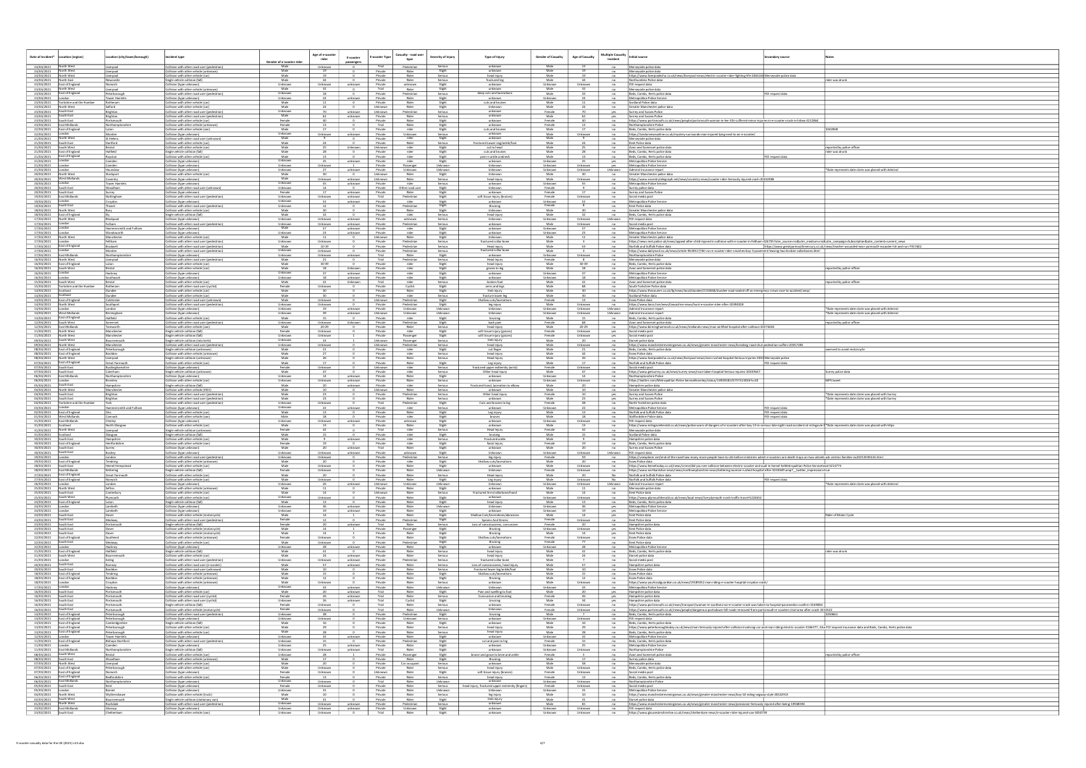| Date of incident*                                            |                                                          |                                          |                                                                                                                    |                                 |                           |                       |                               |                                                           |                                                                            |                              |                          |                                      |                                                                                                                                                                                                                                                                                            |                                     |                                                                                                          |
|--------------------------------------------------------------|----------------------------------------------------------|------------------------------------------|--------------------------------------------------------------------------------------------------------------------|---------------------------------|---------------------------|-----------------------|-------------------------------|-----------------------------------------------------------|----------------------------------------------------------------------------|------------------------------|--------------------------|--------------------------------------|--------------------------------------------------------------------------------------------------------------------------------------------------------------------------------------------------------------------------------------------------------------------------------------------|-------------------------------------|----------------------------------------------------------------------------------------------------------|
|                                                              | <b>Location (region)</b>                                 | Location (city/town/borough)             | <b>Incident type</b>                                                                                               |                                 | Age of e-scooter<br>rider | E-scooter             | E-scooter Type                | Casualty - road user<br>Severity of injury                | Type of Injury                                                             | <b>Gender of Casualty</b>    | <b>Age of Casualty</b>   | <b>Multiple Casualty</b><br>Incident | <b>Initial source</b>                                                                                                                                                                                                                                                                      | condary source                      |                                                                                                          |
| 24/04/2021                                                   |                                                          | Liverpool                                | :ollision with other road user (pedestrian)                                                                        | Gender of e-scooter rid<br>Male | Unknown                   |                       |                               | Pedestriar                                                | unknow                                                                     | Male                         |                          | no                                   | Merseyside police data                                                                                                                                                                                                                                                                     |                                     |                                                                                                          |
| 24/04/2021<br>24/04/2021                                     | North West<br>North West                                 | <u>iverpool</u><br>iverpool              | collision with other vehicle (unknown)<br>collision with other vehicle (car)                                       | Male<br>Male                    | 19<br>19                  |                       | Private<br>Private            | Rider<br>Slight<br>Rider<br>Serious                       | unknown<br>head injury                                                     | Male<br>Male                 | 19                       | no<br>no                             | Merseyside police data<br>https://www.liverpoolecho.co.uk/news/liverpool-news/electric-scooter-rider-fighting-life-2046146 Merseyside police data                                                                                                                                          |                                     |                                                                                                          |
| 24/04/2021<br>23/04/2021                                     | North Fast<br>East of England                            | Vewcastle<br>Norwich                     | Single vehicle collision (fall<br>Collision (type unknown)                                                         | Male<br>Unknown                 | 44<br>Unknown             | unknown               | Private<br>Private            | Rider<br>Serious<br>unknown<br>Slight                     | fractured leg<br>unknown                                                   | Male<br>Unknown              | 44<br>Unknown            | no<br>no                             | Northumbria Police data<br>FOI request data                                                                                                                                                                                                                                                |                                     | rider was drunk                                                                                          |
| 23/04/2021<br>23/04/2021                                     | North West<br>East of England                            | iverpool<br>eterborough                  | Collision with other vehicle (unknown)<br>Collision with other road user (pedestrian)                              | Male<br>Unknown                 | 18                        |                       | Trial<br>Private              | Slight<br>Rider<br>Pedestrian<br>Serious                  | unknown<br>deep cuts and laceration                                        | Male<br>Male                 |                          | no<br>no                             | Merseyside police data<br>Beds, Cambs, Herts police dat                                                                                                                                                                                                                                    | OI request data                     |                                                                                                          |
| 23/04/2021<br>23/04/2021                                     | Yorkshire and the Humber                                 | ower Hamlet<br>Rotheram                  | Collision (type unknown<br>Collision with other vehicle (car)                                                      | Unknow<br>Male                  |                           | unknown               | Private<br>Private            | Rider<br>Slight<br>Rider<br>Slight                        | unknown<br>cuts and bruise                                                 | Unknown<br>Male              |                          | no<br>no                             | Metropolitan Police Service<br>Scotland Police data                                                                                                                                                                                                                                        |                                     |                                                                                                          |
| 23/04/2021<br>23/04/2021                                     | North West<br>South East                                 | alford<br>Brighton                       | Collision with other vehicle (car)<br>collision with other road user (pedestrian)                                  | Male<br>Unknown                 | 24<br>70                  | unknown               | Unknown<br>Unknowr            | Rider<br>Slight<br>Pedestrian<br>Serious                  | Unknown<br>unknown                                                         | Male<br>Female               | 24                       | no<br>yes                            | Greater Manchester police data<br>Surrey and Sussex Police                                                                                                                                                                                                                                 |                                     |                                                                                                          |
| 23/04/2021<br>23/04/2021                                     | South East<br>South East                                 | Brighton                                 | ollision with other road user (pedestrian                                                                          | Male<br>Female                  | 40                        | unknowr               | Private<br>Private            | Serious<br>Rider                                          | unknown<br>unknown                                                         | Male<br>Female               | 40                       | yes<br>no                            | Surrey and Sussex Police                                                                                                                                                                                                                                                                   |                                     |                                                                                                          |
| 23/04/2021<br>22/04/2021                                     | East Midlands<br>East of England                         | Portsmouth<br>Northamptonshir            | Collision with other vehicle (car)<br>Collision with other vehicle (unknown                                        | Female<br>Male                  | 13                        |                       | Trial<br>Private              | Slight<br>Rider<br>Slight                                 | unknown                                                                    | Female<br>Male               | 17                       | no                                   | https://www.portsmouth.co.uk/news/people/portsmouth-woman-in-her-40s-suffered-minor-injuries-in-e-scooter-crash-in-hilsea-3212864<br>Northamptonshire Police                                                                                                                               |                                     |                                                                                                          |
| 22/04/2021<br>21/04/2021                                     | North West                                               | Morden<br>St.Helens                      | Collision with other vehicle (van)<br>Collision (type unknown)                                                     | Unknown<br>Male                 | Unknown                   | unknown               | Private<br>Private            | rider<br>Slight<br>Unknown<br>Serious<br>rider<br>Slight  | cuts and bruises<br>unknown<br>unknown                                     | Male<br>Male                 | Unknown                  | no<br>no<br>no                       | Beds, Cambs, Herts police data<br>https://londonnewsonline.co.uk/mystery-surrounds-man-injured-lying-next-to-an-e-scooter/<br>Merseyside police data                                                                                                                                       |                                     | 1042068                                                                                                  |
| 21/04/2021<br>21/04/2021                                     | South East<br>South West                                 | Dartford                                 | Collision with other road user (unknown)<br>Collision with other vehicle (ca<br>Collision with other vehicle (car) | Male<br>Male                    | 74                        | Unknown               | Private<br>Unknown            | Rider<br>Serious<br>rider<br>Slight                       | Fractured Lower Leg/ankle/foc<br>cut to head                               | Male<br>Male                 | 24<br>25                 | no<br>no                             | Kent Police data<br>Avon and Somerset police data                                                                                                                                                                                                                                          |                                     | reported by police office                                                                                |
| 21/04/2021<br>21/04/2021                                     | East of England<br>East of England                       | Hatfield<br>Royston                      | Single vehicle collision (fall)<br>Collision with other vehicle (car)                                              | Male<br>Male                    | - 28<br>13                |                       | Private<br>Private            | rider<br>Slight<br>rider<br>Slight                        | cuts and bruises<br>pain in ankle andne                                    | Male<br>Male                 | 28<br>13                 | no<br>no                             | Beds, Cambs, Herts police data<br>Beds, Cambs, Herts police data                                                                                                                                                                                                                           | OI request data                     | rider was drunk                                                                                          |
| 21/04/2021<br>21/04/2021                                     | <b>Il</b> ondon                                          | Camden<br>Camden                         | Collision (type unknown<br>Collision (type unknown                                                                 | Unknown<br>Unknown              | - 25<br>Unknown           | unknown               | Private<br>Private            | rider<br>Slight<br>Passenger<br>Unknown                   | unknown<br>Unknown                                                         | Unknown<br>Unknown           | Unknown                  | yes<br>yes                           | Metropolitan Police Service<br>Metropolitan Police Service                                                                                                                                                                                                                                 |                                     |                                                                                                          |
| 21/04/2021<br>20/04/2021                                     | London<br>North West                                     | Hounslow<br>Stockport                    | Collision (type unknown)<br>Collision with other vehicle (car)                                                     | Unknown<br>Male                 | 27<br>30                  | unknown               | Private<br>Unknown            | Unknown<br>Unknown<br>Rider<br>Slight                     | Unknown<br>Unknown                                                         | Unknown<br>Male              | Unknown<br>30            | Unknown<br>no                        | Admiral Insurance report<br>Greater Manchester police data                                                                                                                                                                                                                                 |                                     | *Date represents date claim was placed with Admiral                                                      |
| 20/04/2021<br>20/04/2021                                     | West Midlands                                            | Coventry<br><b>Tower Hamlet</b>          | Collision (type unknown<br>Collision (type unknown)                                                                | Male<br>Unknown                 | Unknown<br>55             | unknown<br>unknown    | Unknown<br>Private            | Rider<br>Serious<br>rider<br>Serious                      | head injury<br>unknown                                                     | Male<br>Unknown              | Unknown<br>55            | no<br>no                             | https://www.coventrytelegraph.net/news/coventry-news/scooter-rider-Seriously-injured-crash-20432086<br>Metropolitan Police Service                                                                                                                                                         |                                     |                                                                                                          |
| 20/04/2021<br>20/04/2021                                     | South East<br>South East                                 | Woodham<br>Surrey                        | Collision with other road user (unknown)<br>Collision (type unknown                                                | Unknown<br>Female               | 14                        | unknown               | Private<br>Private            | Other road user<br>Slight<br>Rider<br>Slight              | Unknown<br>unkno                                                           | Female<br>Female             | 17                       | no                                   | Surrey police data<br>Surrey and Sussex Police                                                                                                                                                                                                                                             |                                     |                                                                                                          |
| 19/04/2021<br>19/04/2021                                     | East Midlands<br>London                                  | Nottingham<br>Croydon                    | Collision with other road user (pedestrian)<br>Collision (type unknown)                                            | Unknown<br>Unknown              | Unknown<br>52             | unknown<br>unknown    | Trial<br>Private              | Pedestrian<br>Slight<br>rider                             | soft tissue injury (bruises)<br>unknown                                    | Female<br>Unknown            | Unknown<br>52            | no<br>no<br>no                       | Social media post<br>Metropolitan Police Service                                                                                                                                                                                                                                           |                                     |                                                                                                          |
| 19/04/2021<br>18/04/2021                                     | South East<br>North West                                 | Thanet<br>Bury                           | Collision with other road user (pedestrian)<br>Collision with other vehicle (car                                   | Unknowr<br>Male                 | 12<br>30                  |                       | Private<br>Private            | Slight<br>Slight<br>Pedestrian<br>Rider<br>Slight         | Bruising<br>Unknown                                                        | Female<br>Male               | -8                       | no<br>no                             | Kent Police data<br>Greater Manchester police data                                                                                                                                                                                                                                         |                                     |                                                                                                          |
| 18/04/2021<br>17/04/2021                                     | <b>East of England</b><br>North West                     | Blackpool                                | Single vehicle collision (fall)<br>:ollision (type unknown                                                         | Male<br>Unknown                 | - 32<br>Unknown           | unknown               | Private<br>Private            | rider<br>Serious<br>unknown<br>Serious                    | head injury<br>Unknown                                                     | Male<br>Unknown              | 32<br>Unknown            | no<br>Unknown                        | Beds, Cambs, Herts police data<br>FOI request data                                                                                                                                                                                                                                         |                                     |                                                                                                          |
| 17/04/2021<br>17/04/2021                                     |                                                          | Hammersmith and Fulham                   | Collision with other road user (pedestrian)<br>Collision (type unknown                                             | Unknown<br>Male                 | Unknown                   | unknown<br>unknown    | Private<br>Private            | Pedestrian<br>Serious<br>rider<br>Slight                  | unknown<br>unknown                                                         | Male<br>Unknown              | Unknown                  | no<br>no                             | Social media post<br>Metropolitan Police Service                                                                                                                                                                                                                                           |                                     |                                                                                                          |
| 17/04/2021<br>17/04/2021                                     | London<br>North West                                     | Wandsworth<br>Mancheste                  | Collision (type unknown<br>Collision with other vehicle (car)                                                      | Unknown<br>Male                 | 23<br>11                  | unknown               | Private<br>Unknowr            | rider<br>Slight<br>Rider<br>Slight                        | unknown<br>Unknown                                                         | Unknown<br>Male              | 23                       | no<br>no                             | Metropolitan Police Service<br>Greater Manchester police data                                                                                                                                                                                                                              |                                     |                                                                                                          |
| 17/04/2021<br>17/04/2021                                     | East of England                                          | Feltham<br>Bradwell                      | Collision with other road user (pedestrian)<br>Collision with other road user (pedestrian)                         | Unknowr<br>Male                 | Unknown<br>10-19          |                       | Private<br>Private            | Pedestrian<br>Serious<br>Pedestrian<br>Serious            | fractured collar bor<br>Head injury                                        | Male<br>Male                 | 53                       | no<br>no                             | https://news.met.police.uk/news/appeal-after-child-injured-in-collision-with-e-scooter-in-feltham-426735?utm_source=rss&utm_medium=rss&utm_campaign=Subscription&utm_content=current_news<br>Norfolk and Suffolk Police data                                                               |                                     | https://www.greatyarmouthmercury.co.uk/news/teacher-wounded-near-yarmouth-escooter-hit-and-run-7917602   |
| 17/04/2021<br>17/04/2021                                     | London<br>East Midlands                                  | Morden<br>Northampton                    | Collision with other road user (pedestrian)<br>ıllision (type unknowr                                              | Unknown<br>Unknowr              | Unknown<br>Unknown        | unknowi               | Private<br>Trial              | Pedestrian<br>Serious<br>Rider<br>Slight                  | fractured collar bone<br>unknow                                            | Male<br>Unknown              | Unknown                  | no<br>no                             | https://www.dailymail.co.uk/news/article-9549317/Hit-run-e-scooter-rider-smashes-boy-3-pavement-leaving-two-broken-collarbones.html<br>Northamptonshire Police                                                                                                                             |                                     |                                                                                                          |
| 16/04/2021<br>16/04/2021                                     | North West<br>East of England                            | Liverpool<br>Luton                       | Collision with other road user (pedestrian)<br>Collision with other vehicle (car)                                  | Male<br>Male                    | -21<br>$30 - 39$          |                       | Trial<br>Private              | Pedestrian<br>Serious<br>Slight<br>rider                  | Head Injury<br>head injury                                                 | Female<br>Male               | $30-39$                  | no<br>no                             | Merseyside police data<br>Beds, Cambs, Herts police data                                                                                                                                                                                                                                   |                                     |                                                                                                          |
| 16/04/2021<br>16/04/2021                                     | South West                                               | Bristol<br>Hackney                       | ollision with other vehicle (car)<br>Collision (type unknown                                                       | Male<br>Unknowr                 |                           | Unknown<br>unknown    | Private<br>Private            | rider<br>Slight<br>rider<br>Slight                        | grazes to leg<br>unknown                                                   | Male<br>Unknown              |                          | no<br>no                             | Avon and Somerset police data<br>Metropolitan Police Service                                                                                                                                                                                                                               |                                     | eported by police officer                                                                                |
| 16/04/2021<br>15/04/2021                                     | South West                                               | Southwark<br>Bristol                     | Collision (type unknowr<br>Collision with other vehicle (car)                                                      | Unknowr<br>Male                 | 41                        | unknown<br>Unknown    | Private<br>Trial              | rider<br>Slight<br>rider<br>Serious                       | unknown<br>broken foot                                                     | Unknown<br>Male              | 18<br>41                 | no<br>no                             | Metropolitan Police Service<br>Avon and Somerset police data                                                                                                                                                                                                                               |                                     | eported by police officer                                                                                |
| 15/04/2021<br>14/04/2021                                     | Yorkshire and the Humbe<br>Scotland                      | Rotheram<br>undee                        | Collision with other road user (cyclist<br>illision with other vehicle (car)                                       | Female<br>Male                  | Unknown                   |                       | Private<br>Private            | Cyclist<br>Slight<br>Rider<br>Slight                      | arms and legs<br>limb injury                                               | Male<br>Male                 |                          | no                                   | South Yorkshire Police data<br>https://www.thecourier.co.uk/fp/news/local/dundee/2134666/dundee-road-sealed-off-as-emergency-crews-race-to-accident/amp/                                                                                                                                   |                                     |                                                                                                          |
| 14/04/2021<br>14/04/2021                                     | Scotland<br>East of England                              | Dundee<br>Colchester                     | Collision with other vehicle (car)<br>Collision with other road user (unknown)                                     | Male<br>Male                    | 30<br>Unknown             |                       | Private<br>Unknowr            | rider<br>Serious<br>Pedestrian<br>Slight                  | fracture lower leg<br>Shallow cuts/laceration                              | Male<br>Female               | 30                       | no<br>no                             | Scotland Police data<br>Essex Police data                                                                                                                                                                                                                                                  |                                     |                                                                                                          |
| 14/04/2021<br>14/04/2021                                     | North West                                               | Southport<br>ondon                       | Collision with other road user (pedestrian)                                                                        | Unknowr<br>Unknown              | Unknown<br>19             | unknown               | Private<br>Private            | Pedestrian<br>Slight<br>Unknown<br>Unknown                | leg injury<br>Unknown                                                      | Male<br>Unknown              | Unknown<br>Unknown       | no<br>Unknown                        | https://www.lancs.live/news/lancashire-news/hunt-e-scooter-rider-after-20394028<br>Admiral Insurance report                                                                                                                                                                                |                                     | *Date represents date claim was placed with Admiral                                                      |
| 14/04/2021<br>13/04/2021                                     | West Midland<br>East of England                          | Birmingham<br>Hatfield                   | Collision (type unknown)<br>Collision (type unknown<br>Collision with other vehicle (car)                          | Unknown<br>Male                 |                           | unknowr               | Unknown<br>Private            | Unknown<br>Unknown<br>rider<br>Slight                     | Unknown<br>bruising                                                        | Unknown<br>Male              | Unknown                  | Unknown                              | Admiral Insurance report<br>Beds, Cambs, Herts police data                                                                                                                                                                                                                                 |                                     | *Date represents date claim was placed with Admira                                                       |
| 12/04/2021<br>12/04/2021                                     | South West<br>East Midlands                              | iomerset<br>'amworth                     | collision with other road user (pedestrian)<br>collision with other vehicle (van)                                  | Unknown<br>Male                 | Unknown<br>$20 - 29$      | Unknown               | Private<br>Private            | Pedestrian<br>Slight<br>Rider<br>Serious                  | back pain<br>head injury                                                   | Female<br>Male               | 20-29                    | no<br>no                             | Avon and Somerset police data                                                                                                                                                                                                                                                              |                                     | reported by police officer                                                                               |
| 11/04/2021<br>11/04/2021                                     | North West<br>North West                                 | Mancheste<br>Manchester                  | Single vehicle collision (fall<br>Single vehicle collision (fall                                                   | Female<br>Unknowr               | Unknown<br>Unknown        |                       | Private<br>Private            | rider<br>Slight<br>Passenger<br>Slight                    | soft tissue injury (graz<br>soft tissue injury (graze                      | Female<br>Female             | Unknown<br>Unknown       | yes<br>yes                           | https://www.birminghammail.co.uk/news/midlands-news/man-airlifted-hospital-after-collision-20374404<br>Social media post<br>Social media post                                                                                                                                              |                                     |                                                                                                          |
| 09/04/2021<br>09/04/2021                                     | outh West<br>North West                                  | sournemouth<br>Manchester                | Single vehicle collision (into kerb)<br>collision with other road user (pedestriar                                 | Unknowr<br>Unknown              | 33<br>Unknown             |                       | Unknown<br>Unknown            | Passenger<br>Serious<br>Pedestrian<br>Serious             | limb injury<br>head injury                                                 | Male<br>Male                 | Unknown                  | no<br>no                             | Dorset police data<br>https://www.manchestereveningnews.co.uk/news/greater-manchester-news/breaking-road-shut-pedestrian-suffers-20357285                                                                                                                                                  |                                     |                                                                                                          |
| 08/04/2021<br>08/04/2021                                     | East of England<br>East of England                       | Peterborough<br>Basildon                 | Single vehicle collision (unknown)<br>ollision with other vehicle (unknowr                                         | Male<br>Male                    |                           |                       | Private<br>Private            | rider<br>Slight<br>rider<br>Serious                       | cut finger<br>head injury                                                  | Male<br>Male                 |                          | no                                   | Beds, Cambs, Herts police data<br><b>Essex Police data</b>                                                                                                                                                                                                                                 |                                     | werved to avoid motorcycle                                                                               |
| 08/04/2021<br>07/04/2021                                     | North West<br>East of England                            | iverpool<br>Great Yarmouth               | Single vehicle collision (unknown)<br>ollision with other vehicle (car)                                            | Male<br>Male                    | - 26<br>17                |                       | Private<br>Private            | Rider<br>Serious<br>Rider<br>Slight                       | Head Injury<br>Leg injury                                                  | Male<br>Male                 | 26                       | no<br>no                             | https://www.liverpoolecho.co.uk/news/liverpool-news/man-rushed-hospital-Serious-injuries-2034 Merseyside police<br>Norfolk and Suffolk Police data                                                                                                                                         | )I request data                     |                                                                                                          |
| 07/04/2021<br>07/04/2021                                     | South East<br>South East                                 | Buckinghamshire<br>Caterham              | :ollision (type unknown<br>Single vehicle collision (unknown)                                                      | Female<br>Male                  | Unknown<br>-47            |                       | Unknown<br>Private            | rider<br>Serious<br>rider<br>Serious                      | fractured upper extte<br>Other head injury                                 | Female<br>Male               | Unknown<br>47            | no<br>no                             | Social media post<br>https://www.getsurrey.co.uk/news/surrey-news/man-taken-hospital-Serious-injuries-20339447                                                                                                                                                                             |                                     | Surrey police data                                                                                       |
| 06/04/2021<br>06/04/2021                                     | East Midland:<br>ondon                                   | Northamptonshire<br><b>Sromley</b>       | Collision (type unknown)<br>Collision with other vehicle (car)                                                     | Unknown<br>Unknown              | 14<br>Unknown             | unknown<br>unknown    | Private<br>Private            | Rider<br>Slight<br>Rider<br>Serious                       | unknown<br>unknown                                                         | Unknown<br>Unknown           | 14<br>Unknown            | no<br>no                             | Northamptonshire Police<br>https://twitter.com/Metropolitan Police ServiceBromley/status/1390358125757313026?s=20                                                                                                                                                                          |                                     | MPS tweet                                                                                                |
| 05/04/2021<br>04/04/2021                                     | South East<br>lorth West                                 | Hampshire<br>Manchester                  | Single vehicle collision (fall<br>:ollision with other vehicle (HGV)                                               | Male<br>Male                    |                           | unknown               | Private<br>Unknown            | Serious<br>rider<br>Rider<br>Serious                      | Fractured hand, laceration to elbow<br>unknow                              | Male<br>Male                 |                          | no<br>no                             | Hampshire police data<br>Greater Manchester police data                                                                                                                                                                                                                                    |                                     |                                                                                                          |
| 04/04/2021<br>04/04/2021                                     | South East<br>South East                                 | Brighton<br>Brighton                     | Collision with other road user (pedestrian)<br>Collision with other road user (pedestrian)                         | Male<br>Male                    | 23<br>23                  |                       | Private<br>Private            | Pedestrian<br>Serious<br>Serious<br>Rider                 | Other head injury<br>unknow                                                | Female<br>Male               | 10<br>23                 | yes<br>yes                           | Surrey and Sussex Police<br>Surrey and Sussex Police                                                                                                                                                                                                                                       |                                     | *Date represents date claim was placed with Surrey<br>*Date represents date claim was placed with Surrey |
| 04/04/2021<br>03/04/2021                                     | Yorkshire and the Humber                                 | Hammersmith and Fulham                   | ollision with other road user (pedestrian)<br>Collision (type unknown)                                             | Unknown<br>Unknown              | Unknown                   | unknown               | Trial<br>Private              | Pedestrian<br>Slight<br>Serious<br>rider                  | Cuts and brusies to leg<br>unknown                                         | Female<br>Unknown            | 22                       | no<br>no                             | North Yorkshire police data<br>Metropolitan Police Service                                                                                                                                                                                                                                 | FOI request data                    |                                                                                                          |
| 02/04/2021<br>01/04/2021                                     | East of England<br>West Midland<br>East Midlands         | Cannock                                  | Collision with other vehicle (car)<br>Collision with other vehicle (van)                                           | Male<br>Male<br>Unknown         | 13<br>18                  |                       | Private<br>Private            | Rider<br>Slight<br>rider<br>Slight                        | Leg injury<br>bruises                                                      | Male<br>Male                 | 18                       | no<br>no                             | Norfolk and Suffolk Police data<br>Staffordshire Police data                                                                                                                                                                                                                               | FOI request data<br>)I request data |                                                                                                          |
|                                                              |                                                          | Chinley                                  |                                                                                                                    | Male                            | Unknown<br><b>13</b>      | unknown               | Private<br>Private<br>Trial   | unknown<br>Slight<br>Rider<br>Slight<br>rider<br>Serious  | unknown<br>unknown<br>Head Injury                                          | Unknown<br>Male<br>Female    | Unknown<br>13<br>42      | no<br>no<br>no                       | FOI request data<br>https://www.milngavieherald.co.uk/news/police-warn-of-dangers-of-e-scooters-after-boy-13-in-serious-late-night-road-accident-at-milngavie-1 *Date represents date claim was placed with https<br>Merseyside police data                                                |                                     |                                                                                                          |
| 31/03/2021<br>31/03/2021                                     | Scotland                                                 | North Glasgow                            | Collision (type unknown<br>Collision with other vehicle (car)                                                      |                                 |                           |                       |                               |                                                           |                                                                            | Male                         |                          | no                                   |                                                                                                                                                                                                                                                                                            |                                     |                                                                                                          |
| 31/03/2021<br>31/03/2021                                     | North West<br>Scotland                                   | iverpool<br>Glasgow                      | Single vehicle collision (unknow<br>Single vehicle collision (fall                                                 | Female<br>Male                  | 42                        |                       | Private                       | rider<br>Slight                                           | bruising                                                                   |                              |                          |                                      | Scotland Police data                                                                                                                                                                                                                                                                       |                                     |                                                                                                          |
| 30/03/2021<br>30/03/2021                                     | South East<br>East of England                            | Hampshire<br>Hertfordshire               | Collision with other vehicle (car)<br>Collision with other vehicle (var                                            | Male<br>Female                  | 19                        | unknown               | Private<br>Private            | rider<br>Serious<br>rider<br>Slight                       | Fractured ankle<br>facial injury                                           | Male<br>Female               | 19                       | no<br>no                             | Hampshire police data<br>Beds, Cambs, Herts police data                                                                                                                                                                                                                                    |                                     |                                                                                                          |
| 30/03/2021<br>30/03/2021                                     | South East                                               | Surrey<br><b>Bushey</b>                  | Collision (type unknown<br>Collision (type unkno                                                                   | Male<br>Unknowr                 | 20<br>Unknown             | unknown<br>unknown    | Trial<br>Private              | Rider<br>Slight<br>unknowr<br>Slight                      | unknown<br>Unknowr                                                         | Male<br>Unknown              | 20<br>Unknown            | no<br>Unknown                        | Surrey and Sussex Police<br>FOI request dat                                                                                                                                                                                                                                                |                                     |                                                                                                          |
| 29/03/2021   London                                          | 29/03/2021 East of England                               | London<br>Tendring                       | Collision with other road user (pedestrian)<br>Collision with other vehicle (unknown)                              | Unknown<br>Male                 | Unknown<br>20             |                       | Private<br>Private            | Pedestrian<br>Serious<br>rider<br>Slight                  | leg injury<br>Shallow cuts/laceration                                      | Female<br>Male               | 59.<br>20                | no                                   | https://vnexplorer.net/end-of-the-road-how-many-more-people-have-to-die-before-ministers-admit-e-scooters-are-death-traps-on-two-wheels-ask-victims-families-eu20213035614.html<br><b>Essex Police data</b>                                                                                |                                     |                                                                                                          |
| 28/03/2021                                                   | South East<br>28/03/2021 East Midlands                   | <b>Hemel Hempstead</b><br>Kettering      | Collision with other vehicle (car)<br>Single vehicle collision (fall)                                              | Male<br>Female                  | Unknown<br>Unknown        |                       | Private<br>Private            | Rider<br>Slight<br>Rider<br>Unknown                       | unknown<br>Unknown                                                         | Male<br>Female               | Unknown<br>Unknown       | no<br>no                             | https://www.hemeltoday.co.uk/news/crime/did-you-see-collision-between-electric-scooter-and-audi-in-hemel-heMetropolitan Police Servicetead-3214775<br>https://www.northantslive.news/news/northamptonshire-news/kettering-woman-rushed-hospital-after-5243649.amp?_twitter_impression=true |                                     |                                                                                                          |
| 27/03/2021                                                   | 27/03/2021 East of England<br>East of England            | Great Yarmouth<br>Norwich                | Collision with other vehicle (car)<br>Collision with other vehicle (car)                                           | Male<br>Male                    | 20<br>Unknown             |                       | Private<br>Private            | Rider<br>Serious<br>Rider<br>Slight                       | Head injury<br>Leg injury                                                  | Male<br>Male                 | 20<br>Unknown            | No.<br>No                            | Norfolk and Suffolk Police data<br>Norfolk and Suffolk Police data                                                                                                                                                                                                                         | FOI request data                    |                                                                                                          |
| 26/03/2021   London<br>25/03/2021 North West                 | South East                                               | London<br>Sefton<br>Canterbury           | Collision (type unknown)<br>Collision with other vehicle (unknown)<br>Collision with other vehicle (car)           | Unknown<br>Male                 | - 26<br>11<br>14          | unknown               | Unknown<br>Private<br>Unknown | Unknown<br>Unknown<br>Rider<br>Slight<br>Rider<br>Serious | Unknown<br>unknown                                                         | Unknown<br>Male<br>Male      | Unknown<br>11<br>14      | Unknown<br>no<br>no                  | Admiral Insurance report<br>Merseyside police data<br>Kent Police data                                                                                                                                                                                                                     |                                     | *Date represents date claim was placed with Admiral                                                      |
| 25/03/2021<br>25/03/2021 South West                          |                                                          | Plymouth<br>Luton                        | Collision with other vehicle (car)<br>Single vehicle collision (fall)                                              | Male<br>Unknown<br>Male         | Unknown<br>13             |                       | Private<br>Private            | Rider<br>Slight<br>Rider                                  | Fractured Arm/collarbone/hand<br>unknown<br>head injury                    | Unknown<br>Male              | Unknown<br>13            | no<br>no                             | https://www.plymouthherald.co.uk/news/local-news/live-plymouth-crash-traffic-travel-522465.<br>Beds, Cambs, Herts police data                                                                                                                                                              |                                     |                                                                                                          |
| 24/03/2021   London<br>24/03/2021 London                     | 24/03/2021 East of England                               | Lambeth<br>Lambeth                       | Collision (type unknown)<br>Collision (type unknown)                                                               | Unknown<br>Unknown              | 36<br>19                  | unknown<br>unknown    | Private<br>Private            | Slight<br>Rider<br>Unknown<br>Slight<br>Rider             | Unknown<br>unknown                                                         | Unknown<br>Unknown           | 36<br>19                 | yes<br>yes                           | Metropolitan Police Service<br>Metropolitan Police Service                                                                                                                                                                                                                                 |                                     |                                                                                                          |
| 24/03/2021<br>24/03/2021 South East                          | South East                                               | Dover<br>Medway                          | Collision with other vehicle (motorcycle)<br>Collision with other road user (pedestrian)                           | Male<br>Female                  | 14<br>12                  | $\mathbf{0}$          | Private<br>Private            | Rider<br>Slight<br>Pedestrian<br>Slight                   | Shallow Cuts/lacerations/abrasions<br>Sprains And Strains                  | Male<br>Female               | 14<br>Unknown            | Yes<br>no                            | Kent Police data<br>Kent Police data                                                                                                                                                                                                                                                       |                                     | lider of Motor Cycle                                                                                     |
| 23/03/2021 South East<br>23/03/2021                          | South East                                               | Portsmouth<br>Dover                      | Single vehicle collision (fall)<br>Collision with other vehicle (motorcycle)                                       | Female<br>Male                  | 20<br>14                  | unknown               | Trial<br>Private              | Rider<br>Serious<br>Slight<br>Passenger                   | Loss of consciousness, concussion<br>Bruising                              | Female<br>Unknown            | 20<br>Unknown            | no<br>yes                            | Hampshire police data<br>Kent Police data                                                                                                                                                                                                                                                  |                                     |                                                                                                          |
| 22/03/2021 South East                                        |                                                          | Dover<br>Southend                        | Collision with other vehicle (motorcycle)<br>ollision with other vehicle (unknown)                                 | Male<br>Female                  | 14<br>Unknown             |                       | Private<br>Private            | Slight<br>Rider<br>Rider                                  | Bruising<br>Shallow cuts/lacerations                                       | Male<br>Female               | 14<br>Unknown            | yes<br>no                            | Kent Police data<br><b>Essex Police data</b>                                                                                                                                                                                                                                               |                                     |                                                                                                          |
| 22/03/2021<br>22/03/2021 London                              | 22/03/2021 East of England<br>South East                 | Medway<br>Hackney                        | ollision with other vehicle (car)<br>Collision (type unknown)                                                      | Male<br>Unknown                 | Unknown<br>- 28           | unknown               | Private<br>Private            | Slight<br>Pedestrian<br>Slight<br>Rider<br>Slight         | Bruising<br>unknown                                                        | Female<br>Unknown            | 28                       | no<br>no                             | Kent Police data<br>Metropolitan Police Service                                                                                                                                                                                                                                            |                                     |                                                                                                          |
| 21/03/2021                                                   | 21/03/2021 East of England<br>South West                 | Hatfield<br>Bournemouth                  | Single vehicle collision (fall)<br>Collision with other vehicle (car)                                              | Male<br>Male                    | 41<br>24                  | unknown               | Private<br>Private            | Rider<br>Serious<br>Rider<br>Serious                      | head injury<br>head injury                                                 | Male<br>Male                 | 41                       | no<br>no                             | Beds, Cambs, Herts police data<br>Dorset police data                                                                                                                                                                                                                                       |                                     | rider was drunk                                                                                          |
| 21/03/2021<br>20/03/2021                                     | South East                                               | Ealing<br>Romsey                         | Collision with other road user (pedestrian)<br>Collision with other road user (e-scooter)                          | Unknown<br>Male                 | Unknown                   | unknown<br>unknown    | Private<br>Private            | Pedestrian<br>Serious<br>Rider<br>Serious                 | fractured collar bone<br>Loss of consciousness, head injury                | Male<br>Male                 |                          | no<br>no                             | Social media post<br>Hampshire police data                                                                                                                                                                                                                                                 |                                     |                                                                                                          |
| 20/03/2021 South East                                        | 18/03/2021 East of England                               | Basildon<br>Tendring                     | Collision with other road user (unknown)<br>ollision with other vehicle (unknown                                   | Male<br>Male                    | 10                        |                       | Private<br>Private            | Rider<br>Serious<br>Rider<br>Slight                       | Fractured lower leg/ankle/foot<br>Shallow cuts/laceration                  | Male<br>Male                 | 10                       | no<br>no                             | Essex Police data<br><b>Essex Police data</b>                                                                                                                                                                                                                                              |                                     |                                                                                                          |
| 18/03/2021<br>18/03/2021   London                            | East of England                                          | Basildon<br>Croydon                      | ollision with other vehicle (unknown<br>Collision with other vehicle (unknown)                                     | Male<br>Male                    | Unknown                   | $^{\circ}$            | Private<br>Private            | Rider<br>Slight<br>Rider<br>Serious                       | Bruising<br>unknown                                                        | Male<br>Male                 | Unknown                  | no<br>no                             | Essex Police data<br>https://www.yourlocalguardian.co.uk/news/19189252.man-riding-e-scooter-hospital-croydon-crash/                                                                                                                                                                        |                                     |                                                                                                          |
| 17/03/2021<br>16/03/2021                                     | London<br>South Fast                                     | Hackney<br>Portsmouth                    | Collision (type unknown)<br>Collision with other vehicle (car)                                                     | Unknown<br>Male                 | 43                        | unknown<br>unknown    | Private<br>Trial              | Rider<br>Unknown<br>Rider<br>Slight                       | Unknown<br>Pain and swelling to foot                                       | Unknown<br>Male              | 43                       | no<br>yes                            | Metropolitan Police Service<br>Hampshire police data                                                                                                                                                                                                                                       |                                     |                                                                                                          |
| 16/03/2021 South East<br>16/03/2021 South East               |                                                          | Portsmouth<br>Portsmouth                 | Collision with other road user (cyclist)<br>Collision with other road user (cyclist)                               | Female<br>Unknown               | - 26<br>- 26              | unknown<br>unknown    | Trial<br>Trial                | Rider<br>Serious<br>Cyclist<br>Slight                     | Concussion and bruising<br>bruising                                        | Female<br>Male               | 26<br>34                 | yes<br>yes                           | Hampshire police data<br>Hampshire police data                                                                                                                                                                                                                                             |                                     |                                                                                                          |
| 16/03/2021 South East<br>16/03/2021                          | South East                                               | Portsmouth<br>Portsmouth                 | Single vehicle collision (fall)<br>collision with other vehicle (motorcycle)                                       | Female<br>Female                | Unknown<br>Unknown        |                       | Trial<br>Trial                | Rider<br>Serious<br>Rider<br>Unknown                      | unknown<br>Unknown                                                         | Female<br>Female             | Unknown<br>Unknown       | no<br>no                             | https://www.portsmouth.co.uk/news/transport/woman-in-southsea-voi-e-scooter-crash-was-taken-to-hospital-paramedics-confirm-3169084<br>https://www.portsmouth.co.uk/news/people/dangerous-portsdown-hill-roads-removed-from-portsmouth-e-scooters-trial-area-after-crash-3210322            |                                     |                                                                                                          |
|                                                              | 14/03/2021 East of England<br>14/03/2021 East of England | Peterborough<br>Peterborough             | Collision with other road user (pedestrian<br>Collision (type unknown)                                             | Unknown<br>Unknown              | 38<br>Unknown             |                       | Private<br>Private            | Pedestrian<br>Slight<br>Unknown<br>Serious                | bruising<br>unknown                                                        | Male<br>Unknown              | Unknown                  | no<br>no                             | Beds, Cambs, Herts police data<br>FOI request data                                                                                                                                                                                                                                         |                                     | 1030661                                                                                                  |
| 13/03/2021                                                   | 13/03/2021 East of England<br>East of England            | Cambridgeshire<br>Peterborough           | Single vehicle collision (fall<br>Collision with other vehicle (car)                                               | Male<br>Male                    | 16<br>- 29                |                       | Private<br>Private            | Rider<br>Slight<br>Rider<br>Serious                       | unknown<br>head injury                                                     | Male<br>Male                 | 16<br>29                 | no<br>no                             | Beds, Cambs, Herts police data<br>https://www.peterboroughtoday.co.uk/news/man-Seriously-injured-after-collision-involving-car-and-man-riding-electric-scooter-3166377, Also FOI request insurance data and Beds, Cambs, Herts police data                                                 |                                     |                                                                                                          |
| 12/03/2021 London                                            | 13/03/2021 East of England                               | Peterborough<br><b>Tower Hamlets</b>     | Collision with other vehicle (car)<br>Collision (type unknown)                                                     | Male<br>Unknown                 | 28<br>32                  | $\sqrt{2}$<br>unknown | Private<br>Private            | Rider<br>Serious<br>Rider<br>Slight                       | head injury<br>unknown                                                     | Male<br>Unknown              | 28                       | no<br>no                             | Beds, Cambs, Herts police data<br>Metropolitan Police Service                                                                                                                                                                                                                              |                                     |                                                                                                          |
| 11/03/2021<br>11/03/2021 London                              | East of England                                          | <b>Bishops Stortford</b><br>Camden       | Collision with other road user (pedestrian)<br>Collision (type unknown)                                            | Unknown<br>Unknown<br>Unknown   | - 25<br>Unknown           | unknown<br>unknown    | Private<br>Private<br>Trial   | Pedestrian<br>Slight<br>Rider<br>Slight<br>Rider          | cut and pain to leg<br>unknown<br>unknown                                  | Female<br>Unknown<br>Unknown | 15<br>25                 | no<br>no<br>no                       | Beds, Cambs, Herts police data<br>Metropolitan Police Service                                                                                                                                                                                                                              |                                     |                                                                                                          |
| 08/03/2021                                                   | 11/03/2021 East Midlands<br>South West                   | Northamptonshire<br>Bristol              | Single vehicle collision (fall)<br>Collision with other vehicle (car)                                              | Unknown                         | 28<br>17                  |                       | Private                       | Slight<br>Slight<br>Passenger                             | bruise and graze to knee and ankle                                         | Female                       | Unknown<br>17            | no                                   | Northamptonshire Police<br>Avon and Somerset police data                                                                                                                                                                                                                                   |                                     | reported by police officer                                                                               |
| 08/03/2021 South East<br>07/03/2021 North West               |                                                          | Woodham<br>Liverpool                     | Collision with other vehicle (unknown)<br>Collision with other vehicle (car)                                       | Male<br>Male<br>Male            | - 20                      |                       | Private<br>Private            | Rider<br>Slight<br>Car occupant<br>Serious<br>Rider       | Bruising<br>unknown                                                        | Male<br>Male                 | 58                       | no<br>no                             | Surrey police data<br>Merseyside police data                                                                                                                                                                                                                                               |                                     |                                                                                                          |
|                                                              | 07/03/2021 East of England<br>07/03/2021 East of England | Peterborough<br>Norwich                  | Collision with other vehicle (car)<br>Collision (type unknown)                                                     | Female                          | Unknown<br>Unknown        |                       | Private<br>Unknown            | Serious<br>Rider<br>Slight                                | head injury<br>soft tissue injury (bruises                                 | Male<br>Female               | Unknown<br>Unknown       | no<br>no                             | Beds, Cambs, Herts police data<br>Social media post                                                                                                                                                                                                                                        |                                     |                                                                                                          |
|                                                              | 06/03/2021 East of England<br>06/03/2021 East Midlands   | Bedfordshire<br>Northamptonshire<br>Kent | Collision with other vehicle (car)<br>Collision (type unknown)<br>Collision (type unknown                          | Female<br>Unknown<br>Female     | 13<br>Unknown             | $\Omega$              | Private<br>Trial<br>Private   | Rider<br>Serious<br>Rider<br>Unknown<br>Rider             | head injury<br>unknown<br>head injury, fractured upper extremity (fingers) | Female<br>Unknown<br>Female  | 13<br>Unknown<br>Unknown | no<br>no<br>no                       | Beds, Cambs, Herts police data<br>Northamptonshire Police                                                                                                                                                                                                                                  |                                     |                                                                                                          |
| 05/03/2021 South East<br>05/03/2021<br>04/03/2021 North West | London                                                   | Barnet<br>Wythenshawe                    | Collision (type unknown)<br>Collision with other vehicle (truck)                                                   | Unknown<br>Male                 | Unknown<br>31<br>10       |                       | Private<br>Private            | Serious<br>Rider<br>Unknown<br>Rider<br>Serious           | Unknown<br>leg injury                                                      | Unknown<br>Male              | 31<br>10                 | no<br>no                             | Social media post<br>Metropolitan Police Service                                                                                                                                                                                                                                           |                                     |                                                                                                          |
| 02/03/2021 South West<br>01/03/2021                          | North West<br>23/02/2021 East Midlands                   | Bournemouth<br>Rochdale                  | Single vehicle collision (stationary van)<br>Collision with other road user (pedestrian)                           | Male<br>Unknown                 | 31<br>Unknown             | unknown               | Private<br>Private            | Rider<br>Slight<br>Pedestrian<br>Serious                  | limb injury<br>unknown                                                     | Male<br>Male                 | 31<br>65                 | no<br>no                             | https://www.manchestereveningnews.co.uk/news/greater-manchester-news/boy-10-riding-segway-style-20322913<br>Dorset police data<br>https://www.manchestereveningnews.co.uk/news/greater-manchester-news/pensioner-Seriously-injured-after-being-19948594                                    |                                     |                                                                                                          |

|                | Notes                                                                                                      |
|----------------|------------------------------------------------------------------------------------------------------------|
|                |                                                                                                            |
|                | rider was drunk                                                                                            |
|                |                                                                                                            |
|                |                                                                                                            |
|                |                                                                                                            |
|                |                                                                                                            |
|                |                                                                                                            |
|                | 1042068                                                                                                    |
|                |                                                                                                            |
|                | reported by police officer<br>rider was drunk                                                              |
|                |                                                                                                            |
|                | *Date represents date claim was placed with Admiral                                                        |
|                |                                                                                                            |
|                |                                                                                                            |
|                |                                                                                                            |
|                |                                                                                                            |
|                |                                                                                                            |
|                |                                                                                                            |
|                |                                                                                                            |
|                |                                                                                                            |
|                | /news/teacher-wounded-near-yarmouth-escooter-hit-and-run-7917602                                           |
|                |                                                                                                            |
|                |                                                                                                            |
|                | reported by police officer                                                                                 |
|                |                                                                                                            |
|                | reported by police officer                                                                                 |
|                |                                                                                                            |
|                |                                                                                                            |
|                | *Date represents date claim was placed with Admiral<br>*Date represents date claim was placed with Admiral |
|                |                                                                                                            |
|                | reported by police officer                                                                                 |
|                |                                                                                                            |
|                |                                                                                                            |
|                | swerved to avoid motorcycle                                                                                |
|                |                                                                                                            |
|                |                                                                                                            |
|                | Surrey police data                                                                                         |
|                | MPS tweet                                                                                                  |
|                | *Date represents date claim was placed with Surrey                                                         |
|                | *Date represents date claim was placed with Surrey                                                         |
|                |                                                                                                            |
|                |                                                                                                            |
|                | *Date represents date claim was placed with https                                                          |
|                |                                                                                                            |
|                |                                                                                                            |
|                |                                                                                                            |
|                |                                                                                                            |
|                |                                                                                                            |
|                |                                                                                                            |
|                | *Date represents date claim was placed with Admiral                                                        |
|                |                                                                                                            |
|                |                                                                                                            |
|                |                                                                                                            |
|                | Rider of Motor Cycle                                                                                       |
|                |                                                                                                            |
|                |                                                                                                            |
|                |                                                                                                            |
|                | rider was drunk                                                                                            |
|                |                                                                                                            |
|                |                                                                                                            |
|                |                                                                                                            |
|                |                                                                                                            |
|                |                                                                                                            |
|                |                                                                                                            |
|                | $\frac{10322}{1030661}$                                                                                    |
|                |                                                                                                            |
|                | So FOI request insurance data and Beds, Cambs, Herts police data                                           |
|                |                                                                                                            |
| $\overline{a}$ |                                                                                                            |
|                |                                                                                                            |
|                | reported by police officer                                                                                 |
| ٦              |                                                                                                            |
|                |                                                                                                            |
|                |                                                                                                            |
|                |                                                                                                            |
|                |                                                                                                            |
| L              |                                                                                                            |